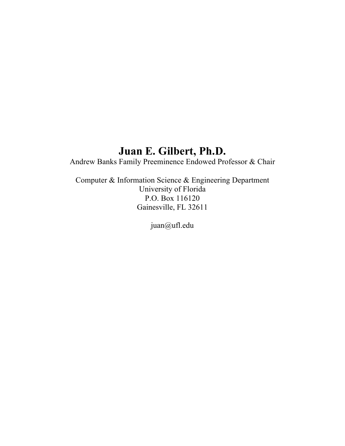# **Juan E. Gilbert, Ph.D.**

Andrew Banks Family Preeminence Endowed Professor & Chair

Computer & Information Science & Engineering Department University of Florida P.O. Box 116120 Gainesville, FL 32611

juan@ufl.edu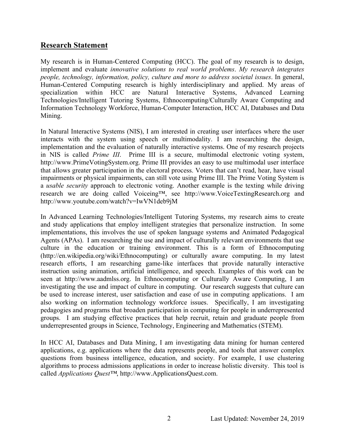## **Research Statement**

My research is in Human-Centered Computing (HCC). The goal of my research is to design, implement and evaluate *innovative solutions to real world problems*. *My research integrates people, technology, information, policy, culture and more to address societal issues*. In general, Human-Centered Computing research is highly interdisciplinary and applied. My areas of specialization within HCC are Natural Interactive Systems, Advanced Learning Technologies/Intelligent Tutoring Systems, Ethnocomputing/Culturally Aware Computing and Information Technology Workforce, Human-Computer Interaction, HCC AI, Databases and Data Mining.

In Natural Interactive Systems (NIS), I am interested in creating user interfaces where the user interacts with the system using speech or multimodality. I am researching the design, implementation and the evaluation of naturally interactive systems. One of my research projects in NIS is called *Prime III*. Prime III is a secure, multimodal electronic voting system, http://www.PrimeVotingSystem.org. Prime III provides an easy to use multimodal user interface that allows greater participation in the electoral process. Voters that can't read, hear, have visual impairments or physical impairments, can still vote using Prime III. The Prime Voting System is a *usable security* approach to electronic voting. Another example is the texting while driving research we are doing called Voiceing™, see http://www.VoiceTextingResearch.org and http://www.youtube.com/watch?v=IwVN1deb9jM

In Advanced Learning Technologies/Intelligent Tutoring Systems, my research aims to create and study applications that employ intelligent strategies that personalize instruction. In some implementations, this involves the use of spoken language systems and Animated Pedagogical Agents (APAs). I am researching the use and impact of culturally relevant environments that use culture in the education or training environment. This is a form of Ethnocomputing (http://en.wikipedia.org/wiki/Ethnocomputing) or culturally aware computing. In my latest research efforts, I am researching game-like interfaces that provide naturally interactive instruction using animation, artificial intelligence, and speech. Examples of this work can be seen at http://www.aadmlss.org. In Ethnocomputing or Culturally Aware Computing, I am investigating the use and impact of culture in computing. Our research suggests that culture can be used to increase interest, user satisfaction and ease of use in computing applications. I am also working on information technology workforce issues. Specifically, I am investigating pedagogies and programs that broaden participation in computing for people in underrepresented groups. I am studying effective practices that help recruit, retain and graduate people from underrepresented groups in Science, Technology, Engineering and Mathematics (STEM).

In HCC AI, Databases and Data Mining, I am investigating data mining for human centered applications, e.g. applications where the data represents people, and tools that answer complex questions from business intelligence, education, and society. For example, I use clustering algorithms to process admissions applications in order to increase holistic diversity. This tool is called *Applications Quest™*, http://www.ApplicationsQuest.com.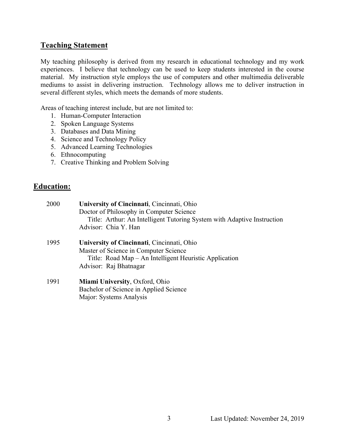## **Teaching Statement**

My teaching philosophy is derived from my research in educational technology and my work experiences. I believe that technology can be used to keep students interested in the course material. My instruction style employs the use of computers and other multimedia deliverable mediums to assist in delivering instruction. Technology allows me to deliver instruction in several different styles, which meets the demands of more students.

Areas of teaching interest include, but are not limited to:

- 1. Human-Computer Interaction
- 2. Spoken Language Systems
- 3. Databases and Data Mining
- 4. Science and Technology Policy
- 5. Advanced Learning Technologies
- 6. Ethnocomputing
- 7. Creative Thinking and Problem Solving

## **Education:**

| 2000 | University of Cincinnati, Cincinnati, Ohio                              |
|------|-------------------------------------------------------------------------|
|      | Doctor of Philosophy in Computer Science                                |
|      | Title: Arthur: An Intelligent Tutoring System with Adaptive Instruction |
|      | Advisor: Chia Y. Han                                                    |
| 1995 | University of Cincinnati, Cincinnati, Ohio                              |
|      | Master of Science in Computer Science                                   |
|      | Title: Road Map – An Intelligent Heuristic Application                  |
|      | Advisor: Raj Bhatnagar                                                  |
| 1991 | <b>Miami University, Oxford, Ohio</b>                                   |
|      | Bachelor of Science in Applied Science                                  |
|      | Major: Systems Analysis                                                 |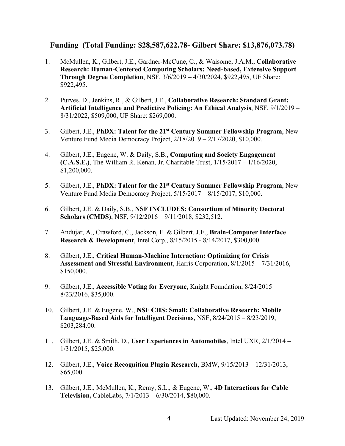## **Funding (Total Funding: \$28,587,622.78- Gilbert Share: \$13,876,073.78)**

- 1. McMullen, K., Gilbert, J.E., Gardner-McCune, C., & Waisome, J.A.M., **Collaborative Research: Human-Centered Computing Scholars: Need-based, Extensive Support Through Degree Completion**, NSF, 3/6/2019 – 4/30/2024, \$922,495, UF Share: \$922,495.
- 2. Purves, D., Jenkins, R., & Gilbert, J.E., **Collaborative Research: Standard Grant: Artificial Intelligence and Predictive Policing: An Ethical Analysis**, NSF, 9/1/2019 – 8/31/2022, \$509,000, UF Share: \$269,000.
- 3. Gilbert, J.E., **PhDX: Talent for the 21st Century Summer Fellowship Program**, New Venture Fund Media Democracy Project, 2/18/2019 – 2/17/2020, \$10,000.
- 4. Gilbert, J.E., Eugene, W. & Daily, S.B., **Computing and Society Engagement (C.A.S.E.)**, The William R. Kenan, Jr. Charitable Trust, 1/15/2017 – 1/16/2020, \$1,200,000.
- 5. Gilbert, J.E., **PhDX: Talent for the 21st Century Summer Fellowship Program**, New Venture Fund Media Democracy Project, 5/15/2017 – 8/15/2017, \$10,000.
- 6. Gilbert, J.E. & Daily, S.B., **NSF INCLUDES: Consortium of Minority Doctoral Scholars (CMDS)**, NSF, 9/12/2016 – 9/11/2018, \$232,512.
- 7. Andujar, A., Crawford, C., Jackson, F. & Gilbert, J.E., **Brain-Computer Interface Research & Development**, Intel Corp., 8/15/2015 - 8/14/2017, \$300,000.
- 8. Gilbert, J.E., **Critical Human-Machine Interaction: Optimizing for Crisis Assessment and Stressful Environment**, Harris Corporation, 8/1/2015 – 7/31/2016, \$150,000.
- 9. Gilbert, J.E., **Accessible Voting for Everyone**, Knight Foundation, 8/24/2015 8/23/2016, \$35,000.
- 10. Gilbert, J.E. & Eugene, W., **NSF CHS: Small: Collaborative Research: Mobile Language-Based Aids for Intelligent Decisions**, NSF, 8/24/2015 – 8/23/2019, \$203,284.00.
- 11. Gilbert, J.E. & Smith, D., **User Experiences in Automobiles**, Intel UXR, 2/1/2014 1/31/2015, \$25,000.
- 12. Gilbert, J.E., **Voice Recognition Plugin Research**, BMW, 9/15/2013 12/31/2013, \$65,000.
- 13. Gilbert, J.E., McMullen, K., Remy, S.L., & Eugene, W., **4D Interactions for Cable Television,** CableLabs, 7/1/2013 – 6/30/2014, \$80,000.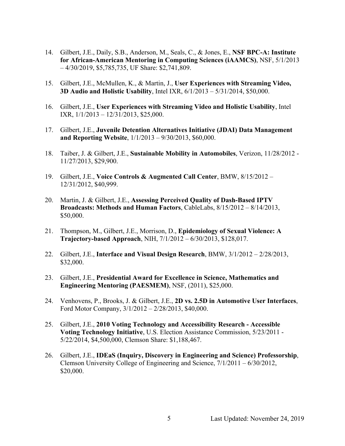- 14. Gilbert, J.E., Daily, S.B., Anderson, M., Seals, C., & Jones, E., **NSF BPC-A: Institute for African-American Mentoring in Computing Sciences (iAAMCS)**, NSF, 5/1/2013 – 4/30/2019, \$5,785,735, UF Share: \$2,741,809.
- 15. Gilbert, J.E., McMullen, K., & Martin, J., **User Experiences with Streaming Video, 3D Audio and Holistic Usability**, Intel IXR, 6/1/2013 – 5/31/2014, \$50,000.
- 16. Gilbert, J.E., **User Experiences with Streaming Video and Holistic Usability**, Intel IXR, 1/1/2013 – 12/31/2013, \$25,000.
- 17. Gilbert, J.E., **Juvenile Detention Alternatives Initiative (JDAI) Data Management and Reporting Website**, 1/1/2013 – 9/30/2013, \$60,000.
- 18. Taiber, J. & Gilbert, J.E., **Sustainable Mobility in Automobiles**, Verizon, 11/28/2012 11/27/2013, \$29,900.
- 19. Gilbert, J.E., **Voice Controls & Augmented Call Center**, BMW, 8/15/2012 12/31/2012, \$40,999.
- 20. Martin, J. & Gilbert, J.E., **Assessing Perceived Quality of Dash-Based IPTV Broadcasts: Methods and Human Factors**, CableLabs, 8/15/2012 – 8/14/2013, \$50,000.
- 21. Thompson, M., Gilbert, J.E., Morrison, D., **Epidemiology of Sexual Violence: A Trajectory-based Approach**, NIH, 7/1/2012 – 6/30/2013, \$128,017.
- 22. Gilbert, J.E., **Interface and Visual Design Research**, BMW, 3/1/2012 2/28/2013, \$32,000.
- 23. Gilbert, J.E., **Presidential Award for Excellence in Science, Mathematics and Engineering Mentoring (PAESMEM)**, NSF, (2011), \$25,000.
- 24. Venhovens, P., Brooks, J. & Gilbert, J.E., **2D vs. 2.5D in Automotive User Interfaces**, Ford Motor Company, 3/1/2012 – 2/28/2013, \$40,000.
- 25. Gilbert, J.E., **2010 Voting Technology and Accessibility Research - Accessible Voting Technology Initiative**, U.S. Election Assistance Commission, 5/23/2011 - 5/22/2014, \$4,500,000, Clemson Share: \$1,188,467.
- 26. Gilbert, J.E., **IDEaS (Inquiry, Discovery in Engineering and Science) Professorship**, Clemson University College of Engineering and Science, 7/1/2011 – 6/30/2012, \$20,000.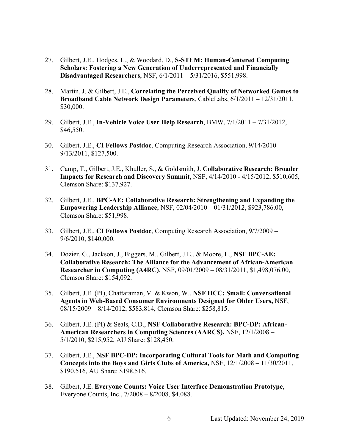- 27. Gilbert, J.E., Hodges, L., & Woodard, D., **S-STEM: Human-Centered Computing Scholars: Fostering a New Generation of Underrepresented and Financially Disadvantaged Researchers**, NSF, 6/1/2011 – 5/31/2016, \$551,998.
- 28. Martin, J. & Gilbert, J.E., **Correlating the Perceived Quality of Networked Games to Broadband Cable Network Design Parameters**, CableLabs, 6/1/2011 – 12/31/2011, \$30,000.
- 29. Gilbert, J.E., **In-Vehicle Voice User Help Research**, BMW, 7/1/2011 7/31/2012, \$46,550.
- 30. Gilbert, J.E., **CI Fellows Postdoc**, Computing Research Association, 9/14/2010 9/13/2011, \$127,500.
- 31. Camp, T., Gilbert, J.E., Khuller, S., & Goldsmith, J. **Collaborative Research: Broader Impacts for Research and Discovery Summit**, NSF, 4/14/2010 - 4/15/2012, \$510,605, Clemson Share: \$137,927.
- 32. Gilbert, J.E., **BPC-AE: Collaborative Research: Strengthening and Expanding the Empowering Leadership Alliance**, NSF, 02/04/2010 – 01/31/2012, \$923,786.00, Clemson Share: \$51,998.
- 33. Gilbert, J.E., **CI Fellows Postdoc**, Computing Research Association, 9/7/2009 9/6/2010, \$140,000.
- 34. Dozier, G., Jackson, J., Biggers, M., Gilbert, J.E., & Moore, L., **NSF BPC-AE: Collaborative Research: The Alliance for the Advancement of African-American Researcher in Computing (A4RC)**, NSF, 09/01/2009 – 08/31/2011, \$1,498,076.00, Clemson Share: \$154,092.
- 35. Gilbert, J.E. (PI), Chattaraman, V. & Kwon, W., **NSF HCC: Small: Conversational Agents in Web-Based Consumer Environments Designed for Older Users,** NSF, 08/15/2009 – 8/14/2012, \$583,814, Clemson Share: \$258,815.
- 36. Gilbert, J.E. (PI) & Seals, C.D., **NSF Collaborative Research: BPC-DP: African-American Researchers in Computing Sciences (AARCS),** NSF, 12/1/2008 – 5/1/2010, \$215,952, AU Share: \$128,450.
- 37. Gilbert, J.E., **NSF BPC-DP: Incorporating Cultural Tools for Math and Computing Concepts into the Boys and Girls Clubs of America,** NSF, 12/1/2008 – 11/30/2011, \$190,516, AU Share: \$198,516.
- 38. Gilbert, J.E. **Everyone Counts: Voice User Interface Demonstration Prototype**, Everyone Counts, Inc., 7/2008 – 8/2008, \$4,088.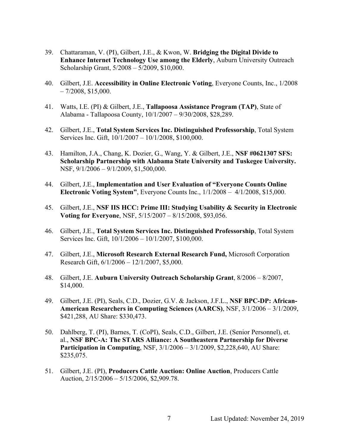- 39. Chattaraman, V. (PI), Gilbert, J.E., & Kwon, W. **Bridging the Digital Divide to Enhance Internet Technology Use among the Elderly**, Auburn University Outreach Scholarship Grant, 5/2008 – 5/2009, \$10,000.
- 40. Gilbert, J.E. **Accessibility in Online Electronic Voting**, Everyone Counts, Inc., 1/2008  $-7/2008$ , \$15,000.
- 41. Watts, I.E. (PI) & Gilbert, J.E., **Tallapoosa Assistance Program (TAP)**, State of Alabama - Tallapoosa County, 10/1/2007 – 9/30/2008, \$28,289.
- 42. Gilbert, J.E., **Total System Services Inc. Distinguished Professorship**, Total System Services Inc. Gift, 10/1/2007 – 10/1/2008, \$100,000.
- 43. Hamilton, J.A., Chang, K. Dozier, G., Wang, Y. & Gilbert, J.E., **NSF #0621307 SFS: Scholarship Partnership with Alabama State University and Tuskegee University.** NSF, 9/1/2006 – 9/1/2009, \$1,500,000.
- 44. Gilbert, J.E., **Implementation and User Evaluation of "Everyone Counts Online Electronic Voting System"**, Everyone Counts Inc., 1/1/2008 – 4/1/2008, \$15,000.
- 45. Gilbert, J.E., **NSF IIS HCC: Prime III: Studying Usability & Security in Electronic Voting for Everyone**, NSF, 5/15/2007 – 8/15/2008, \$93,056.
- 46. Gilbert, J.E., **Total System Services Inc. Distinguished Professorship**, Total System Services Inc. Gift, 10/1/2006 – 10/1/2007, \$100,000.
- 47. Gilbert, J.E., **Microsoft Research External Research Fund,** Microsoft Corporation Research Gift, 6/1/2006 – 12/1/2007, \$5,000.
- 48. Gilbert, J.E. **Auburn University Outreach Scholarship Grant**, 8/2006 8/2007, \$14,000.
- 49. Gilbert, J.E. (PI), Seals, C.D., Dozier, G.V. & Jackson, J.F.L., **NSF BPC-DP: African-American Researchers in Computing Sciences (AARCS)**, NSF, 3/1/2006 – 3/1/2009, \$421,288, AU Share: \$330,473.
- 50. Dahlberg, T. (PI), Barnes, T. (CoPI), Seals, C.D., Gilbert, J.E. (Senior Personnel), et. al., **NSF BPC-A: The STARS Alliance: A Southeastern Partnership for Diverse Participation in Computing**, NSF, 3/1/2006 – 3/1/2009, \$2,228,640, AU Share: \$235,075.
- 51. Gilbert, J.E. (PI), **Producers Cattle Auction: Online Auction**, Producers Cattle Auction, 2/15/2006 – 5/15/2006, \$2,909.78.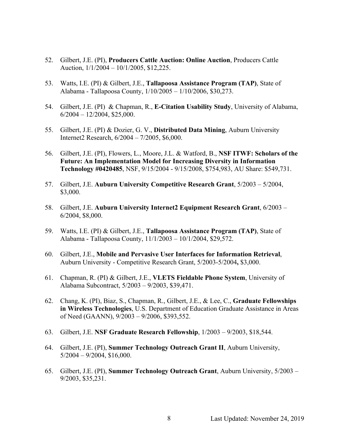- 52. Gilbert, J.E. (PI), **Producers Cattle Auction: Online Auction**, Producers Cattle Auction, 1/1/2004 – 10/1/2005, \$12,225.
- 53. Watts, I.E. (PI) & Gilbert, J.E., **Tallapoosa Assistance Program (TAP)**, State of Alabama - Tallapoosa County, 1/10/2005 – 1/10/2006, \$30,273.
- 54. Gilbert, J.E. (PI) & Chapman, R., **E-Citation Usability Study**, University of Alabama,  $6/2004 - 12/2004$ , \$25,000.
- 55. Gilbert, J.E. (PI) & Dozier, G. V., **Distributed Data Mining**, Auburn University Internet2 Research, 6/2004 – 7/2005, \$6,000.
- 56. Gilbert, J.E. (PI), Flowers, L., Moore, J.L. & Watford, B., **NSF ITWF: Scholars of the Future: An Implementation Model for Increasing Diversity in Information Technology #0420485**, NSF, 9/15/2004 - 9/15/2008, \$754,983, AU Share: \$549,731.
- 57. Gilbert, J.E. **Auburn University Competitive Research Grant**, 5/2003 5/2004, \$3,000.
- 58. Gilbert, J.E. **Auburn University Internet2 Equipment Research Grant**, 6/2003 6/2004, \$8,000.
- 59. Watts, I.E. (PI) & Gilbert, J.E., **Tallapoosa Assistance Program (TAP)**, State of Alabama - Tallapoosa County, 11/1/2003 – 10/1/2004, \$29,572.
- 60. Gilbert, J.E., **Mobile and Pervasive User Interfaces for Information Retrieval**, Auburn University - Competitive Research Grant, 5/2003-5/2004**,** \$3,000.
- 61. Chapman, R. (PI) & Gilbert, J.E., **VLETS Fieldable Phone System**, University of Alabama Subcontract, 5/2003 – 9/2003, \$39,471.
- 62. Chang, K. (PI), Biaz, S., Chapman, R., Gilbert, J.E., & Lee, C., **Graduate Fellowships in Wireless Technologies**, U.S. Department of Education Graduate Assistance in Areas of Need (GAANN), 9/2003 – 9/2006, \$393,552.
- 63. Gilbert, J.E. **NSF Graduate Research Fellowship**, 1/2003 9/2003, \$18,544.
- 64. Gilbert, J.E. (PI), **Summer Technology Outreach Grant II**, Auburn University, 5/2004 – 9/2004, \$16,000.
- 65. Gilbert, J.E. (PI), **Summer Technology Outreach Grant**, Auburn University, 5/2003 9/2003, \$35,231.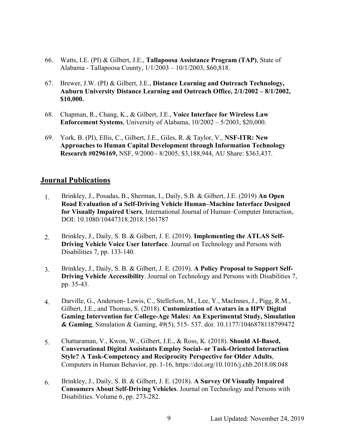- 66. Watts, I.E. (PI) & Gilbert, J.E., **Tallapoosa Assistance Program (TAP)**, State of Alabama - Tallapoosa County, 1/1/2003 – 10/1/2003, \$60,818.
- 67. Brewer, J.W. (PI) & Gilbert, J.E., **Distance Learning and Outreach Technology, Auburn University Distance Learning and Outreach Office, 2/1/2002 – 8/1/2002, \$10,000.**
- 68. Chapman, R., Chang, K., & Gilbert, J.E., **Voice Interface for Wireless Law Enforcement Systems**, University of Alabama, 10/2002 – 5/2003, \$20,000.
- 69. York, B. (PI), Ellis, C., Gilbert, J.E., Giles, R. & Taylor, V., **NSF-ITR: New Approaches to Human Capital Development through Information Technology Research #0296169,** NSF, 9/2000 - 8/2005, \$3,188,944, AU Share: \$363,437.

#### **Journal Publications**

- 1. Brinkley, J., Posadas, B., Sherman, I., Daily, S.B. & Gilbert, J.E. (2019) **An Open Road Evaluation of a Self-Driving Vehicle Human–Machine Interface Designed for Visually Impaired Users**, International Journal of Human–Computer Interaction, DOI: 10.1080/10447318.2018.1561787
- 2. Brinkley, J., Daily, S. B. & Gilbert, J. E. (2019). **Implementing the ATLAS Self-Driving Vehicle Voice User Interface**. Journal on Technology and Persons with Disabilities 7, pp. 133-140.
- 3. Brinkley, J., Daily, S. B. & Gilbert, J. E. (2019). **A Policy Proposal to Support Self-Driving Vehicle Accessibility**. Journal on Technology and Persons with Disabilities 7, pp. 35-43.
- 4. Darville, G., Anderson- Lewis, C., Stellefson, M., Lee, Y., MacInnes, J., Pigg, R.M., Gilbert, J.E., and Thomas, S. (2018). **Customization of Avatars in a HPV Digital Gaming Intervention for College-Age Males: An Experimental Study, Simulation & Gaming**, Simulation & Gaming, 49(5), 515- 537. doi: 10.1177/1046878118799472
- 5. Chattaraman, V., Kwon, W., Gilbert, J.E., & Ross, K. (2018). **Should AI-Based, Conversational Digital Assistants Employ Social- or Task-Oriented Interaction Style? A Task-Competency and Reciprocity Perspective for Older Adults**, Computers in Human Behavior, pp. 1-16, https://doi.org/10.1016/j.chb.2018.08.048
- 6. Brinkley, J., Daily, S. B. & Gilbert, J. E. (2018). **A Survey Of Visually Impaired Consumers About Self-Driving Vehicles**. Journal on Technology and Persons with Disabilities. Volume 6, pp. 273-282.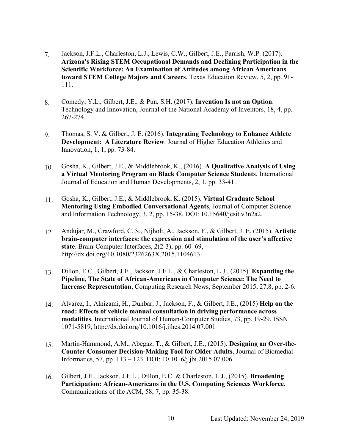- 7. Jackson, J.F.L., Charleston, L.J., Lewis, C.W., Gilbert, J.E., Parrish, W.P. (2017). **Arizona's Rising STEM Occupational Demands and Declining Participation in the Scientific Workforce: An Examination of Attitudes among African Americans toward STEM College Majors and Careers**, Texas Education Review, 5, 2, pp. 91- 111.
- 8. Comedy, Y.L., Gilbert, J.E., & Pun, S.H. (2017). **Invention Is not an Option**. Technology and Innovation, Journal of the National Academy of Inventors, 18, 4, pp. 267-274.
- 9. Thomas, S. V. & Gilbert, J. E. (2016). **Integrating Technology to Enhance Athlete Development: A Literature Review**. Journal of Higher Education Athletics and Innovation, 1, 1, pp. 73-84.
- 10. Gosha, K., Gilbert, J.E., & Middlebrook, K., (2016). **A Qualitative Analysis of Using a Virtual Mentoring Program on Black Computer Science Students**, International Journal of Education and Human Developments, 2, 1, pp. 33-41.
- 11. Gosha, K., Gilbert, J.E., & Middlebrook, K. (2015). **Virtual Graduate School Mentoring Using Embodied Conversational Agents**, Journal of Computer Science and Information Technology, 3, 2, pp. 15-38, DOI: 10.15640/jcsit.v3n2a2.
- 12. Andujar, M., Crawford, C. S., Nijholt, A., Jackson, F., & Gilbert, J. E. (2015). **Artistic brain-computer interfaces: the expression and stimulation of the user's affective state**. Brain-Computer Interfaces, 2(2-3), pp. 60–69, http://dx.doi.org/10.1080/2326263X.2015.1104613.
- 13. Dillon, E.C., Gilbert, J.E., Jackson, J.F.L., & Charleston, L.J., (2015). **Expanding the Pipeline, The State of African-Americans in Computer Science: The Need to Increase Representation**, Computing Research News, September 2015, 27,8, pp. 2-6.
- 14. Alvarez, I., Alnizami, H., Dunbar, J., Jackson, F., & Gilbert, J.E., (2015) **Help on the road: Effects of vehicle manual consultation in driving performance across modalities**, International Journal of Human-Computer Studies, 73, pp. 19-29, ISSN 1071-5819, http://dx.doi.org/10.1016/j.ijhcs.2014.07.001
- 15. Martin-Hammond, A.M., Abegaz, T., & Gilbert, J.E., (2015). **Designing an Over-the-Counter Consumer Decision-Making Tool for Older Adults**, Journal of Biomedial Informatics, 57, pp. 113 – 123. DOI: 10.1016/j.jbi.2015.07.006
- 16. Gilbert, J.E., Jackson, J.F.L., Dillon, E.C. & Charleston, L.J., (2015). **Broadening Participation: African-Americans in the U.S. Computing Sciences Workforce**, Communications of the ACM, 58, 7, pp. 35-38.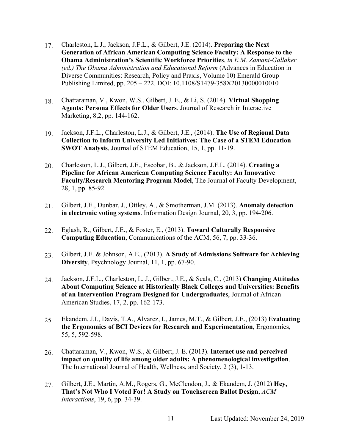- 17. Charleston, L.J., Jackson, J.F.L., & Gilbert, J.E. (2014). **Preparing the Next Generation of African American Computing Science Faculty: A Response to the Obama Administration's Scientific Workforce Priorities**, *in E.M. Zamani-Gallaher (ed.) The Obama Administration and Educational Reform* (Advances in Education in Diverse Communities: Research, Policy and Praxis, Volume 10) Emerald Group Publishing Limited, pp. 205 – 222. DOI: 10.1108/S1479-358X20130000010010
- 18. Chattaraman, V., Kwon, W.S., Gilbert, J. E., & Li, S. (2014). **Virtual Shopping Agents: Persona Effects for Older Users**. Journal of Research in Interactive Marketing, 8,2, pp. 144-162.
- 19. Jackson, J.F.L., Charleston, L.J., & Gilbert, J.E., (2014). **The Use of Regional Data Collection to Inform University Led Initiatives: The Case of a STEM Education SWOT Analysis**, Journal of STEM Education, 15, 1, pp. 11-19.
- 20. Charleston, L.J., Gilbert, J.E., Escobar, B., & Jackson, J.F.L. (2014). **Creating a Pipeline for African American Computing Science Faculty: An Innovative Faculty/Research Mentoring Program Model**, The Journal of Faculty Development, 28, 1, pp. 85-92.
- 21. Gilbert, J.E., Dunbar, J., Ottley, A., & Smotherman, J.M. (2013). **Anomaly detection in electronic voting systems**. Information Design Journal, 20, 3, pp. 194-206.
- 22. Eglash, R., Gilbert, J.E., & Foster, E., (2013). **Toward Culturally Responsive Computing Education**, Communications of the ACM, 56, 7, pp. 33-36.
- 23. Gilbert, J.E. & Johnson, A.E., (2013). **A Study of Admissions Software for Achieving Diversity**, Psychnology Journal, 11, 1, pp. 67-90.
- 24. Jackson, J.F.L., Charleston, L. J., Gilbert, J.E., & Seals, C., (2013) **Changing Attitudes About Computing Science at Historically Black Colleges and Universities: Benefits of an Intervention Program Designed for Undergraduates**, Journal of African American Studies, 17, 2, pp. 162-173.
- 25. Ekandem, J.I., Davis, T.A., Alvarez, I., James, M.T., & Gilbert, J.E., (2013) **Evaluating the Ergonomics of BCI Devices for Research and Experimentation**, Ergonomics, 55, 5, 592-598.
- 26. Chattaraman, V., Kwon, W.S., & Gilbert, J. E. (2013). **Internet use and perceived impact on quality of life among older adults: A phenomenological investigation**. The International Journal of Health, Wellness, and Society, 2 (3), 1-13.
- 27. Gilbert, J.E., Martin, A.M., Rogers, G., McClendon, J., & Ekandem, J. (2012) **Hey, That's Not Who I Voted For! A Study on Touchscreen Ballot Design**, *ACM Interactions*, 19, 6, pp. 34-39.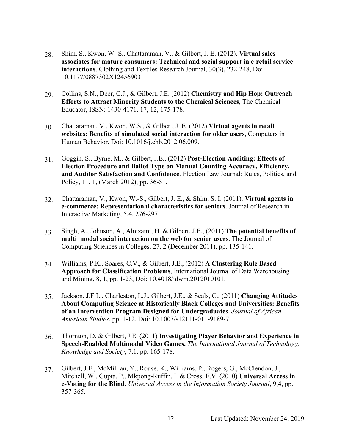- 28. Shim, S., Kwon, W.-S., Chattaraman, V., & Gilbert, J. E. (2012). **Virtual sales associates for mature consumers: Technical and social support in e-retail service interactions**. Clothing and Textiles Research Journal, 30(3), 232-248, Doi: 10.1177/0887302X12456903
- 29. Collins, S.N., Deer, C.J., & Gilbert, J.E. (2012) **Chemistry and Hip Hop: Outreach Efforts to Attract Minority Students to the Chemical Sciences**, The Chemical Educator, ISSN: 1430-4171, 17, 12, 175-178.
- 30. Chattaraman, V., Kwon, W.S., & Gilbert, J. E. (2012) **Virtual agents in retail websites: Benefits of simulated social interaction for older users**, Computers in Human Behavior, Doi: 10.1016/j.chb.2012.06.009.
- 31. Goggin, S., Byrne, M., & Gilbert, J.E., (2012) **Post-Election Auditing: Effects of Election Procedure and Ballot Type on Manual Counting Accuracy, Efficiency, and Auditor Satisfaction and Confidence**. Election Law Journal: Rules, Politics, and Policy, 11, 1, (March 2012), pp. 36-51.
- 32. Chattaraman, V., Kwon, W.-S., Gilbert, J. E., & Shim, S. I. (2011). **Virtual agents in e-commerce: Representational characteristics for seniors**. Journal of Research in Interactive Marketing, 5,4, 276-297.
- 33. Singh, A., Johnson, A., Alnizami, H. & Gilbert, J.E., (2011) **The potential benefits of multi\_modal social interaction on the web for senior users**. The Journal of Computing Sciences in Colleges, 27, 2 (December 2011), pp. 135-141.
- 34. Williams, P.K., Soares, C.V., & Gilbert, J.E., (2012) **A Clustering Rule Based Approach for Classification Problems**, International Journal of Data Warehousing and Mining, 8, 1, pp. 1-23, Doi: 10.4018/jdwm.2012010101.
- 35. Jackson, J.F.L., Charleston, L.J., Gilbert, J.E., & Seals, C., (2011) **Changing Attitudes About Computing Science at Historically Black Colleges and Universities: Benefits of an Intervention Program Designed for Undergraduates**. *Journal of African American Studies*, pp. 1-12, Doi: 10.1007/s12111-011-9189-7.
- 36. Thornton, D. & Gilbert, J.E. (2011) **Investigating Player Behavior and Experience in Speech-Enabled Multimodal Video Games.** *The International Journal of Technology, Knowledge and Society*, 7,1, pp. 165-178.
- 37. Gilbert, J.E., McMillian, Y., Rouse, K., Williams, P., Rogers, G., McClendon, J., Mitchell, W., Gupta, P., Mkpong-Ruffin, I. & Cross, E.V. (2010) **Universal Access in e-Voting for the Blind**. *Universal Access in the Information Society Journal*, 9,4, pp. 357-365.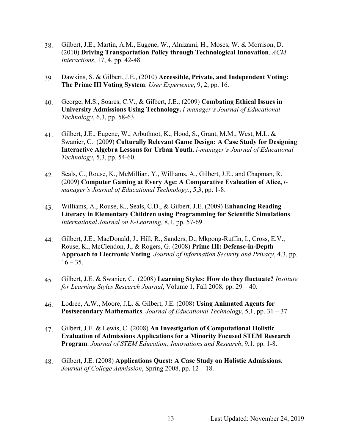- 38. Gilbert, J.E., Martin, A.M., Eugene, W., Alnizami, H., Moses, W. & Morrison, D. (2010) **Driving Transportation Policy through Technological Innovation**. *ACM Interactions*, 17, 4, pp. 42-48.
- 39. Dawkins, S. & Gilbert, J.E., (2010) **Accessible, Private, and Independent Voting: The Prime III Voting System**. *User Experience*, 9, 2, pp. 16.
- 40. George, M.S., Soares, C.V., & Gilbert, J.E., (2009) **Combating Ethical Issues in University Admissions Using Technology.** *i-manager's Journal of Educational Technology*, 6,3, pp. 58-63.
- 41. Gilbert, J.E., Eugene, W., Arbuthnot, K., Hood, S., Grant, M.M., West, M.L. & Swanier, C. (2009) **Culturally Relevant Game Design: A Case Study for Designing Interactive Algebra Lessons for Urban Youth**. *i-manager's Journal of Educational Technology*, 5,3, pp. 54-60.
- 42. Seals, C., Rouse, K., McMillian, Y., Williams, A., Gilbert, J.E., and Chapman, R. (2009) **Computer Gaming at Every Age: A Comparative Evaluation of Alice,** *imanager's Journal of Educational Technology*., 5,3, pp. 1-8.
- 43. Williams, A., Rouse, K., Seals, C.D., & Gilbert, J.E. (2009) **Enhancing Reading Literacy in Elementary Children using Programming for Scientific Simulations**. *International Journal on E-Learning*, 8,1, pp. 57-69.
- 44. Gilbert, J.E., MacDonald, J., Hill, R., Sanders, D., Mkpong-Ruffin, I., Cross, E.V., Rouse, K., McClendon, J., & Rogers, G. (2008) **Prime III: Defense-in-Depth Approach to Electronic Voting**. *Journal of Information Security and Privacy*, 4,3, pp.  $16 - 35.$
- 45. Gilbert, J.E. & Swanier, C. (2008) **Learning Styles: How do they fluctuate?** *Institute for Learning Styles Research Journal*, Volume 1, Fall 2008, pp. 29 – 40.
- 46. Lodree, A.W., Moore, J.L. & Gilbert, J.E. (2008) **Using Animated Agents for Postsecondary Mathematics**. *Journal of Educational Technology*, 5,1, pp. 31 – 37.
- 47. Gilbert, J.E. & Lewis, C. (2008) **An Investigation of Computational Holistic Evaluation of Admissions Applications for a Minority Focused STEM Research Program**. *Journal of STEM Education: Innovations and Research*, 9,1, pp. 1-8.
- 48. Gilbert, J.E. (2008) **Applications Quest: A Case Study on Holistic Admissions**. *Journal of College Admission*, Spring 2008, pp. 12 – 18.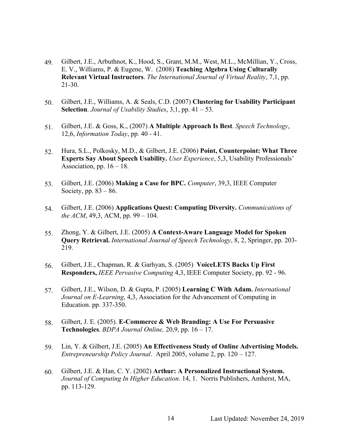- 49. Gilbert, J.E., Arbuthnot, K., Hood, S., Grant, M.M., West, M.L., McMillian, Y., Cross, E. V., Williams, P. & Eugene, W. (2008) **Teaching Algebra Using Culturally Relevant Virtual Instructors**. *The International Journal of Virtual Reality*, 7,1, pp. 21-30.
- 50. Gilbert, J.E., Williams, A. & Seals, C.D. (2007) **Clustering for Usability Participant Selection**. *Journal of Usability Studies*, 3,1, pp. 41 – 53.
- 51. Gilbert, J.E. & Goss, K., (2007) **A Multiple Approach Is Best**. *Speech Technology*, 12,6, *Information Today*, pp. 40 - 41.
- 52. Hura, S.L., Polkosky, M.D., & Gilbert, J.E. (2006) **Point, Counterpoint: What Three Experts Say About Speech Usability.** *User Experience*, 5,3, Usability Professionals' Association, pp.  $16 - 18$ .
- 53. Gilbert, J.E. (2006) **Making a Case for BPC.** *Computer*, 39,3, IEEE Computer Society, pp.  $83 - 86$ .
- 54. Gilbert, J.E. (2006) **Applications Quest: Computing Diversity.** *Communications of the ACM*, 49,3, ACM, pp. 99 – 104.
- 55. Zhong, Y. & Gilbert, J.E. (2005) **A Context-Aware Language Model for Spoken Query Retrieval.** *International Journal of Speech Technology*, 8, 2, Springer, pp. 203- 219.
- 56. Gilbert, J.E., Chapman, R. & Garhyan, S. (2005) **VoiceLETS Backs Up First Responders,** *IEEE Pervasive Computing* 4,3, IEEE Computer Society, pp. 92 - 96.
- 57. Gilbert, J.E., Wilson, D. & Gupta, P. (2005) **Learning C With Adam.** *International Journal on E-Learning*, 4,3, Association for the Advancement of Computing in Education. pp. 337-350.
- 58. Gilbert, J. E. (2005). **E-Commerce & Web Branding: A Use For Persuasive Technologies**. *BDPA Journal Online,* 20,9, pp. 16 – 17.
- 59. Lin, Y. & Gilbert, J.E. (2005) **An Effectiveness Study of Online Advertising Models.** *Entrepreneurship Policy Journal*. April 2005, volume 2, pp. 120 – 127.
- 60. Gilbert, J.E. & Han, C. Y. (2002) **Arthur: A Personalized Instructional System.** *Journal of Computing In Higher Education*. 14, 1. Norris Publishers, Amherst, MA, pp. 113-129.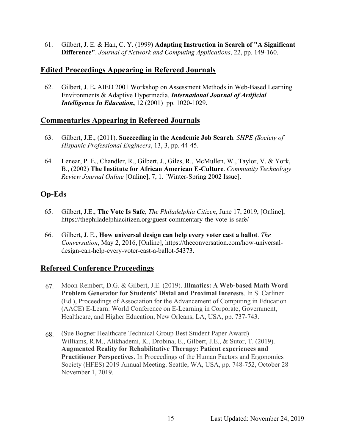61. Gilbert, J. E. & Han, C. Y. (1999) **Adapting Instruction in Search of "A Significant Difference"**. *Journal of Network and Computing Applications*, 22, pp. 149-160.

## **Edited Proceedings Appearing in Refereed Journals**

62. Gilbert, J. E**.** AIED 2001 Workshop on Assessment Methods in Web-Based Learning Environments & Adaptive Hypermedia. *International Journal of Artificial Intelligence In Education*,  $12 (2001)$  pp. 1020-1029.

## **Commentaries Appearing in Refereed Journals**

- 63. Gilbert, J.E., (2011). **Succeeding in the Academic Job Search**. *SHPE (Society of Hispanic Professional Engineers*, 13, 3, pp. 44-45.
- 64. Lenear, P. E., Chandler, R., Gilbert, J., Giles, R., McMullen, W., Taylor, V. & York, B., (2002) **The Institute for African American E-Culture**. *Community Technology Review Journal Online* [Online], 7, 1. [Winter-Spring 2002 Issue].

# **Op-Eds**

- 65. Gilbert, J.E., **The Vote Is Safe**, *The Philadelphia Citizen*, June 17, 2019, [Online], https://thephiladelphiacitizen.org/guest-commentary-the-vote-is-safe/
- 66. Gilbert, J. E., **How universal design can help every voter cast a ballot**. *The Conversation*, May 2, 2016, [Online], https://theconversation.com/how-universaldesign-can-help-every-voter-cast-a-ballot-54373.

# **Refereed Conference Proceedings**

- 67. Moon-Rembert, D.G. & Gilbert, J.E. (2019). **Illmatics: A Web-based Math Word Problem Generator for Students' Distal and Proximal Interests**. In S. Carliner (Ed.), Proceedings of Association for the Advancement of Computing in Education (AACE) E-Learn: World Conference on E-Learning in Corporate, Government, Healthcare, and Higher Education, New Orleans, LA, USA, pp. 737-743.
- 68. (Sue Bogner Healthcare Technical Group Best Student Paper Award) Williams, R.M., Alikhademi, K., Drobina, E., Gilbert, J.E., & Sutor, T. (2019). **Augmented Reality for Rehabilitative Therapy: Patient experiences and Practitioner Perspectives**. In Proceedings of the Human Factors and Ergonomics Society (HFES) 2019 Annual Meeting. Seattle, WA, USA, pp. 748-752, October 28 – November 1, 2019.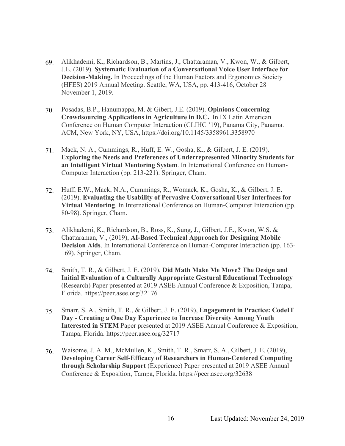- 69. Alikhademi, K., Richardson, B., Martins, J., Chattaraman, V., Kwon, W., & Gilbert, J.E. (2019). **Systematic Evaluation of a Conversational Voice User Interface for Decision-Making.** In Proceedings of the Human Factors and Ergonomics Society (HFES) 2019 Annual Meeting. Seattle, WA, USA, pp. 413-416, October 28 – November 1, 2019.
- 70. Posadas, B.P., Hanumappa, M. & Gibert, J.E. (2019). **Opinions Concerning Crowdsourcing Applications in Agriculture in D.C.**. In IX Latin American Conference on Human Computer Interaction (CLIHC '19), Panama City, Panama. ACM, New York, NY, USA, https://doi.org/10.1145/3358961.3358970
- 71. Mack, N. A., Cummings, R., Huff, E. W., Gosha, K., & Gilbert, J. E. (2019). **Exploring the Needs and Preferences of Underrepresented Minority Students for an Intelligent Virtual Mentoring System**. In International Conference on Human-Computer Interaction (pp. 213-221). Springer, Cham.
- 72. Huff, E.W., Mack, N.A., Cummings, R., Womack, K., Gosha, K., & Gilbert, J. E. (2019). **Evaluating the Usability of Pervasive Conversational User Interfaces for Virtual Mentoring**. In International Conference on Human-Computer Interaction (pp. 80-98). Springer, Cham.
- 73. Alikhademi, K., Richardson, B., Ross, K., Sung, J., Gilbert, J.E., Kwon, W.S. & Chattaraman, V., (2019), **AI-Based Technical Approach for Designing Mobile Decision Aids**. In International Conference on Human-Computer Interaction (pp. 163- 169). Springer, Cham.
- 74. Smith, T. R., & Gilbert, J. E. (2019), **Did Math Make Me Move? The Design and Initial Evaluation of a Culturally Appropriate Gestural Educational Technology** (Research) Paper presented at 2019 ASEE Annual Conference & Exposition, Tampa, Florida. https://peer.asee.org/32176
- 75. Smarr, S. A., Smith, T. R., & Gilbert, J. E. (2019), **Engagement in Practice: CodeIT Day - Creating a One Day Experience to Increase Diversity Among Youth Interested in STEM** Paper presented at 2019 ASEE Annual Conference & Exposition, Tampa, Florida. https://peer.asee.org/32717
- 76. Waisome, J. A. M., McMullen, K., Smith, T. R., Smarr, S. A., Gilbert, J. E. (2019), **Developing Career Self-Efficacy of Researchers in Human-Centered Computing through Scholarship Support** (Experience) Paper presented at 2019 ASEE Annual Conference & Exposition, Tampa, Florida. https://peer.asee.org/32638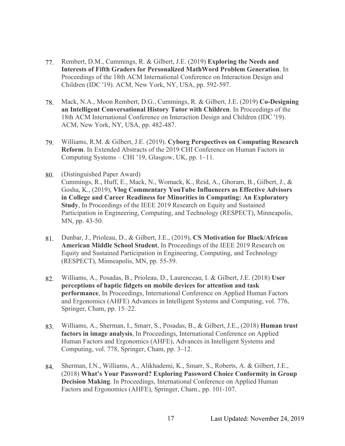- 77. Rembert, D.M., Cummings, R. & Gilbert, J.E. (2019) **Exploring the Needs and Interests of Fifth Graders for Personalized MathWord Problem Generation**. In Proceedings of the 18th ACM International Conference on Interaction Design and Children (IDC '19). ACM, New York, NY, USA, pp. 592-597.
- 78. Mack, N.A., Moon Rembert, D.G., Cummings, R. & Gilbert, J.E. (2019) **Co-Designing an Intelligent Conversational History Tutor with Children**. In Proceedings of the 18th ACM International Conference on Interaction Design and Children (IDC '19). ACM, New York, NY, USA, pp. 482-487.
- 79. Williams, R.M. & Gilbert, J.E. (2019). **Cyborg Perspectives on Computing Research Reform**. In Extended Abstracts of the 2019 CHI Conference on Human Factors in Computing Systems – CHI '19, Glasgow, UK, pp. 1–11.
- 80. (Distinguished Paper Award) Cummings, R., Huff, E., Mack, N., Womack, K., Reid, A., Ghoram, B., Gilbert, J., & Gosha, K., (2019), **Vlog Commentary YouTube Influencers as Effective Advisors in College and Career Readiness for Minorities in Computing: An Exploratory Study**, In Proceedings of the IEEE 2019 Research on Equity and Sustained Participation in Engineering, Computing, and Technology (RESPECT), Minneapolis, MN, pp. 43-50.
- 81. Dunbar, J., Prioleau, D., & Gilbert, J.E., (2019), **CS Motivation for Black/African American Middle School Student**, In Proceedings of the IEEE 2019 Research on Equity and Sustained Participation in Engineering, Computing, and Technology (RESPECT), Minneapolis, MN, pp. 55-59.
- 82. Williams, A., Posadas, B., Prioleau, D., Laurenceau, I. & Gilbert, J.E. (2018) **User perceptions of haptic fidgets on mobile devices for attention and task performance**, In Proceedings, International Conference on Applied Human Factors and Ergonomics (AHFE) Advances in Intelligent Systems and Computing, vol. 776, Springer, Cham, pp. 15–22.
- 83. Williams, A., Sherman, I., Smarr, S., Posadas, B., & Gilbert, J.E., (2018) **Human trust factors in image analysis**, In Proceedings, International Conference on Applied Human Factors and Ergonomics (AHFE), Advances in Intelligent Systems and Computing, vol. 778, Springer, Cham, pp. 3–12.
- 84. Sherman, I.N., Williams, A., Alikhademi, K., Smarr, S., Roberts, A. & Gilbert, J.E., (2018) **What's Your Password? Exploring Password Choice Conformity in Group Decision Making**. In Proceedings, International Conference on Applied Human Factors and Ergonomics (AHFE), Springer, Cham., pp. 101-107.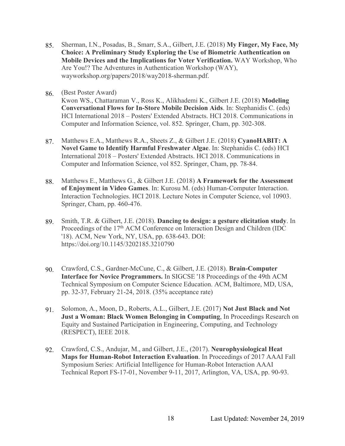- 85. Sherman, I.N., Posadas, B., Smarr, S.A., Gilbert, J.E. (2018) **My Finger, My Face, My Choice: A Preliminary Study Exploring the Use of Biometric Authentication on Mobile Devices and the Implications for Voter Verification.** WAY Workshop, Who Are You!? The Adventures in Authentication Workshop (WAY), wayworkshop.org/papers/2018/way2018-sherman.pdf.
- 86. (Best Poster Award)

Kwon WS., Chattaraman V., Ross K., Alikhademi K., Gilbert J.E. (2018) **Modeling Conversational Flows for In-Store Mobile Decision Aids**. In: Stephanidis C. (eds) HCI International 2018 – Posters' Extended Abstracts. HCI 2018. Communications in Computer and Information Science, vol. 852. Springer, Cham, pp. 302-308.

- 87. Matthews E.A., Matthews R.A., Sheets Z., & Gilbert J.E. (2018) **CyanoHABIT: A Novel Game to Identify Harmful Freshwater Algae**. In: Stephanidis C. (eds) HCI International 2018 – Posters' Extended Abstracts. HCI 2018. Communications in Computer and Information Science, vol 852. Springer, Cham, pp. 78-84.
- 88. Matthews E., Matthews G., & Gilbert J.E. (2018) **A Framework for the Assessment of Enjoyment in Video Games**. In: Kurosu M. (eds) Human-Computer Interaction. Interaction Technologies. HCI 2018. Lecture Notes in Computer Science, vol 10903. Springer, Cham, pp. 460-476.
- 89. Smith, T.R. & Gilbert, J.E. (2018). **Dancing to design: a gesture elicitation study**. In Proceedings of the 17<sup>th</sup> ACM Conference on Interaction Design and Children (IDC '18). ACM, New York, NY, USA, pp. 638-643. DOI: https://doi.org/10.1145/3202185.3210790
- 90. Crawford, C.S., Gardner-McCune, C., & Gilbert, J.E. (2018). **Brain-Computer Interface for Novice Programmers.** In SIGCSE '18 Proceedings of the 49th ACM Technical Symposium on Computer Science Education. ACM, Baltimore, MD, USA, pp. 32-37, February 21-24, 2018. (35% acceptance rate)
- 91. Solomon, A., Moon, D., Roberts, A.L., Gilbert, J.E. (2017) **Not Just Black and Not Just a Woman: Black Women Belonging in Computing**, In Proceedings Research on Equity and Sustained Participation in Engineering, Computing, and Technology (RESPECT), IEEE 2018.
- 92. Crawford, C.S., Andujar, M., and Gilbert, J.E., (2017). **Neurophysiological Heat Maps for Human-Robot Interaction Evaluation**. In Proceedings of 2017 AAAI Fall Symposium Series: Artificial Intelligence for Human-Robot Interaction AAAI Technical Report FS-17-01, November 9-11, 2017, Arlington, VA, USA, pp. 90-93.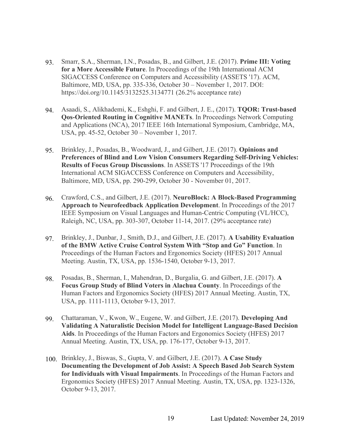- 93. Smarr, S.A., Sherman, I.N., Posadas, B., and Gilbert, J.E. (2017). **Prime III: Voting for a More Accessible Future**. In Proceedings of the 19th International ACM SIGACCESS Conference on Computers and Accessibility (ASSETS '17). ACM, Baltimore, MD, USA, pp. 335-336, October 30 – November 1, 2017. DOI: https://doi.org/10.1145/3132525.3134771 (26.2% acceptance rate)
- 94. Asaadi, S., Alikhademi, K., Eshghi, F. and Gilbert, J. E., (2017). **TQOR: Trust-based Qos-Oriented Routing in Cognitive MANETs**. In Proceedings Network Computing and Applications (NCA), 2017 IEEE 16th International Symposium, Cambridge, MA, USA, pp. 45-52, October 30 – November 1, 2017.
- 95. Brinkley, J., Posadas, B., Woodward, J., and Gilbert, J.E. (2017). **Opinions and Preferences of Blind and Low Vision Consumers Regarding Self-Driving Vehicles: Results of Focus Group Discussions**. In ASSETS '17 Proceedings of the 19th International ACM SIGACCESS Conference on Computers and Accessibility, Baltimore, MD, USA, pp. 290-299, October 30 - November 01, 2017.
- 96. Crawford, C.S., and Gilbert, J.E. (2017). **NeuroBlock: A Block-Based Programming Approach to Neurofeedback Application Development**. In Proceedings of the 2017 IEEE Symposium on Visual Languages and Human-Centric Computing (VL/HCC), Raleigh, NC, USA, pp. 303-307, October 11-14, 2017. (29% acceptance rate)
- 97. Brinkley, J., Dunbar, J., Smith, D.J., and Gilbert, J.E. (2017). **A Usability Evaluation of the BMW Active Cruise Control System With "Stop and Go" Function**. In Proceedings of the Human Factors and Ergonomics Society (HFES) 2017 Annual Meeting. Austin, TX, USA, pp. 1536-1540, October 9-13, 2017.
- 98. Posadas, B., Sherman, I., Mahendran, D., Burgalia, G. and Gilbert, J.E. (2017). **A Focus Group Study of Blind Voters in Alachua County**. In Proceedings of the Human Factors and Ergonomics Society (HFES) 2017 Annual Meeting. Austin, TX, USA, pp. 1111-1113, October 9-13, 2017.
- 99. Chattaraman, V., Kwon, W., Eugene, W. and Gilbert, J.E. (2017). **Developing And Validating A Naturalistic Decision Model for Intelligent Language-Based Decision Aids**. In Proceedings of the Human Factors and Ergonomics Society (HFES) 2017 Annual Meeting. Austin, TX, USA, pp. 176-177, October 9-13, 2017.
- 100. Brinkley, J., Biswas, S., Gupta, V. and Gilbert, J.E. (2017). **A Case Study Documenting the Development of Job Assist: A Speech Based Job Search System for Individuals with Visual Impairments**. In Proceedings of the Human Factors and Ergonomics Society (HFES) 2017 Annual Meeting. Austin, TX, USA, pp. 1323-1326, October 9-13, 2017.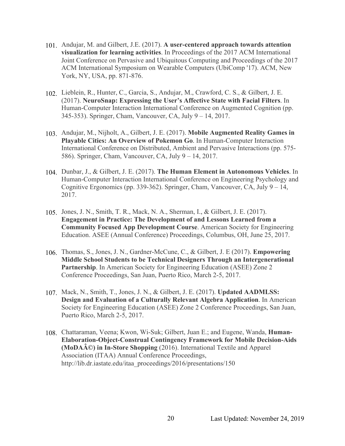- 101. Andujar, M. and Gilbert, J.E. (2017). **A user-centered approach towards attention visualization for learning activities**. In Proceedings of the 2017 ACM International Joint Conference on Pervasive and Ubiquitous Computing and Proceedings of the 2017 ACM International Symposium on Wearable Computers (UbiComp '17). ACM, New York, NY, USA, pp. 871-876.
- 102. Lieblein, R., Hunter, C., Garcia, S., Andujar, M., Crawford, C. S., & Gilbert, J. E. (2017). **NeuroSnap: Expressing the User's Affective State with Facial Filters**. In Human-Computer Interaction International Conference on Augmented Cognition (pp. 345-353). Springer, Cham, Vancouver, CA, July 9 – 14, 2017.
- 103. Andujar, M., Nijholt, A., Gilbert, J. E. (2017). **Mobile Augmented Reality Games in Playable Cities: An Overview of Pokemon Go**. In Human-Computer Interaction International Conference on Distributed, Ambient and Pervasive Interactions (pp. 575- 586). Springer, Cham, Vancouver, CA, July 9 – 14, 2017.
- 104. Dunbar, J., & Gilbert, J. E. (2017). **The Human Element in Autonomous Vehicles**. In Human-Computer Interaction International Conference on Engineering Psychology and Cognitive Ergonomics (pp. 339-362). Springer, Cham, Vancouver, CA, July 9 – 14, 2017.
- 105. Jones, J. N., Smith, T. R., Mack, N. A., Sherman, I., & Gilbert, J. E. (2017). **Engagement in Practice: The Development of and Lessons Learned from a Community Focused App Development Course**. American Society for Engineering Education. ASEE (Annual Conference) Proceedings, Columbus, OH, June 25, 2017.
- 106. Thomas, S., Jones, J. N., Gardner-McCune, C., & Gilbert, J. E (2017). **Empowering Middle School Students to be Technical Designers Through an Intergenerational Partnership**. In American Society for Engineering Education (ASEE) Zone 2 Conference Proceedings, San Juan, Puerto Rico, March 2-5, 2017.
- 107. Mack, N., Smith, T., Jones, J. N., & Gilbert, J. E. (2017). **Updated AADMLSS: Design and Evaluation of a Culturally Relevant Algebra Application**. In American Society for Engineering Education (ASEE) Zone 2 Conference Proceedings, San Juan, Puerto Rico, March 2-5, 2017.
- 108. Chattaraman, Veena; Kwon, Wi-Suk; Gilbert, Juan E.; and Eugene, Wanda, **Human-Elaboration-Object-Construal Contingency Framework for Mobile Decision-Aids (MoDA©) in In-Store Shopping** (2016). International Textile and Apparel Association (ITAA) Annual Conference Proceedings, http://lib.dr.iastate.edu/itaa\_proceedings/2016/presentations/150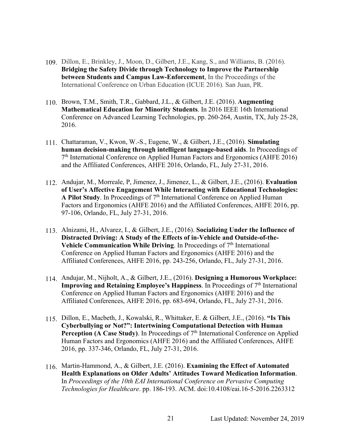- 109. Dillon, E., Brinkley, J., Moon, D., Gilbert, J.E., Kang, S., and Williams, B. (2016). **Bridging the Safety Divide through Technology to Improve the Partnership between Students and Campus Law-Enforcement**, In the Proceedings of the International Conference on Urban Education (ICUE 2016)*.* San Juan, PR.
- 110. Brown, T.M., Smith, T.R., Gabbard, J.L., & Gilbert, J.E. (2016). **Augmenting Mathematical Education for Minority Students**. In 2016 IEEE 16th International Conference on Advanced Learning Technologies, pp. 260-264, Austin, TX, July 25-28, 2016.
- 111. Chattaraman, V., Kwon, W.-S., Eugene, W., & Gilbert, J.E., (2016). **Simulating human decision-making through intelligent language-based aids**. In Proceedings of  $7<sup>th</sup>$  International Conference on Applied Human Factors and Ergonomics (AHFE 2016) and the Affiliated Conferences, AHFE 2016, Orlando, FL, July 27-31, 2016.
- 112. Andujar, M., Morreale, P, Jimenez, J., Jimenez, L., & Gilbert, J.E., (2016). **Evaluation of User's Affective Engagement While Interacting with Educational Technologies:**  A Pilot Study. In Proceedings of  $7<sup>th</sup>$  International Conference on Applied Human Factors and Ergonomics (AHFE 2016) and the Affiliated Conferences, AHFE 2016, pp. 97-106, Orlando, FL, July 27-31, 2016.
- 113. Alnizami, H., Alvarez, I., & Gilbert, J.E., (2016). **Socializing Under the Influence of Distracted Driving: A Study of the Effects of in-Vehicle and Outside-of-the-Vehicle Communication While Driving.** In Proceedings of 7<sup>th</sup> International Conference on Applied Human Factors and Ergonomics (AHFE 2016) and the Affiliated Conferences, AHFE 2016, pp. 243-256, Orlando, FL, July 27-31, 2016.
- 114. Andujar, M., Nijholt, A., & Gilbert, J.E., (2016). **Designing a Humorous Workplace: Improving and Retaining Employee's Happiness**. In Proceedings of 7<sup>th</sup> International Conference on Applied Human Factors and Ergonomics (AHFE 2016) and the Affiliated Conferences, AHFE 2016, pp. 683-694, Orlando, FL, July 27-31, 2016.
- 115. Dillon, E., Macbeth, J., Kowalski, R., Whittaker, E. & Gilbert, J.E., (2016). **"Is This Cyberbullying or Not?": Intertwining Computational Detection with Human**  Perception (A Case Study). In Proceedings of 7<sup>th</sup> International Conference on Applied Human Factors and Ergonomics (AHFE 2016) and the Affiliated Conferences, AHFE 2016, pp. 337-346, Orlando, FL, July 27-31, 2016.
- 116. Martin-Hammond, A., & Gilbert, J.E. (2016). **Examining the Effect of Automated Health Explanations on Older Adults' Attitudes Toward Medication Information**. In *Proceedings of the 10th EAI International Conference on Pervasive Computing Technologies for Healthcare*. pp. 186-193. ACM. doi:10.4108/eai.16-5-2016.2263312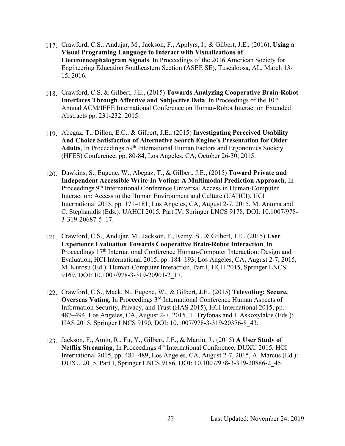- 117. Crawford, C.S., Andujar, M., Jackson, F., Applyrs, I., & Gilbert, J.E., (2016), **Using a Visual Programing Language to Interact with Visualizations of Electroencephalogram Signals**. In Proceedings of the 2016 American Society for Engineering Education Southeastern Section (ASEE SE), Tuscaloosa, AL, March 13- 15, 2016.
- 118. Crawford, C.S. & Gilbert, J.E., (2015) **Towards Analyzing Cooperative Brain-Robot Interfaces Through Affective and Subjective Data.** In Proceedings of the 10<sup>th</sup> Annual ACM/IEEE International Conference on Human-Robot Interaction Extended Abstracts pp. 231-232. 2015.
- 119. Abegaz, T., Dillon, E.C., & Gilbert, J.E., (2015) **Investigating Perceived Usability And Choice Satisfaction of Alternative Search Engine's Presentation for Older**  Adults, In Proceedings 59<sup>th</sup> International Human Factors and Ergonomics Society (HFES) Conference, pp. 80-84, Los Angeles, CA, October 26-30, 2015.
- 120. Dawkins, S., Eugene, W., Abegaz, T., & Gilbert, J.E., (2015) **Toward Private and Independent Accessible Write-In Voting: A Multimodal Prediction Approach**, In Proceedings 9th International Conference Universal Access in Human-Computer Interaction: Access to the Human Environment and Culture (UAHCI), HCI International 2015, pp. 171–181, Los Angeles, CA, August 2-7, 2015, M. Antona and C. Stephanidis (Eds.): UAHCI 2015, Part IV, Springer LNCS 9178, DOI: 10.1007/978- 3-319-20687-5\_17.
- 121. Crawford, C.S., Andujar, M., Jackson, F., Remy, S., & Gilbert, J.E., (2015) **User Experience Evaluation Towards Cooperative Brain-Robot Interaction**, In Proceedings 17<sup>th</sup> International Conference Human-Computer Interaction: Design and Evaluation, HCI International 2015, pp. 184–193, Los Angeles, CA, August 2-7, 2015, M. Kurosu (Ed.): Human-Computer Interaction, Part I, HCII 2015, Springer LNCS 9169, DOI: 10.1007/978-3-319-20901-2\_17.
- 122. Crawford, C.S., Mack, N., Eugene, W., & Gilbert, J.E., (2015) **Televoting: Secure, Overseas Voting**, In Proceedings 3<sup>rd</sup> International Conference Human Aspects of Information Security, Privacy, and Trust (HAS 2015), HCI International 2015, pp. 487–494, Los Angeles, CA, August 2-7, 2015, T. Tryfonas and I. Askoxylakis (Eds.): HAS 2015, Springer LNCS 9190, DOI: 10.1007/978-3-319-20376-8\_43.
- 123. Jackson, F., Amin, R., Fu, Y., Gilbert, J.E., & Martin, J., (2015) **A User Study of Netflix Streaming**, In Proceedings 4<sup>th</sup> International Conference, DUXU 2015, HCI International 2015, pp. 481–489, Los Angeles, CA, August 2-7, 2015, A. Marcus (Ed.): DUXU 2015, Part I, Springer LNCS 9186, DOI: 10.1007/978-3-319-20886-2\_45.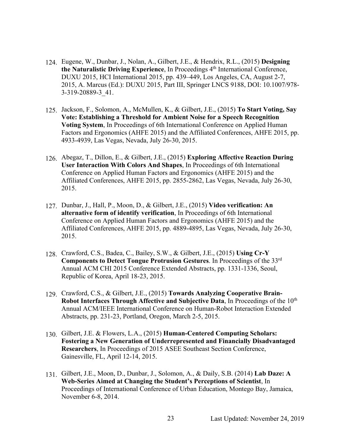- 124. Eugene, W., Dunbar, J., Nolan, A., Gilbert, J.E., & Hendrix, R.L., (2015) **Designing the Naturalistic Driving Experience**, In Proceedings 4th International Conference, DUXU 2015, HCI International 2015, pp. 439–449, Los Angeles, CA, August 2-7, 2015, A. Marcus (Ed.): DUXU 2015, Part III, Springer LNCS 9188, DOI: 10.1007/978- 3-319-20889-3\_41.
- 125. Jackson, F., Solomon, A., McMullen, K., & Gilbert, J.E., (2015) **To Start Voting, Say Vote: Establishing a Threshold for Ambient Noise for a Speech Recognition Voting System**, In Proceedings of 6th International Conference on Applied Human Factors and Ergonomics (AHFE 2015) and the Affiliated Conferences, AHFE 2015, pp. 4933-4939, Las Vegas, Nevada, July 26-30, 2015.
- 126. Abegaz, T., Dillon, E., & Gilbert, J.E., (2015) **Exploring Affective Reaction During User Interaction With Colors And Shapes**, In Proceedings of 6th International Conference on Applied Human Factors and Ergonomics (AHFE 2015) and the Affiliated Conferences, AHFE 2015, pp. 2855-2862, Las Vegas, Nevada, July 26-30, 2015.
- 127. Dunbar, J., Hall, P., Moon, D., & Gilbert, J.E., (2015) **Video verification: An alternative form of identify verification**, In Proceedings of 6th International Conference on Applied Human Factors and Ergonomics (AHFE 2015) and the Affiliated Conferences, AHFE 2015, pp. 4889-4895, Las Vegas, Nevada, July 26-30, 2015.
- 128. Crawford, C.S., Badea, C., Bailey, S.W., & Gilbert, J.E., (2015) **Using Cr-Y Components to Detect Tongue Protrusion Gestures**. In Proceedings of the 33rd Annual ACM CHI 2015 Conference Extended Abstracts, pp. 1331-1336, Seoul, Republic of Korea, April 18-23, 2015.
- 129. Crawford, C.S., & Gilbert, J.E., (2015) **Towards Analyzing Cooperative Brain-Robot Interfaces Through Affective and Subjective Data**, In Proceedings of the 10<sup>th</sup> Annual ACM/IEEE International Conference on Human-Robot Interaction Extended Abstracts, pp. 231-23, Portland, Oregon, March 2-5, 2015.
- 130. Gilbert, J.E. & Flowers, L.A., (2015) **Human-Centered Computing Scholars: Fostering a New Generation of Underrepresented and Financially Disadvantaged Researchers**, In Proceedings of 2015 ASEE Southeast Section Conference, Gainesville, FL, April 12-14, 2015.
- 131. Gilbert, J.E., Moon, D., Dunbar, J., Solomon, A., & Daily, S.B. (2014) **Lab Daze: A Web-Series Aimed at Changing the Student's Perceptions of Scientist**, In Proceedings of International Conference of Urban Education, Montego Bay, Jamaica, November 6-8, 2014.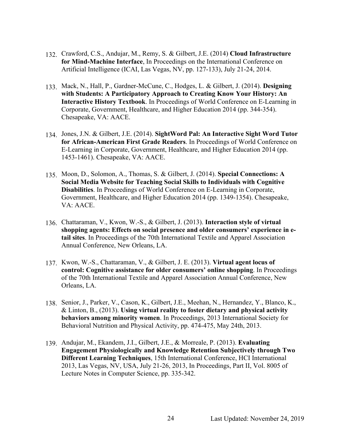- 132. Crawford, C.S., Andujar, M., Remy, S. & Gilbert, J.E. (2014) **Cloud Infrastructure for Mind-Machine Interface**, In Proceedings on the International Conference on Artificial Intelligence (ICAI, Las Vegas, NV, pp. 127-133), July 21-24, 2014.
- 133. Mack, N., Hall, P., Gardner-McCune, C., Hodges, L. & Gilbert, J. (2014). **Designing with Students: A Participatory Approach to Creating Know Your History: An Interactive History Textbook**. In Proceedings of World Conference on E-Learning in Corporate, Government, Healthcare, and Higher Education 2014 (pp. 344-354). Chesapeake, VA: AACE.
- 134. Jones, J.N. & Gilbert, J.E. (2014). **SightWord Pal: An Interactive Sight Word Tutor for African-American First Grade Readers**. In Proceedings of World Conference on E-Learning in Corporate, Government, Healthcare, and Higher Education 2014 (pp. 1453-1461). Chesapeake, VA: AACE.
- 135. Moon, D., Solomon, A., Thomas, S. & Gilbert, J. (2014). **Special Connections: A Social Media Website for Teaching Social Skills to Individuals with Cognitive Disabilities**. In Proceedings of World Conference on E-Learning in Corporate, Government, Healthcare, and Higher Education 2014 (pp. 1349-1354). Chesapeake, VA: AACE.
- 136. Chattaraman, V., Kwon, W.-S., & Gilbert, J. (2013). **Interaction style of virtual shopping agents: Effects on social presence and older consumers' experience in etail sites**. In Proceedings of the 70th International Textile and Apparel Association Annual Conference, New Orleans, LA.
- 137. Kwon, W.-S., Chattaraman, V., & Gilbert, J. E. (2013). **Virtual agent locus of control: Cognitive assistance for older consumers' online shopping**. In Proceedings of the 70th International Textile and Apparel Association Annual Conference, New Orleans, LA.
- 138. Senior, J., Parker, V., Cason, K., Gilbert, J.E., Meehan, N., Hernandez, Y., Blanco, K., & Linton, B., (2013). **Using virtual reality to foster dietary and physical activity behaviors among minority women**. In Proceedings, 2013 International Society for Behavioral Nutrition and Physical Activity, pp. 474-475, May 24th, 2013.
- 139. Andujar, M., Ekandem, J.I., Gilbert, J.E., & Morreale, P. (2013). **Evaluating Engagement Physiologically and Knowledge Retention Subjectively through Two Different Learning Techniques**, 15th International Conference, HCI International 2013, Las Vegas, NV, USA, July 21-26, 2013, In Proceedings, Part II, Vol. 8005 of Lecture Notes in Computer Science, pp. 335-342.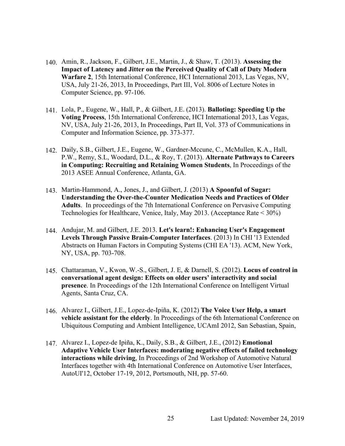- 140. Amin, R., Jackson, F., Gilbert, J.E., Martin, J., & Shaw, T. (2013). **Assessing the Impact of Latency and Jitter on the Perceived Quality of Call of Duty Modern Warfare 2**, 15th International Conference, HCI International 2013, Las Vegas, NV, USA, July 21-26, 2013, In Proceedings, Part III, Vol. 8006 of Lecture Notes in Computer Science, pp. 97-106.
- 141. Lola, P., Eugene, W., Hall, P., & Gilbert, J.E. (2013). **Balloting: Speeding Up the Voting Process**, 15th International Conference, HCI International 2013, Las Vegas, NV, USA, July 21-26, 2013, In Proceedings, Part II, Vol. 373 of Communications in Computer and Information Science, pp. 373-377.
- 142. Daily, S.B., Gilbert, J.E., Eugene, W., Gardner-Mccune, C., McMullen, K.A., Hall, P.W., Remy, S.L, Woodard, D.L., & Roy, T. (2013). **Alternate Pathways to Careers in Computing: Recruiting and Retaining Women Students**, In Proceedings of the 2013 ASEE Annual Conference, Atlanta, GA.
- 143. Martin-Hammond, A., Jones, J., and Gilbert, J. (2013) **A Spoonful of Sugar: Understanding the Over-the-Counter Medication Needs and Practices of Older Adults**. In proceedings of the 7th International Conference on Pervasive Computing Technologies for Healthcare, Venice, Italy, May 2013. (Acceptance Rate < 30%)
- 144. Andujar, M. and Gilbert, J.E. 2013. **Let's learn!: Enhancing User's Engagement Levels Through Passive Brain-Computer Interfaces**. (2013) In CHI '13 Extended Abstracts on Human Factors in Computing Systems (CHI EA '13). ACM, New York, NY, USA, pp. 703-708.
- 145. Chattaraman, V., Kwon, W.-S., Gilbert, J. E, & Darnell, S. (2012). **Locus of control in conversational agent design: Effects on older users' interactivity and social presence**. In Proceedings of the 12th International Conference on Intelligent Virtual Agents, Santa Cruz, CA.
- 146. Alvarez I., Gilbert, J.E., Lopez-de-Ipiña, K. (2012) **The Voice User Help, a smart vehicle assistant for the elderly**. In Proceedings of the 6th International Conference on Ubiquitous Computing and Ambient Intelligence, UCAmI 2012, San Sebastian, Spain,
- 147. Alvarez I., Lopez-de Ipiña, K., Daily, S.B., & Gilbert, J.E., (2012) **Emotional Adaptive Vehicle User Interfaces: moderating negative effects of failed technology interactions while driving**, In Proceedings of 2nd Workshop of Automotive Natural Interfaces together with 4th International Conference on Automotive User Interfaces, AutoUI'12, October 17-19, 2012, Portsmouth, NH, pp. 57-60.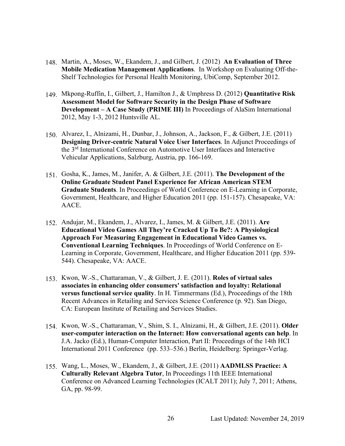- 148. Martin, A., Moses, W., Ekandem, J., and Gilbert, J. (2012) **An Evaluation of Three Mobile Medication Management Applications**. In Workshop on Evaluating Off-the-Shelf Technologies for Personal Health Monitoring, UbiComp, September 2012.
- 149. Mkpong-Ruffin, I., Gilbert, J., Hamilton J., & Umphress D. (2012) **Quantitative Risk Assessment Model for Software Security in the Design Phase of Software Development – A Case Study (PRIME III)** In Proceedings of AlaSim International 2012, May 1-3, 2012 Huntsville AL.
- 150. Alvarez, I., Alnizami, H., Dunbar, J., Johnson, A., Jackson, F., & Gilbert, J.E. (2011) **Designing Driver-centric Natural Voice User Interfaces**. In Adjunct Proceedings of the 3rd International Conference on Automotive User Interfaces and Interactive Vehicular Applications, Salzburg, Austria, pp. 166-169.
- 151. Gosha, K., James, M., Janifer, A. & Gilbert, J.E. (2011). **The Development of the Online Graduate Student Panel Experience for African American STEM Graduate Students**. In Proceedings of World Conference on E-Learning in Corporate, Government, Healthcare, and Higher Education 2011 (pp. 151-157). Chesapeake, VA: AACE.
- 152. Andujar, M., Ekandem, J., Alvarez, I., James, M. & Gilbert, J.E. (2011). **Are Educational Video Games All They're Cracked Up To Be?: A Physiological Approach For Measuring Engagement in Educational Video Games vs. Conventional Learning Techniques**. In Proceedings of World Conference on E-Learning in Corporate, Government, Healthcare, and Higher Education 2011 (pp. 539- 544). Chesapeake, VA: AACE.
- 153. Kwon, W.-S., Chattaraman, V., & Gilbert, J. E. (2011). **Roles of virtual sales associates in enhancing older consumers' satisfaction and loyalty: Relational versus functional service quality**. In H. Timmermans (Ed.), Proceedings of the 18th Recent Advances in Retailing and Services Science Conference (p. 92). San Diego, CA: European Institute of Retailing and Services Studies.
- 154. Kwon, W.-S., Chattaraman, V., Shim, S. I., Alnizami, H., & Gilbert, J.E. (2011). **Older user-computer interaction on the Internet: How conversational agents can help**. In J.A. Jacko (Ed.), Human-Computer Interaction, Part II: Proceedings of the 14th HCI International 2011 Conference (pp. 533–536.) Berlin, Heidelberg: Springer-Verlag.
- 155. Wang, L., Moses, W., Ekandem, J., & Gilbert, J.E. (2011) **AADMLSS Practice: A Culturally Relevant Algebra Tutor**, In Proceedings 11th IEEE International Conference on Advanced Learning Technologies (ICALT 2011); July 7, 2011; Athens, GA, pp. 98-99.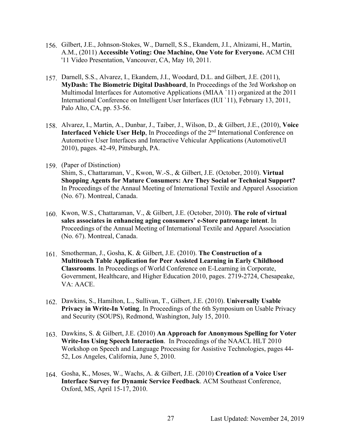- 156. Gilbert, J.E., Johnson-Stokes, W., Darnell, S.S., Ekandem, J.I., Alnizami, H., Martin, A.M., (2011) **Accessible Voting: One Machine, One Vote for Everyone.** ACM CHI '11 Video Presentation, Vancouver, CA, May 10, 2011.
- 157. Darnell, S.S., Alvarez, I., Ekandem, J.I., Woodard, D.L. and Gilbert, J.E. (2011), **MyDash: The Biometric Digital Dashboard**, In Proceedings of the 3rd Workshop on Multimodal Interfaces for Automotive Applications (MIAA `11) organized at the 2011 International Conference on Intelligent User Interfaces (IUI `11), February 13, 2011, Palo Alto, CA, pp. 53-56.
- 158. Alvarez, I., Martin, A., Dunbar, J., Taiber, J., Wilson, D., & Gilbert, J.E., (2010), **Voice Interfaced Vehicle User Help**, In Proceedings of the 2<sup>nd</sup> International Conference on Automotive User Interfaces and Interactive Vehicular Applications (AutomotiveUI 2010), pages. 42-49, Pittsburgh, PA.
- 159. (Paper of Distinction) Shim, S., Chattaraman, V., Kwon, W.-S., & Gilbert, J.E. (October, 2010). **Virtual Shopping Agents for Mature Consumers: Are They Social or Technical Support?** In Proceedings of the Annaul Meeting of International Textile and Apparel Association (No. 67). Montreal, Canada.
- 160. Kwon, W.S., Chattaraman, V., & Gilbert, J.E. (October, 2010). **The role of virtual sales associates in enhancing aging consumers' e-Store patronage intent**. In Proceedings of the Annual Meeting of International Textile and Apparel Association (No. 67). Montreal, Canada.
- 161. Smotherman, J., Gosha, K. & Gilbert, J.E. (2010). **The Construction of a Multitouch Table Application for Peer Assisted Learning in Early Childhood Classrooms**. In Proceedings of World Conference on E-Learning in Corporate, Government, Healthcare, and Higher Education 2010, pages. 2719-2724, Chesapeake, VA: AACE.
- 162. Dawkins, S., Hamilton, L., Sullivan, T., Gilbert, J.E. (2010). **Universally Usable Privacy in Write-In Voting**. In Proceedings of the 6th Symposium on Usable Privacy and Security (SOUPS), Redmond, Washington, July 15, 2010.
- 163. Dawkins, S. & Gilbert, J.E. (2010) **An Approach for Anonymous Spelling for Voter Write-Ins Using Speech Interaction**. In Proceedings of the NAACL HLT 2010 Workshop on Speech and Language Processing for Assistive Technologies, pages 44- 52, Los Angeles, California, June 5, 2010.
- 164. Gosha, K., Moses, W., Wachs, A. & Gilbert, J.E. (2010) **Creation of a Voice User Interface Survey for Dynamic Service Feedback**. ACM Southeast Conference, Oxford, MS, April 15-17, 2010.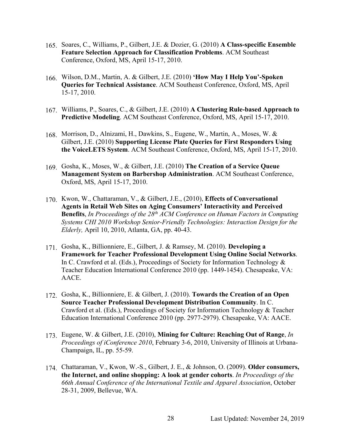- 165. Soares, C., Williams, P., Gilbert, J.E. & Dozier, G. (2010) **A Class-specific Ensemble Feature Selection Approach for Classification Problems**. ACM Southeast Conference, Oxford, MS, April 15-17, 2010.
- 166. Wilson, D.M., Martin, A. & Gilbert, J.E. (2010) **'How May I Help You'-Spoken Queries for Technical Assistance**. ACM Southeast Conference, Oxford, MS, April 15-17, 2010.
- 167. Williams, P., Soares, C., & Gilbert, J.E. (2010) **A Clustering Rule-based Approach to Predictive Modeling**. ACM Southeast Conference, Oxford, MS, April 15-17, 2010.
- 168. Morrison, D., Alnizami, H., Dawkins, S., Eugene, W., Martin, A., Moses, W. & Gilbert, J.E. (2010) **Supporting License Plate Queries for First Responders Using the VoiceLETS System**. ACM Southeast Conference, Oxford, MS, April 15-17, 2010.
- 169. Gosha, K., Moses, W., & Gilbert, J.E. (2010) **The Creation of a Service Queue Management System on Barbershop Administration**. ACM Southeast Conference, Oxford, MS, April 15-17, 2010.
- 170. Kwon, W., Chattaraman, V., & Gilbert, J.E., (2010), **Effects of Conversational Agents in Retail Web Sites on Aging Consumers' Interactivity and Perceived Benefits**, *In Proceedings of the 28th ACM Conference on Human Factors in Computing Systems CHI 2010 Workshop Senior-Friendly Technologies: Interaction Design for the Elderly,* April 10, 2010, Atlanta, GA, pp. 40-43.
- 171. Gosha, K., Billionniere, E., Gilbert, J. & Ramsey, M. (2010). **Developing a Framework for Teacher Professional Development Using Online Social Networks**. In C. Crawford et al. (Eds.), Proceedings of Society for Information Technology & Teacher Education International Conference 2010 (pp. 1449-1454). Chesapeake, VA: AACE.
- 172. Gosha, K., Billionniere, E. & Gilbert, J. (2010). **Towards the Creation of an Open Source Teacher Professional Development Distribution Community**. In C. Crawford et al. (Eds.), Proceedings of Society for Information Technology & Teacher Education International Conference 2010 (pp. 2977-2979). Chesapeake, VA: AACE.
- 173. Eugene, W. & Gilbert, J.E. (2010), **Mining for Culture: Reaching Out of Range**, *In Proceedings of iConference 2010*, February 3-6, 2010, University of Illinois at Urbana-Champaign, IL, pp. 55-59.
- 174. Chattaraman, V., Kwon, W.-S., Gilbert, J. E., & Johnson, O. (2009). **Older consumers, the Internet, and online shopping: A look at gender cohorts**. *In Proceedings of the 66th Annual Conference of the International Textile and Apparel Association*, October 28-31, 2009, Bellevue, WA.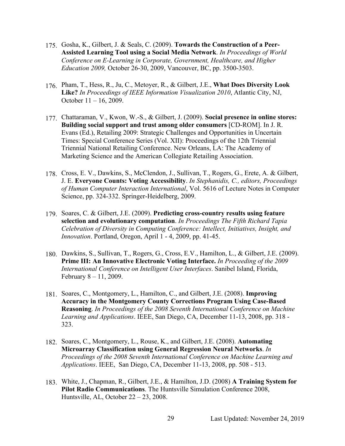- 175. Gosha, K., Gilbert, J. & Seals, C. (2009). **Towards the Construction of a Peer-Assisted Learning Tool using a Social Media Network**. *In Proceedings of World Conference on E-Learning in Corporate, Government, Healthcare, and Higher Education 2009,* October 26-30, 2009, Vancouver, BC, pp. 3500-3503.
- 176. Pham, T., Hess, R., Ju, C., Metoyer, R., & Gilbert, J.E., **What Does Diversity Look Like?** *In Proceedings of IEEE Information Visualization 2010*, Atlantic City, NJ, October 11 – 16, 2009.
- 177. Chattaraman, V., Kwon, W.-S., & Gilbert, J. (2009). **Social presence in online stores: Building social support and trust among older consumers** [CD-ROM]. In J. R. Evans (Ed.), Retailing 2009: Strategic Challenges and Opportunities in Uncertain Times: Special Conference Series (Vol. XII): Proceedings of the 12th Triennial Triennial National Retailing Conference. New Orleans, LA: The Academy of Marketing Science and the American Collegiate Retailing Association.
- 178. Cross, E. V., Dawkins, S., McClendon, J., Sullivan, T., Rogers, G., Erete, A. & Gilbert, J. E. **Everyone Counts: Voting Accessibility**. *In Stephanidis, C., editors, Proceedings of Human Computer Interaction International*, Vol. 5616 of Lecture Notes in Computer Science, pp. 324-332. Springer-Heidelberg, 2009.
- 179. Soares, C. & Gilbert, J.E. (2009). **Predicting cross-country results using feature selection and evolutionary computation**. *In Proceedings The Fifth Richard Tapia Celebration of Diversity in Computing Conference: Intellect, Initiatives, Insight, and Innovation*. Portland, Oregon, April 1 - 4, 2009, pp. 41-45.
- 180. Dawkins, S., Sullivan, T., Rogers, G., Cross, E.V., Hamilton, L., & Gilbert, J.E. (2009). **Prime III: An Innovative Electronic Voting Interface.** *In Proceeding of the 2009 International Conference on Intelligent User Interfaces*. Sanibel Island, Florida, February 8 – 11, 2009.
- 181. Soares, C., Montgomery, L., Hamilton, C., and Gilbert, J.E. (2008). **Improving Accuracy in the Montgomery County Corrections Program Using Case-Based Reasoning**. *In Proceedings of the 2008 Seventh International Conference on Machine Learning and Applications*. IEEE, San Diego, CA, December 11-13, 2008, pp. 318 - 323.
- 182. Soares, C., Montgomery, L., Rouse, K., and Gilbert, J.E. (2008). **Automating Microarray Classification using General Regression Neural Networks**. *In Proceedings of the 2008 Seventh International Conference on Machine Learning and Applications*. IEEE, San Diego, CA, December 11-13, 2008, pp. 508 - 513.
- 183. White, J., Chapman, R., Gilbert, J.E., & Hamilton, J.D. (2008) **A Training System for Pilot Radio Communications**. The Huntsville Simulation Conference 2008, Huntsville, AL, October 22 – 23, 2008.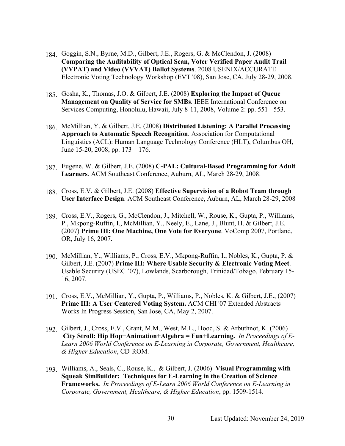- 184. Goggin, S.N., Byrne, M.D., Gilbert, J.E., Rogers, G. & McClendon, J. (2008) **Comparing the Auditability of Optical Scan, Voter Verified Paper Audit Trail (VVPAT) and Video (VVVAT) Ballot Systems**. 2008 USENIX/ACCURATE Electronic Voting Technology Workshop (EVT '08), San Jose, CA, July 28-29, 2008.
- 185. Gosha, K., Thomas, J.O. & Gilbert, J.E. (2008) **Exploring the Impact of Queue Management on Quality of Service for SMBs**. IEEE International Conference on Services Computing, Honolulu, Hawaii, July 8-11, 2008, Volume 2: pp. 551 - 553.
- 186. McMillian, Y. & Gilbert, J.E. (2008) **Distributed Listening: A Parallel Processing Approach to Automatic Speech Recognition**. Association for Computational Linguistics (ACL): Human Language Technology Conference (HLT), Columbus OH, June 15-20, 2008, pp. 173 – 176.
- 187. Eugene, W. & Gilbert, J.E. (2008) **C-PAL: Cultural-Based Programming for Adult Learners**. ACM Southeast Conference, Auburn, AL, March 28-29, 2008.
- 188. Cross, E.V. & Gilbert, J.E. (2008) **Effective Supervision of a Robot Team through User Interface Design**. ACM Southeast Conference, Auburn, AL, March 28-29, 2008
- 189. Cross, E.V., Rogers, G., McClendon, J., Mitchell, W., Rouse, K., Gupta, P., Williams, P., Mkpong-Ruffin, I., McMillian, Y., Neely, E., Lane, J., Blunt, H. & Gilbert, J.E. (2007) **Prime III: One Machine, One Vote for Everyone**. VoComp 2007, Portland, OR, July 16, 2007.
- 190. McMillian, Y., Williams, P., Cross, E.V., Mkpong-Ruffin, I., Nobles, K., Gupta, P. & Gilbert, J.E. (2007) **Prime III: Where Usable Security & Electronic Voting Meet**. Usable Security (USEC '07), Lowlands, Scarborough, Trinidad/Tobago, February 15- 16, 2007.
- 191. Cross, E.V., McMillian, Y., Gupta, P., Williams, P., Nobles, K. & Gilbert, J.E., (2007) **Prime III: A User Centered Voting System.** ACM CHI '07 Extended Abstracts Works In Progress Session, San Jose, CA, May 2, 2007.
- 192. Gilbert, J., Cross, E.V., Grant, M.M., West, M.L., Hood, S. & Arbuthnot, K. (2006) **City Stroll: Hip Hop+Animation+Algebra = Fun+Learning.** *In Proceedings of E-Learn 2006 World Conference on E-Learning in Corporate, Government, Healthcare, & Higher Education*, CD-ROM.
- 193. Williams, A., Seals, C., Rouse, K., & Gilbert, J. (2006) **Visual Programming with Squeak SimBuilder: Techniques for E-Learning in the Creation of Science Frameworks.** *In Proceedings of E-Learn 2006 World Conference on E-Learning in Corporate, Government, Healthcare, & Higher Education*, pp. 1509-1514.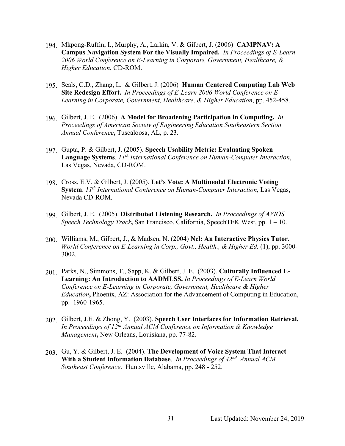- 194. Mkpong-Ruffin, I., Murphy, A., Larkin, V. & Gilbert, J. (2006) **CAMPNAV: A Campus Navigation System For the Visually Impaired.** *In Proceedings of E-Learn 2006 World Conference on E-Learning in Corporate, Government, Healthcare, & Higher Education*, CD-ROM.
- 195. Seals, C.D., Zhang, L. & Gilbert, J. (2006) **Human Centered Computing Lab Web Site Redesign Effort.** *In Proceedings of E-Learn 2006 World Conference on E-Learning in Corporate, Government, Healthcare, & Higher Education*, pp. 452-458.
- 196. Gilbert, J. E.(2006). **A Model for Broadening Participation in Computing.** *In Proceedings of American Society of Engineering Education Southeastern Section Annual Conference***,** Tuscaloosa, AL, p. 23.
- 197. Gupta, P. & Gilbert, J. (2005). **Speech Usability Metric: Evaluating Spoken Language Systems**. *11th International Conference on Human-Computer Interaction*, Las Vegas, Nevada, CD-ROM.
- 198. Cross, E.V. & Gilbert, J. (2005). **Let's Vote: A Multimodal Electronic Voting System**. *11th International Conference on Human-Computer Interaction*, Las Vegas, Nevada CD-ROM.
- 199. Gilbert, J. E.(2005). **Distributed Listening Research.** *In Proceedings of AVIOS Speech Technology Track***,** San Francisco, California, SpeechTEK West, pp. 1 – 10.
- 200. Williams, M., Gilbert, J., & Madsen, N. (2004) **Nel: An Interactive Physics Tutor**. *World Conference on E-Learning in Corp., Govt., Health., & Higher Ed.* (1), pp. 3000-3002.
- 201. Parks, N., Simmons, T., Sapp, K. & Gilbert, J. E.(2003). **Culturally Influenced E-Learning: An Introduction to AADMLSS.** *In Proceedings of E-Learn World Conference on E-Learning in Corporate, Government, Healthcare & Higher Education***,** Phoenix, AZ: Association for the Advancement of Computing in Education, pp. 1960-1965.
- 202. Gilbert, J.E. & Zhong, Y.(2003). **Speech User Interfaces for Information Retrieval.** *In Proceedings of 12th Annual ACM Conference on Information & Knowledge Management***,** New Orleans, Louisiana, pp. 77-82.
- 203. Gu, Y. & Gilbert, J. E. (2004). **The Development of Voice System That Interact With a Student Information Database**. *In Proceedings of 42nd Annual ACM Southeast Conference*. Huntsville, Alabama, pp. 248 - 252.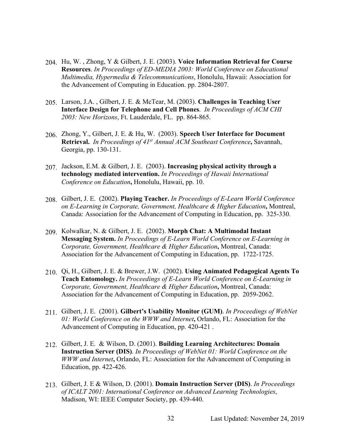- 204. Hu, W. , Zhong, Y & Gilbert, J. E. (2003). **Voice Information Retrieval for Course Resources**. *In Proceedings of ED-MEDIA 2003: World Conference on Educational Multimedia, Hypermedia & Telecommunications*, Honolulu, Hawaii: Association for the Advancement of Computing in Education. pp. 2804-2807.
- 205. Larson, J.A. , Gilbert, J. E. & McTear, M. (2003). **Challenges in Teaching User Interface Design for Telephone and Cell Phones**. *In Proceedings of ACM CHI 2003: New Horizons*, Ft. Lauderdale, FL. pp. 864-865.
- 206. Zhong, Y., Gilbert, J. E. & Hu, W.(2003). **Speech User Interface for Document Retrieval.** *In Proceedings of 41st Annual ACM Southeast Conference***,** Savannah, Georgia, pp. 130-131.
- 207. Jackson, E.M. & Gilbert, J. E.(2003). **Increasing physical activity through a technology mediated intervention.** *In Proceedings of Hawaii International Conference on Education***,** Honolulu, Hawaii, pp. 10.
- 208. Gilbert, J. E.(2002). **Playing Teacher.** *In Proceedings of E-Learn World Conference on E-Learning in Corporate, Government, Healthcare & Higher Education***,** Montreal, Canada: Association for the Advancement of Computing in Education, pp. 325-330.
- 209. Kolwalkar, N. & Gilbert, J. E.(2002). **Morph Chat: A Multimodal Instant Messaging System.** *In Proceedings of E-Learn World Conference on E-Learning in Corporate, Government, Healthcare & Higher Education***,** Montreal, Canada: Association for the Advancement of Computing in Education, pp. 1722-1725.
- 210. Qi, H., Gilbert, J. E. & Brewer, J.W. (2002). **Using Animated Pedagogical Agents To Teach Entomology.** *In Proceedings of E-Learn World Conference on E-Learning in Corporate, Government, Healthcare & Higher Education***,** Montreal, Canada: Association for the Advancement of Computing in Education, pp. 2059-2062.
- 211. Gilbert, J. E.(2001). **Gilbert's Usability Monitor (GUM)**. *In Proceedings of WebNet 01: World Conference on the WWW and Internet***,** Orlando, FL: Association for the Advancement of Computing in Education, pp. 420-421 .
- 212. Gilbert, J. E. & Wilson, D. (2001). **Building Learning Architectures: Domain Instruction Server (DIS)**. *In Proceedings of WebNet 01: World Conference on the WWW and Internet***,** Orlando, FL: Association for the Advancement of Computing in Education, pp. 422-426.
- 213. Gilbert, J. E & Wilson, D. (2001). **Domain Instruction Server (DIS)**. *In Proceedings of ICALT 2001: International Conference on Advanced Learning Technologies*, Madison, WI: IEEE Computer Society, pp. 439-440.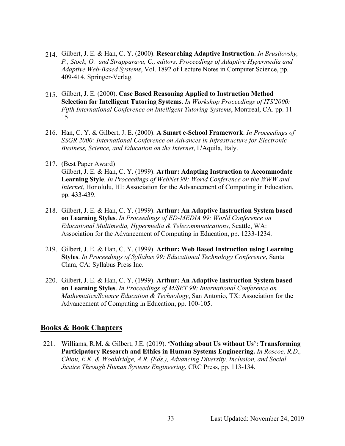- 214. Gilbert, J. E. & Han, C. Y. (2000). **Researching Adaptive Instruction**. *In Brusilovsky, P., Stock, O. and Strapparava, C., editors, Proceedings of Adaptive Hypermedia and Adaptive Web-Based Systems*, Vol. 1892 of Lecture Notes in Computer Science, pp. 409-414. Springer-Verlag.
- 215. Gilbert, J. E. (2000). **Case Based Reasoning Applied to Instruction Method Selection for Intelligent Tutoring Systems**. *In Workshop Proceedings of ITS'2000: Fifth International Conference on Intelligent Tutoring Systems*, Montreal, CA. pp. 11- 15.
- 216. Han, C. Y. & Gilbert, J. E. (2000). **A Smart e-School Framework**. *In Proceedings of SSGR 2000: International Conference on Advances in Infrastructure for Electronic Business, Science, and Education on the Internet*, L'Aquila, Italy.
- 217. (Best Paper Award) Gilbert, J. E. & Han, C. Y. (1999). **Arthur: Adapting Instruction to Accommodate Learning Style**. *In Proceedings of WebNet 99: World Conference on the WWW and Internet*, Honolulu, HI: Association for the Advancement of Computing in Education, pp. 433-439.
- 218. Gilbert, J. E. & Han, C. Y. (1999). **Arthur: An Adaptive Instruction System based on Learning Styles**. *In Proceedings of ED-MEDIA 99: World Conference on Educational Multimedia, Hypermedia & Telecommunications*, Seattle, WA: Association for the Advancement of Computing in Education, pp. 1233-1234.
- 219. Gilbert, J. E. & Han, C. Y. (1999). **Arthur: Web Based Instruction using Learning Styles**. *In Proceedings of Syllabus 99: Educational Technology Conference*, Santa Clara, CA: Syllabus Press Inc.
- 220. Gilbert, J. E. & Han, C. Y. (1999). **Arthur: An Adaptive Instruction System based on Learning Styles**. *In Proceedings of M/SET 99: International Conference on Mathematics/Science Education & Technology*, San Antonio, TX: Association for the Advancement of Computing in Education, pp. 100-105.

## **Books & Book Chapters**

221. Williams, R.M. & Gilbert, J.E. (2019). **'Nothing about Us without Us': Transforming Participatory Research and Ethics in Human Systems Engineering.** *In Roscoe, R.D., Chiou, E.K. & Wooldridge, A.R. (Eds.), Advancing Diversity, Inclusion, and Social Justice Through Human Systems Engineering*, CRC Press, pp. 113-134.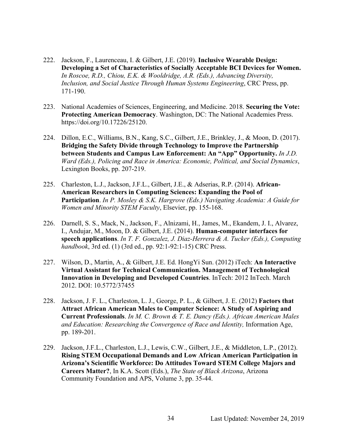- 222. Jackson, F., Laurenceau, I. & Gilbert, J.E. (2019). **Inclusive Wearable Design: Developing a Set of Characteristics of Socially Acceptable BCI Devices for Women.** *In Roscoe, R.D., Chiou, E.K. & Wooldridge, A.R. (Eds.), Advancing Diversity, Inclusion, and Social Justice Through Human Systems Engineering*, CRC Press, pp. 171-190.
- 223. National Academies of Sciences, Engineering, and Medicine. 2018. **Securing the Vote: Protecting American Democracy**. Washington, DC: The National Academies Press. https://doi.org/10.17226/25120.
- 224. Dillon, E.C., Williams, B.N., Kang, S.C., Gilbert, J.E., Brinkley, J., & Moon, D. (2017). **Bridging the Safety Divide through Technology to Improve the Partnership between Students and Campus Law Enforcement: An "App" Opportunity.** *In J.D. Ward (Eds.), Policing and Race in America: Economic, Political, and Social Dynamics*, Lexington Books, pp. 207-219.
- 225. Charleston, L.J., Jackson, J.F.L., Gilbert, J.E., & Adserias, R.P. (2014). **African-American Researchers in Computing Sciences: Expanding the Pool of Participation**. *In P. Mosley & S.K. Hargrove (Eds.) Navigating Academia: A Guide for Women and Minority STEM Faculty*, Elsevier, pp. 155-168.
- 226. Darnell, S. S., Mack, N., Jackson, F., Alnizami, H., James, M., Ekandem, J. I., Alvarez, I., Andujar, M., Moon, D. & Gilbert, J.E. (2014). **Human-computer interfaces for speech applications**. *In T. F. Gonzalez, J. Diaz-Herrera & A. Tucker (Eds.), Computing handbook*, 3rd ed. (1) (3rd ed., pp. 92:1-92:1-15) CRC Press.
- 227. Wilson, D., Martin, A., & Gilbert, J.E. Ed. HongYi Sun. (2012) iTech: **An Interactive Virtual Assistant for Technical Communication. Management of Technological Innovation in Developing and Developed Countries**. InTech: 2012 InTech. March 2012. DOI: 10.5772/37455
- 228. Jackson, J. F. L., Charleston, L. J., George, P. L., & Gilbert, J. E. (2012) **Factors that Attract African American Males to Computer Science: A Study of Aspiring and Current Professionals**. *In M. C. Brown & T. E. Dancy (Eds.). African American Males and Education: Researching the Convergence of Race and Identity,* Information Age, pp. 189-201.
- 229. Jackson, J.F.L., Charleston, L.J., Lewis, C.W., Gilbert, J.E., & Middleton, L.P., (2012). **Rising STEM Occupational Demands and Low African American Participation in Arizona's Scientific Workforce: Do Attitudes Toward STEM College Majors and Careers Matter?**, In K.A. Scott (Eds.), *The State of Black Arizona*, Arizona Community Foundation and APS, Volume 3, pp. 35-44.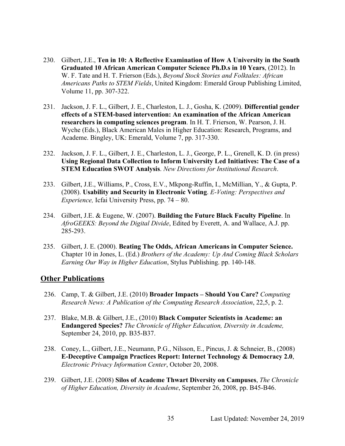- 230. Gilbert, J.E., **Ten in 10: A Reflective Examination of How A University in the South Graduated 10 African American Computer Science Ph.D.s in 10 Years**, (2012). In W. F. Tate and H. T. Frierson (Eds.), *Beyond Stock Stories and Folktales: African Americans Paths to STEM Fields*, United Kingdom: Emerald Group Publishing Limited, Volume 11, pp. 307-322.
- 231. Jackson, J. F. L., Gilbert, J. E., Charleston, L. J., Gosha, K. (2009). **Differential gender effects of a STEM-based intervention: An examination of the African American researchers in computing sciences program**. In H. T. Frierson, W. Pearson, J. H. Wyche (Eds.), Black American Males in Higher Education: Research, Programs, and Academe. Bingley, UK: Emerald, Volume 7, pp. 317-330.
- 232. Jackson, J. F. L., Gilbert, J. E., Charleston, L. J., George, P. L., Grenell, K. D. (in press) **Using Regional Data Collection to Inform University Led Initiatives: The Case of a STEM Education SWOT Analysis**. *New Directions for Institutional Research*.
- 233. Gilbert, J.E., Williams, P., Cross, E.V., Mkpong-Ruffin, I., McMillian, Y., & Gupta, P. (2008). **Usability and Security in Electronic Voting**. *E-Voting: Perspectives and Experience,* Icfai University Press, pp. 74 – 80.
- 234. Gilbert, J.E. & Eugene, W. (2007). **Building the Future Black Faculty Pipeline**. In *AfroGEEKS: Beyond the Digital Divide*, Edited by Everett, A. and Wallace, A.J. pp. 285-293.
- 235. Gilbert, J. E. (2000). **Beating The Odds, African Americans in Computer Science.** Chapter 10 in Jones, L. (Ed.) *Brothers of the Academy: Up And Coming Black Scholars Earning Our Way in Higher Education*, Stylus Publishing. pp. 140-148.

#### **Other Publications**

- 236. Camp, T. & Gilbert, J.E. (2010) **Broader Impacts – Should You Care?** *Computing Research News: A Publication of the Computing Research Association*, 22,5, p. 2.
- 237. Blake, M.B. & Gilbert, J.E., (2010) **Black Computer Scientists in Academe: an Endangered Species?** *The Chronicle of Higher Education, Diversity in Academe,*  September 24, 2010, pp. B35-B37.
- 238. Coney, L., Gilbert, J.E., Neumann, P.G., Nilsson, E., Pincus, J. & Schneier, B., (2008) **E-Deceptive Campaign Practices Report: Internet Technology & Democracy 2.0**, *Electronic Privacy Information Center*, October 20, 2008.
- 239. Gilbert, J.E. (2008) **Silos of Academe Thwart Diversity on Campuses**, *The Chronicle of Higher Education, Diversity in Academe*, September 26, 2008, pp. B45-B46.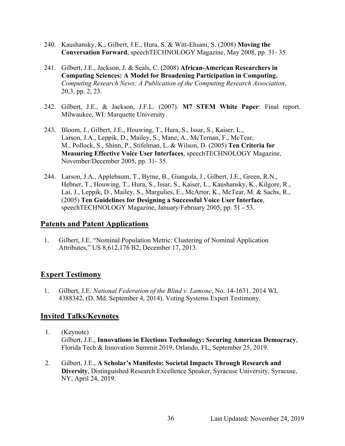- 240. Kaushansky, K., Gilbert, J.E., Hura, S. & Witt-Ehsani, S. (2008) **Moving the Conversation Forward**, speechTECHNOLOGY Magazine, May 2008, pp. 31- 35.
- 241. Gilbert, J.E., Jackson, J. & Seals, C. (2008) **African-American Researchers in Computing Sciences: A Model for Broadening Participation in Computing.**  *Computing Research News: A Publication of the Computing Research Association*, 20,3, pp. 2, 23.
- 242. Gilbert, J.E., & Jackson, J.F.L. (2007). **M7 STEM White Paper**: Final report. Milwaukee, WI: Marquette University.
- 243. Bloom, J., Gilbert, J.E., Houwing, T., Hura, S., Issar, S., Kaiser, L., Larson, J.A., Leppik, D., Mailey, S., Mane, A., McTernan, F., McTear, M., Pollock, S., Shinn, P., Stifelman, L. & Wilson, D. (2005) **Ten Criteria for Measuring Effective Voice User Interfaces**, speechTECHNOLOGY Magazine, November/December 2005, pp. 31- 35.
- 244. Larson, J.A., Applebaum, T., Byrne, B., Giangola, J., Gilbert, J.E., Green, R.N., Hebner, T., Houwing, T., Hura, S., Issar, S., Kaiser, L., Kaushansky, K., Kilgore, R., Lai, J., Leppik, D., Mailey, S., Margulies, E., McArtor, K., McTear, M. & Sachs, R., (2005) **Ten Guidelines for Designing a Successful Voice User Interface**, speechTECHNOLOGY Magazine, January/February 2005, pp. 51 - 53.

#### **Patents and Patent Applications**

1. Gilbert, J.E. "Nominal Population Metric: Clustering of Nominal Application Attributes," US 8,612,176 B2, December 17, 2013.

## **Expert Testimony**

1. Gilbert, J.E. *National Federation of the Blind v. Lamone*, No. 14-1631, 2014 WL 4388342, (D. Md. September 4, 2014). Voting Systems Expert Testimony.

# **Invited Talks/Keynotes**

- 1. (Keynote) Gilbert, J.E., **Innovations in Elections Technology: Securing American Democracy**, Florida Tech & Innovation Summit 2019, Orlando, FL, September 25, 2019.
- 2. Gilbert, J.E., **A Scholar's Manifesto: Societal Impacts Through Research and Diversity**, Distinguished Research Excellence Speaker, Syracuse University, Syracuse, NY, April 24, 2019.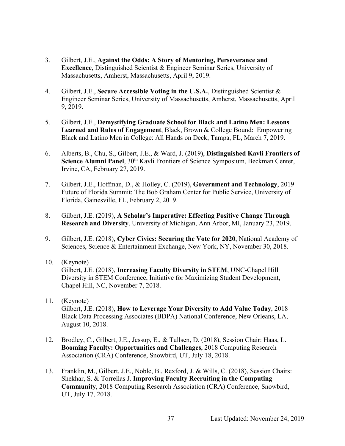- 3. Gilbert, J.E., **Against the Odds: A Story of Mentoring, Perseverance and Excellence**, Distinguished Scientist & Engineer Seminar Series, University of Massachusetts, Amherst, Massachusetts, April 9, 2019.
- 4. Gilbert, J.E., **Secure Accessible Voting in the U.S.A.**, Distinguished Scientist & Engineer Seminar Series, University of Massachusetts, Amherst, Massachusetts, April 9, 2019.
- 5. Gilbert, J.E., **Demystifying Graduate School for Black and Latino Men: Lessons Learned and Rules of Engagement**, Black, Brown & College Bound: Empowering Black and Latino Men in College: All Hands on Deck, Tampa, FL, March 7, 2019.
- 6. Alberts, B., Chu, S., Gilbert, J.E., & Ward, J. (2019), **Distinguished Kavli Frontiers of Science Alumni Panel**, 30<sup>th</sup> Kavli Frontiers of Science Symposium, Beckman Center, Irvine, CA, February 27, 2019.
- 7. Gilbert, J.E., Hoffman, D., & Holley, C. (2019), **Government and Technology**, 2019 Future of Florida Summit: The Bob Graham Center for Public Service, University of Florida, Gainesville, FL, February 2, 2019.
- 8. Gilbert, J.E. (2019), **A Scholar's Imperative: Effecting Positive Change Through Research and Diversity**, University of Michigan, Ann Arbor, MI, January 23, 2019.
- 9. Gilbert, J.E. (2018), **Cyber Civics: Securing the Vote for 2020**, National Academy of Sciences, Science & Entertainment Exchange, New York, NY, November 30, 2018.
- 10. (Keynote) Gilbert, J.E. (2018), **Increasing Faculty Diversity in STEM**, UNC-Chapel Hill Diversity in STEM Conference, Initiative for Maximizing Student Development, Chapel Hill, NC, November 7, 2018.
- 11. (Keynote) Gilbert, J.E. (2018), **How to Leverage Your Diversity to Add Value Today**, 2018 Black Data Processing Associates (BDPA) National Conference, New Orleans, LA, August 10, 2018.
- 12. Brodley, C., Gilbert, J.E., Jessup, E., & Tullsen, D. (2018), Session Chair: Haas, L. **Booming Faculty: Opportunities and Challenges**, 2018 Computing Research Association (CRA) Conference, Snowbird, UT, July 18, 2018.
- 13. Franklin, M., Gilbert, J.E., Noble, B., Rexford, J. & Wills, C. (2018), Session Chairs: Shekhar, S. & Torrellas J. **Improving Faculty Recruiting in the Computing Community**, 2018 Computing Research Association (CRA) Conference, Snowbird, UT, July 17, 2018.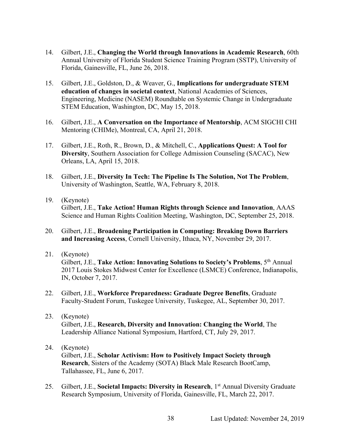- 14. Gilbert, J.E., **Changing the World through Innovations in Academic Research**, 60th Annual University of Florida Student Science Training Program (SSTP), University of Florida, Gainesville, FL, June 26, 2018.
- 15. Gilbert, J.E., Goldston, D., & Weaver, G., **Implications for undergraduate STEM education of changes in societal context**, National Academies of Sciences, Engineering, Medicine (NASEM) Roundtable on Systemic Change in Undergraduate STEM Education, Washington, DC, May 15, 2018.
- 16. Gilbert, J.E., **A Conversation on the Importance of Mentorship**, ACM SIGCHI CHI Mentoring (CHIMe), Montreal, CA, April 21, 2018.
- 17. Gilbert, J.E., Roth, R., Brown, D., & Mitchell, C., **Applications Quest: A Tool for Diversity**, Southern Association for College Admission Counseling (SACAC), New Orleans, LA, April 15, 2018.
- 18. Gilbert, J.E., **Diversity In Tech: The Pipeline Is The Solution, Not The Problem**, University of Washington, Seattle, WA, February 8, 2018.
- 19. (Keynote) Gilbert, J.E., **Take Action! Human Rights through Science and Innovation**, AAAS Science and Human Rights Coalition Meeting, Washington, DC, September 25, 2018.
- 20. Gilbert, J.E., **Broadening Participation in Computing: Breaking Down Barriers and Increasing Access**, Cornell University, Ithaca, NY, November 29, 2017.
- 21. (Keynote) Gilbert, J.E., **Take Action: Innovating Solutions to Society's Problems**, 5th Annual 2017 Louis Stokes Midwest Center for Excellence (LSMCE) Conference, Indianapolis, IN, October 7, 2017.
- 22. Gilbert, J.E., **Workforce Preparedness: Graduate Degree Benefits**, Graduate Faculty-Student Forum, Tuskegee University, Tuskegee, AL, September 30, 2017.
- 23. (Keynote) Gilbert, J.E., **Research, Diversity and Innovation: Changing the World**, The Leadership Alliance National Symposium, Hartford, CT, July 29, 2017.
- 24. (Keynote)

Gilbert, J.E., **Scholar Activism: How to Positively Impact Society through Research**, Sisters of the Academy (SOTA) Black Male Research BootCamp, Tallahassee, FL, June 6, 2017.

25. Gilbert, J.E., **Societal Impacts: Diversity in Research**, 1st Annual Diversity Graduate Research Symposium, University of Florida, Gainesville, FL, March 22, 2017.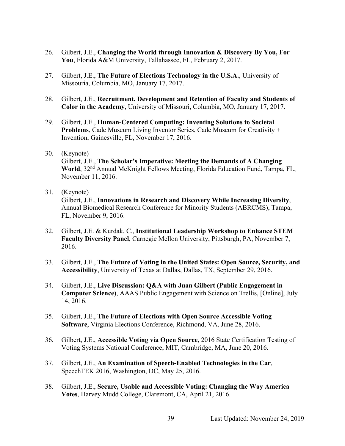- 26. Gilbert, J.E., **Changing the World through Innovation & Discovery By You, For You**, Florida A&M University, Tallahassee, FL, February 2, 2017.
- 27. Gilbert, J.E., **The Future of Elections Technology in the U.S.A.**, University of Missouria, Columbia, MO, January 17, 2017.
- 28. Gilbert, J.E., **Recruitment, Development and Retention of Faculty and Students of Color in the Academy**, University of Missouri, Columbia, MO, January 17, 2017.
- 29. Gilbert, J.E., **Human-Centered Computing: Inventing Solutions to Societal Problems**, Cade Museum Living Inventor Series, Cade Museum for Creativity + Invention, Gainesville, FL, November 17, 2016.
- 30. (Keynote)

Gilbert, J.E., **The Scholar's Imperative: Meeting the Demands of A Changing**  World, 32<sup>nd</sup> Annual McKnight Fellows Meeting, Florida Education Fund, Tampa, FL, November 11, 2016.

31. (Keynote)

Gilbert, J.E., **Innovations in Research and Discovery While Increasing Diversity**, Annual Biomedical Research Conference for Minority Students (ABRCMS), Tampa, FL, November 9, 2016.

- 32. Gilbert, J.E. & Kurdak, C., **Institutional Leadership Workshop to Enhance STEM Faculty Diversity Panel**, Carnegie Mellon University, Pittsburgh, PA, November 7, 2016.
- 33. Gilbert, J.E., **The Future of Voting in the United States: Open Source, Security, and Accessibility**, University of Texas at Dallas, Dallas, TX, September 29, 2016.
- 34. Gilbert, J.E., **Live Discussion: Q&A with Juan Gilbert (Public Engagement in Computer Science)**, AAAS Public Engagement with Science on Trellis, [Online], July 14, 2016.
- 35. Gilbert, J.E., **The Future of Elections with Open Source Accessible Voting Software**, Virginia Elections Conference, Richmond, VA, June 28, 2016.
- 36. Gilbert, J.E., **Accessible Voting via Open Source**, 2016 State Certification Testing of Voting Systems National Conference, MIT, Cambridge, MA, June 20, 2016.
- 37. Gilbert, J.E., **An Examination of Speech-Enabled Technologies in the Car**, SpeechTEK 2016, Washington, DC, May 25, 2016.
- 38. Gilbert, J.E., **Secure, Usable and Accessible Voting: Changing the Way America Votes**, Harvey Mudd College, Claremont, CA, April 21, 2016.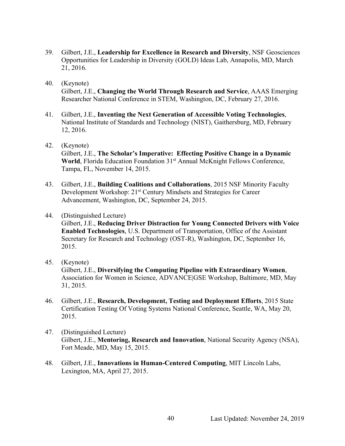- 39. Gilbert, J.E., **Leadership for Excellence in Research and Diversity**, NSF Geosciences Opportunities for Leadership in Diversity (GOLD) Ideas Lab, Annapolis, MD, March 21, 2016.
- 40. (Keynote) Gilbert, J.E., **Changing the World Through Research and Service**, AAAS Emerging Researcher National Conference in STEM, Washington, DC, February 27, 2016.
- 41. Gilbert, J.E., **Inventing the Next Generation of Accessible Voting Technologies**, National Institute of Standards and Technology (NIST), Gaithersburg, MD, February 12, 2016.
- 42. (Keynote)

Gilbert, J.E., **The Scholar's Imperative: Effecting Positive Change in a Dynamic** World, Florida Education Foundation 31<sup>st</sup> Annual McKnight Fellows Conference, Tampa, FL, November 14, 2015.

- 43. Gilbert, J.E., **Building Coalitions and Collaborations**, 2015 NSF Minority Faculty Development Workshop: 21<sup>st</sup> Century Mindsets and Strategies for Career Advancement, Washington, DC, September 24, 2015.
- 44. (Distinguished Lecture) Gilbert, J.E., **Reducing Driver Distraction for Young Connected Drivers with Voice Enabled Technologies**, U.S. Department of Transportation, Office of the Assistant Secretary for Research and Technology (OST-R), Washington, DC, September 16, 2015.
- 45. (Keynote) Gilbert, J.E., **Diversifying the Computing Pipeline with Extraordinary Women**, Association for Women in Science, ADVANCE|GSE Workshop, Baltimore, MD, May 31, 2015.
- 46. Gilbert, J.E., **Research, Development, Testing and Deployment Efforts**, 2015 State Certification Testing Of Voting Systems National Conference, Seattle, WA, May 20, 2015.
- 47. (Distinguished Lecture) Gilbert, J.E., **Mentoring, Research and Innovation**, National Security Agency (NSA), Fort Meade, MD, May 15, 2015.
- 48. Gilbert, J.E., **Innovations in Human-Centered Computing**, MIT Lincoln Labs, Lexington, MA, April 27, 2015.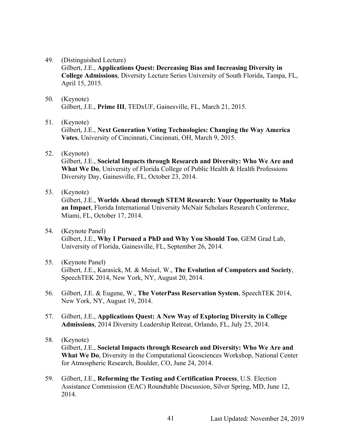49. (Distinguished Lecture)

Gilbert, J.E., **Applications Quest: Decreasing Bias and Increasing Diversity in College Admissions**, Diversity Lecture Series University of South Florida, Tampa, FL, April 15, 2015.

50. (Keynote) Gilbert, J.E., **Prime III**, TEDxUF, Gainesville, FL, March 21, 2015.

#### 51. (Keynote)

Gilbert, J.E., **Next Generation Voting Technologies: Changing the Way America Votes**, University of Cincinnati, Cincinnati, OH, March 9, 2015.

52. (Keynote)

Gilbert, J.E., **Societal Impacts through Research and Diversity: Who We Are and What We Do**, University of Florida College of Public Health & Health Professions Diversity Day, Gainesville, FL, October 23, 2014.

53. (Keynote)

Gilbert, J.E., **Worlds Ahead through STEM Research: Your Opportunity to Make an Impact**, Florida International University McNair Scholars Research Conference, Miami, FL, October 17, 2014.

- 54. (Keynote Panel) Gilbert, J.E., **Why I Pursued a PhD and Why You Should Too**, GEM Grad Lab, University of Florida, Gainesville, FL, September 26, 2014.
- 55. (Keynote Panel) Gilbert, J.E., Karasick, M. & Meisel, W., **The Evolution of Computers and Society**, SpeechTEK 2014, New York, NY, August 20, 2014.
- 56. Gilbert, J.E. & Eugene, W., **The VoterPass Reservation System**, SpeechTEK 2014, New York, NY, August 19, 2014.
- 57. Gilbert, J.E., **Applications Quest: A New Way of Exploring Diversity in College Admissions**, 2014 Diversity Leadership Retreat, Orlando, FL, July 25, 2014.
- 58. (Keynote)

Gilbert, J.E., **Societal Impacts through Research and Diversity: Who We Are and What We Do**, Diversity in the Computational Geosciences Workshop, National Center for Atmospheric Research, Boulder, CO, June 24, 2014.

59. Gilbert, J.E., **Reforming the Testing and Certification Process**, U.S. Election Assistance Commission (EAC) Roundtable Discussion, Silver Spring, MD, June 12, 2014.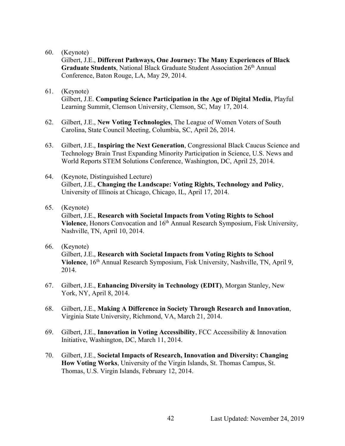Gilbert, J.E., **Different Pathways, One Journey: The Many Experiences of Black Graduate Students**, National Black Graduate Student Association 26th Annual Conference, Baton Rouge, LA, May 29, 2014.

- 61. (Keynote) Gilbert, J.E. **Computing Science Participation in the Age of Digital Media**, Playful Learning Summit, Clemson University, Clemson, SC, May 17, 2014.
- 62. Gilbert, J.E., **New Voting Technologies**, The League of Women Voters of South Carolina, State Council Meeting, Columbia, SC, April 26, 2014.
- 63. Gilbert, J.E., **Inspiring the Next Generation**, Congressional Black Caucus Science and Technology Brain Trust Expanding Minority Participation in Science, U.S. News and World Reports STEM Solutions Conference, Washington, DC, April 25, 2014.
- 64. (Keynote, Distinguished Lecture) Gilbert, J.E., **Changing the Landscape: Voting Rights, Technology and Policy**, University of Illinois at Chicago, Chicago, IL, April 17, 2014.
- 65. (Keynote) Gilbert, J.E., **Research with Societal Impacts from Voting Rights to School Violence**, Honors Convocation and 16<sup>th</sup> Annual Research Symposium, Fisk University, Nashville, TN, April 10, 2014.
- 66. (Keynote) Gilbert, J.E., **Research with Societal Impacts from Voting Rights to School Violence**, 16th Annual Research Symposium, Fisk University, Nashville, TN, April 9, 2014.
- 67. Gilbert, J.E., **Enhancing Diversity in Technology (EDIT)**, Morgan Stanley, New York, NY, April 8, 2014.
- 68. Gilbert, J.E., **Making A Difference in Society Through Research and Innovation**, Virginia State University, Richmond, VA, March 21, 2014.
- 69. Gilbert, J.E., **Innovation in Voting Accessibility**, FCC Accessibility & Innovation Initiative, Washington, DC, March 11, 2014.
- 70. Gilbert, J.E., **Societal Impacts of Research, Innovation and Diversity: Changing How Voting Works**, University of the Virgin Islands, St. Thomas Campus, St. Thomas, U.S. Virgin Islands, February 12, 2014.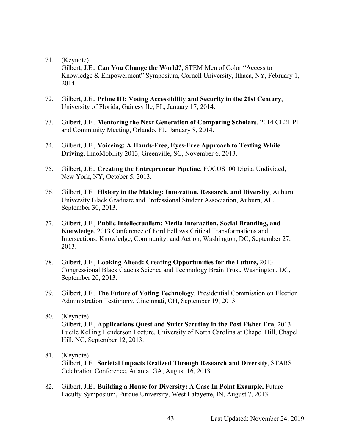Gilbert, J.E., **Can You Change the World?**, STEM Men of Color "Access to Knowledge & Empowerment" Symposium, Cornell University, Ithaca, NY, February 1, 2014.

- 72. Gilbert, J.E., **Prime III: Voting Accessibility and Security in the 21st Century**, University of Florida, Gainesville, FL, January 17, 2014.
- 73. Gilbert, J.E., **Mentoring the Next Generation of Computing Scholars**, 2014 CE21 PI and Community Meeting, Orlando, FL, January 8, 2014.
- 74. Gilbert, J.E., **Voiceing: A Hands-Free, Eyes-Free Approach to Texting While Driving**, InnoMobility 2013, Greenville, SC, November 6, 2013.
- 75. Gilbert, J.E., **Creating the Entrepreneur Pipeline**, FOCUS100 DigitalUndivided, New York, NY, October 5, 2013.
- 76. Gilbert, J.E., **History in the Making: Innovation, Research, and Diversity**, Auburn University Black Graduate and Professional Student Association, Auburn, AL, September 30, 2013.
- 77. Gilbert, J.E., **Public Intellectualism: Media Interaction, Social Branding, and Knowledge**, 2013 Conference of Ford Fellows Critical Transformations and Intersections: Knowledge, Community, and Action, Washington, DC, September 27, 2013.
- 78. Gilbert, J.E., **Looking Ahead: Creating Opportunities for the Future,** 2013 Congressional Black Caucus Science and Technology Brain Trust, Washington, DC, September 20, 2013.
- 79. Gilbert, J.E., **The Future of Voting Technology**, Presidential Commission on Election Administration Testimony, Cincinnati, OH, September 19, 2013.
- 80. (Keynote) Gilbert, J.E., **Applications Quest and Strict Scrutiny in the Post Fisher Era**, 2013 Lucile Kelling Henderson Lecture, University of North Carolina at Chapel Hill, Chapel Hill, NC, September 12, 2013.
- 81. (Keynote) Gilbert, J.E., **Societal Impacts Realized Through Research and Diversity**, STARS Celebration Conference, Atlanta, GA, August 16, 2013.
- 82. Gilbert, J.E., **Building a House for Diversity: A Case In Point Example,** Future Faculty Symposium, Purdue University, West Lafayette, IN, August 7, 2013.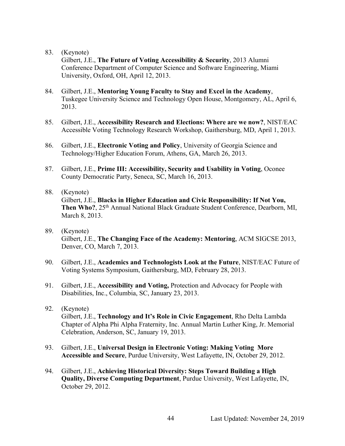Gilbert, J.E., **The Future of Voting Accessibility & Security**, 2013 Alumni Conference Department of Computer Science and Software Engineering, Miami University, Oxford, OH, April 12, 2013.

- 84. Gilbert, J.E., **Mentoring Young Faculty to Stay and Excel in the Academy**, Tuskegee University Science and Technology Open House, Montgomery, AL, April 6, 2013.
- 85. Gilbert, J.E., **Accessibility Research and Elections: Where are we now?**, NIST/EAC Accessible Voting Technology Research Workshop, Gaithersburg, MD, April 1, 2013.
- 86. Gilbert, J.E., **Electronic Voting and Policy**, University of Georgia Science and Technology/Higher Education Forum, Athens, GA, March 26, 2013.
- 87. Gilbert, J.E., **Prime III: Accessibility, Security and Usability in Voting**, Oconee County Democratic Party, Seneca, SC, March 16, 2013.

#### 88. (Keynote)

Gilbert, J.E., **Blacks in Higher Education and Civic Responsibility: If Not You,** Then Who?, 25<sup>th</sup> Annual National Black Graduate Student Conference, Dearborn, MI, March 8, 2013.

- 89. (Keynote) Gilbert, J.E., **The Changing Face of the Academy: Mentoring**, ACM SIGCSE 2013, Denver, CO, March 7, 2013.
- 90. Gilbert, J.E., **Academics and Technologists Look at the Future**, NIST/EAC Future of Voting Systems Symposium, Gaithersburg, MD, February 28, 2013.
- 91. Gilbert, J.E., **Accessibility and Voting,** Protection and Advocacy for People with Disabilities, Inc., Columbia, SC, January 23, 2013.
- 92. (Keynote) Gilbert, J.E., **Technology and It's Role in Civic Engagement**, Rho Delta Lambda Chapter of Alpha Phi Alpha Fraternity, Inc. Annual Martin Luther King, Jr. Memorial Celebration, Anderson, SC, January 19, 2013.
- 93. Gilbert, J.E., **Universal Design in Electronic Voting: Making Voting More Accessible and Secure**, Purdue University, West Lafayette, IN, October 29, 2012.
- 94. Gilbert, J.E., **Achieving Historical Diversity: Steps Toward Building a High Quality, Diverse Computing Department**, Purdue University, West Lafayette, IN, October 29, 2012.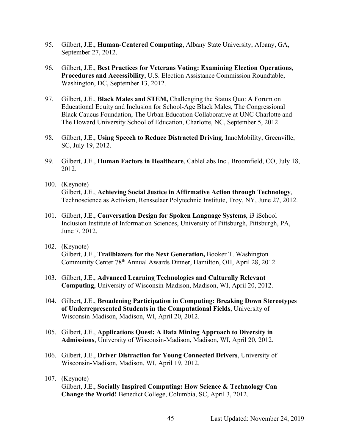- 95. Gilbert, J.E., **Human-Centered Computing**, Albany State University, Albany, GA, September 27, 2012.
- 96. Gilbert, J.E., **Best Practices for Veterans Voting: Examining Election Operations, Procedures and Accessibility**, U.S. Election Assistance Commission Roundtable, Washington, DC, September 13, 2012.
- 97. Gilbert, J.E., **Black Males and STEM,** Challenging the Status Quo: A Forum on Educational Equity and Inclusion for School-Age Black Males, The Congressional Black Caucus Foundation, The Urban Education Collaborative at UNC Charlotte and The Howard University School of Education, Charlotte, NC, September 5, 2012.
- 98. Gilbert, J.E., **Using Speech to Reduce Distracted Driving**, InnoMobility, Greenville, SC, July 19, 2012.
- 99. Gilbert, J.E., **Human Factors in Healthcare**, CableLabs Inc., Broomfield, CO, July 18, 2012.
- 100. (Keynote) Gilbert, J.E., **Achieving Social Justice in Affirmative Action through Technology**, Technoscience as Activism, Rensselaer Polytechnic Institute, Troy, NY, June 27, 2012.
- 101. Gilbert, J.E., **Conversation Design for Spoken Language Systems**, i3 iSchool Inclusion Institute of Information Sciences, University of Pittsburgh, Pittsburgh, PA, June 7, 2012.
- 102. (Keynote) Gilbert, J.E., **Trailblazers for the Next Generation,** Booker T. Washington Community Center 78th Annual Awards Dinner, Hamilton, OH, April 28, 2012.
- 103. Gilbert, J.E., **Advanced Learning Technologies and Culturally Relevant Computing**, University of Wisconsin-Madison, Madison, WI, April 20, 2012.
- 104. Gilbert, J.E., **Broadening Participation in Computing: Breaking Down Stereotypes of Underrepresented Students in the Computational Fields**, University of Wisconsin-Madison, Madison, WI, April 20, 2012.
- 105. Gilbert, J.E., **Applications Quest: A Data Mining Approach to Diversity in Admissions**, University of Wisconsin-Madison, Madison, WI, April 20, 2012.
- 106. Gilbert, J.E., **Driver Distraction for Young Connected Drivers**, University of Wisconsin-Madison, Madison, WI, April 19, 2012.
- 107. (Keynote)

Gilbert, J.E., **Socially Inspired Computing: How Science & Technology Can Change the World!** Benedict College, Columbia, SC, April 3, 2012.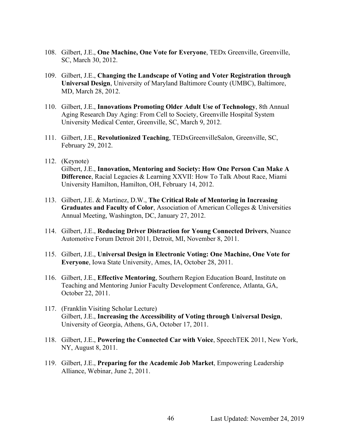- 108. Gilbert, J.E., **One Machine, One Vote for Everyone**, TEDx Greenville, Greenville, SC, March 30, 2012.
- 109. Gilbert, J.E., **Changing the Landscape of Voting and Voter Registration through Universal Design**, University of Maryland Baltimore County (UMBC), Baltimore, MD, March 28, 2012.
- 110. Gilbert, J.E., **Innovations Promoting Older Adult Use of Technology**, 8th Annual Aging Research Day Aging: From Cell to Society, Greenville Hospital System University Medical Center, Greenville, SC, March 9, 2012.
- 111. Gilbert, J.E., **Revolutionized Teaching**, TEDxGreenvilleSalon, Greenville, SC, February 29, 2012.
- 112. (Keynote) Gilbert, J.E., **Innovation, Mentoring and Society: How One Person Can Make A Difference**, Racial Legacies & Learning XXVII: How To Talk About Race, Miami University Hamilton, Hamilton, OH, February 14, 2012.
- 113. Gilbert, J.E. & Martinez, D.W., **The Critical Role of Mentoring in Increasing Graduates and Faculty of Color**, Association of American Colleges & Universities Annual Meeting, Washington, DC, January 27, 2012.
- 114. Gilbert, J.E., **Reducing Driver Distraction for Young Connected Drivers**, Nuance Automotive Forum Detroit 2011, Detroit, MI, November 8, 2011.
- 115. Gilbert, J.E., **Universal Design in Electronic Voting: One Machine, One Vote for Everyone**, Iowa State University, Ames, IA, October 28, 2011.
- 116. Gilbert, J.E., **Effective Mentoring**, Southern Region Education Board, Institute on Teaching and Mentoring Junior Faculty Development Conference, Atlanta, GA, October 22, 2011.
- 117. (Franklin Visiting Scholar Lecture) Gilbert, J.E., **Increasing the Accessibility of Voting through Universal Design**, University of Georgia, Athens, GA, October 17, 2011.
- 118. Gilbert, J.E., **Powering the Connected Car with Voice**, SpeechTEK 2011, New York, NY, August 8, 2011.
- 119. Gilbert, J.E., **Preparing for the Academic Job Market**, Empowering Leadership Alliance, Webinar, June 2, 2011.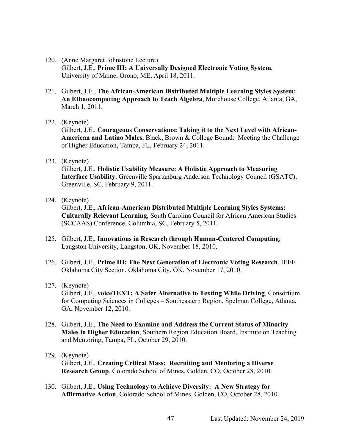- 120. (Anne Margaret Johnstone Lecture) Gilbert, J.E., **Prime III: A Universally Designed Electronic Voting System**, University of Maine, Orono, ME, April 18, 2011.
- 121. Gilbert, J.E., **The African-American Distributed Multiple Learning Styles System: An Ethnocomputing Approach to Teach Algebra**, Morehouse College, Atlanta, GA, March 1, 2011.
- 122. (Keynote)

Gilbert, J.E., **Courageous Conservations: Taking it to the Next Level with African-American and Latino Males**, Black, Brown & College Bound: Meeting the Challenge of Higher Education, Tampa, FL, February 24, 2011.

123. (Keynote)

Gilbert, J.E., **Holistic Usability Measure: A Holistic Approach to Measuring Interface Usability**, Greenville Spartanburg Anderson Technology Council (GSATC), Greenville, SC, February 9, 2011.

124. (Keynote)

Gilbert, J.E., **African-American Distributed Multiple Learning Styles Systems: Culturally Relevant Learning**, South Carolina Council for African American Studies (SCCAAS) Conference, Columbia, SC, February 5, 2011.

- 125. Gilbert, J.E., **Innovations in Research through Human-Centered Computing**, Langston University, Langston, OK, November 18, 2010.
- 126. Gilbert, J.E., **Prime III: The Next Generation of Electronic Voting Research**, IEEE Oklahoma City Section, Oklahoma City, OK, November 17, 2010.
- 127. (Keynote)

Gilbert, J.E., **voiceTEXT: A Safer Alternative to Texting While Driving**, Consortium for Computing Sciences in Colleges – Southeastern Region, Spelman College, Atlanta, GA, November 12, 2010.

128. Gilbert, J.E., **The Need to Examine and Address the Current Status of Minority Males in Higher Education**, Southern Region Education Board, Institute on Teaching and Mentoring, Tampa, FL, October 29, 2010.

### 129. (Keynote) Gilbert, J.E., **Creating Critical Mass: Recruiting and Mentoring a Diverse Research Group**, Colorado School of Mines, Golden, CO, October 28, 2010.

130. Gilbert, J.E., **Using Technology to Achieve Diversity: A New Strategy for Affirmative Action**, Colorado School of Mines, Golden, CO, October 28, 2010.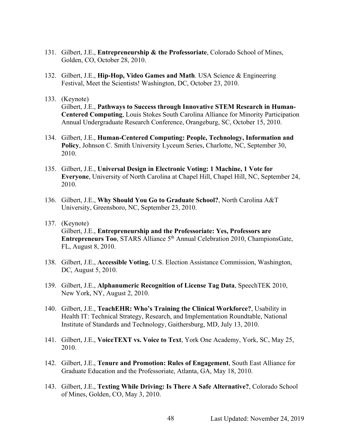- 131. Gilbert, J.E., **Entrepreneurship & the Professoriate**, Colorado School of Mines, Golden, CO, October 28, 2010.
- 132. Gilbert, J.E., **Hip-Hop, Video Games and Math**. USA Science & Engineering Festival, Meet the Scientists! Washington, DC, October 23, 2010.
- 133. (Keynote) Gilbert, J.E., **Pathways to Success through Innovative STEM Research in Human-Centered Computing**, Louis Stokes South Carolina Alliance for Minority Participation Annual Undergraduate Research Conference, Orangeburg, SC, October 15, 2010.
- 134. Gilbert, J.E., **Human-Centered Computing: People, Technology, Information and Policy**, Johnson C. Smith University Lyceum Series, Charlotte, NC, September 30, 2010.
- 135. Gilbert, J.E., **Universal Design in Electronic Voting: 1 Machine, 1 Vote for Everyone**, University of North Carolina at Chapel Hill, Chapel Hill, NC, September 24, 2010.
- 136. Gilbert, J.E., **Why Should You Go to Graduate School?**, North Carolina A&T University, Greensboro, NC, September 23, 2010.
- 137. (Keynote) Gilbert, J.E., **Entrepreneurship and the Professoriate: Yes, Professors are Entrepreneurs Too, STARS Alliance 5<sup>th</sup> Annual Celebration 2010, ChampionsGate,** FL, August 8, 2010.
- 138. Gilbert, J.E., **Accessible Voting.** U.S. Election Assistance Commission, Washington, DC, August 5, 2010.
- 139. Gilbert, J.E., **Alphanumeric Recognition of License Tag Data**, SpeechTEK 2010, New York, NY, August 2, 2010.
- 140. Gilbert, J.E., **TeachEHR: Who's Training the Clinical Workforce?**, Usability in Health IT: Technical Strategy, Research, and Implementation Roundtable, National Institute of Standards and Technology, Gaithersburg, MD, July 13, 2010.
- 141. Gilbert, J.E., **VoiceTEXT vs. Voice to Text**, York One Academy, York, SC, May 25, 2010.
- 142. Gilbert, J.E., **Tenure and Promotion: Rules of Engagement**, South East Alliance for Graduate Education and the Professoriate, Atlanta, GA, May 18, 2010.
- 143. Gilbert, J.E., **Texting While Driving: Is There A Safe Alternative?**, Colorado School of Mines, Golden, CO, May 3, 2010.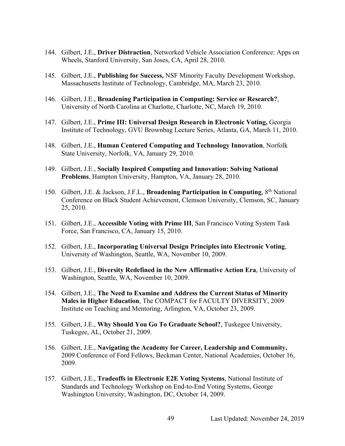- 144. Gilbert, J.E., **Driver Distraction**, Networked Vehicle Association Conference: Apps on Wheels, Stanford University, San Joses, CA, April 28, 2010.
- 145. Gilbert, J.E., **Publishing for Success,** NSF Minority Faculty Development Workshop, Massachusetts Institute of Technology, Cambridge, MA, March 23, 2010.
- 146. Gilbert, J.E., **Broadening Participation in Computing: Service or Research?**, University of North Carolina at Charlotte, Charlotte, NC, March 19, 2010.
- 147. Gilbert, J.E., **Prime III: Universal Design Research in Electronic Voting,** Georgia Institute of Technology, GVU Brownbag Lecture Series, Atlanta, GA, March 11, 2010.
- 148. Gilbert, J.E., **Human Centered Computing and Technology Innovation**, Norfolk State University, Norfolk, VA, January 29, 2010.
- 149. Gilbert, J.E., **Socially Inspired Computing and Innovation: Solving National Problems**, Hampton University, Hampton, VA, January 28, 2010.
- 150. Gilbert, J.E. & Jackson, J.F.L., **Broadening Participation in Computing**, 8th National Conference on Black Student Achievement, Clemson University, Clemson, SC, January 25, 2010.
- 151. Gilbert, J.E., **Accessible Voting with Prime III**, San Francisco Voting System Task Force, San Francisco, CA, January 15, 2010.
- 152. Gilbert, J.E., **Incorporating Universal Design Principles into Electronic Voting**, University of Washington, Seattle, WA, November 10, 2009.
- 153. Gilbert, J.E., **Diversity Redefined in the New Affirmative Action Era**, University of Washington, Seattle, WA, November 10, 2009.
- 154. Gilbert, J.E., **The Need to Examine and Address the Current Status of Minority Males in Higher Education**, The COMPACT for FACULTY DIVERSITY, 2009 Institute on Teaching and Mentoring, Arlington, VA, October 23, 2009.
- 155. Gilbert, J.E., **Why Should You Go To Graduate School?**, Tuskegee University, Tuskegee, AL, October 21, 2009.
- 156. Gilbert, J.E., **Navigating the Academy for Career, Leadership and Community,** 2009 Conference of Ford Fellows, Beckman Center, National Academies, October 16, 2009.
- 157. Gilbert, J.E., **Tradeoffs in Electronic E2E Voting Systems**, National Institute of Standards and Technology Workshop on End-to-End Voting Systems, George Washington University, Washington, DC, October 14, 2009.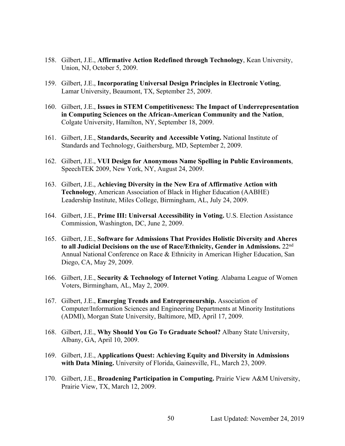- 158. Gilbert, J.E., **Affirmative Action Redefined through Technology**, Kean University, Union, NJ, October 5, 2009.
- 159. Gilbert, J.E., **Incorporating Universal Design Principles in Electronic Voting**, Lamar University, Beaumont, TX, September 25, 2009.
- 160. Gilbert, J.E., **Issues in STEM Competitiveness: The Impact of Underrepresentation in Computing Sciences on the African-American Community and the Nation**, Colgate University, Hamilton, NY, September 18, 2009.
- 161. Gilbert, J.E., **Standards, Security and Accessible Voting.** National Institute of Standards and Technology, Gaithersburg, MD, September 2, 2009.
- 162. Gilbert, J.E., **VUI Design for Anonymous Name Spelling in Public Environments**, SpeechTEK 2009, New York, NY, August 24, 2009.
- 163. Gilbert, J.E., **Achieving Diversity in the New Era of Affirmative Action with Technology**, American Association of Black in Higher Education (AABHE) Leadership Institute, Miles College, Birmingham, AL, July 24, 2009.
- 164. Gilbert, J.E., **Prime III: Universal Accessibility in Voting.** U.S. Election Assistance Commission, Washington, DC, June 2, 2009.
- 165. Gilbert, J.E., **Software for Admissions That Provides Holistic Diversity and Aheres to all Judicial Decisions on the use of Race/Ethnicity, Gender in Admissions.** 22nd Annual National Conference on Race & Ethnicity in American Higher Education, San Diego, CA, May 29, 2009.
- 166. Gilbert, J.E., **Security & Technology of Internet Voting**. Alabama League of Women Voters, Birmingham, AL, May 2, 2009.
- 167. Gilbert, J.E., **Emerging Trends and Entrepreneurship.** Association of Computer/Information Sciences and Engineering Departments at Minority Institutions (ADMI), Morgan State University, Baltimore, MD, April 17, 2009.
- 168. Gilbert, J.E., **Why Should You Go To Graduate School?** Albany State University, Albany, GA, April 10, 2009.
- 169. Gilbert, J.E., **Applications Quest: Achieving Equity and Diversity in Admissions with Data Mining.** University of Florida, Gainesville, FL, March 23, 2009.
- 170. Gilbert, J.E., **Broadening Participation in Computing.** Prairie View A&M University, Prairie View, TX, March 12, 2009.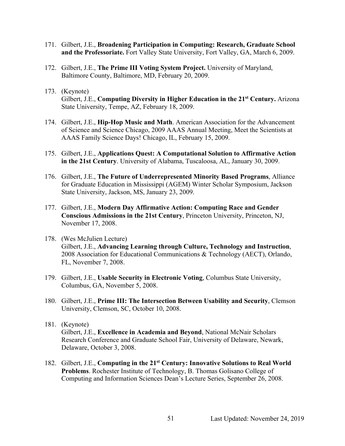- 171. Gilbert, J.E., **Broadening Participation in Computing: Research, Graduate School and the Professoriate.** Fort Valley State University, Fort Valley, GA, March 6, 2009.
- 172. Gilbert, J.E., **The Prime III Voting System Project.** University of Maryland, Baltimore County, Baltimore, MD, February 20, 2009.
- 173. (Keynote) Gilbert, J.E., **Computing Diversity in Higher Education in the 21st Century.** Arizona State University, Tempe, AZ, February 18, 2009.
- 174. Gilbert, J.E., **Hip-Hop Music and Math**. American Association for the Advancement of Science and Science Chicago, 2009 AAAS Annual Meeting, Meet the Scientists at AAAS Family Science Days! Chicago, IL, February 15, 2009.
- 175. Gilbert, J.E., **Applications Quest: A Computational Solution to Affirmative Action in the 21st Century**. University of Alabama, Tuscaloosa, AL, January 30, 2009.
- 176. Gilbert, J.E., **The Future of Underrepresented Minority Based Programs**, Alliance for Graduate Education in Mississippi (AGEM) Winter Scholar Symposium, Jackson State University, Jackson, MS, January 23, 2009.
- 177. Gilbert, J.E., **Modern Day Affirmative Action: Computing Race and Gender Conscious Admissions in the 21st Century**, Princeton University, Princeton, NJ, November 17, 2008.
- 178. (Wes McJulien Lecture) Gilbert, J.E., **Advancing Learning through Culture, Technology and Instruction**, 2008 Association for Educational Communications & Technology (AECT), Orlando, FL, November 7, 2008.
- 179. Gilbert, J.E., **Usable Security in Electronic Voting**, Columbus State University, Columbus, GA, November 5, 2008.
- 180. Gilbert, J.E., **Prime III: The Intersection Between Usability and Security**, Clemson University, Clemson, SC, October 10, 2008.
- 181. (Keynote) Gilbert, J.E., **Excellence in Academia and Beyond**, National McNair Scholars Research Conference and Graduate School Fair, University of Delaware, Newark, Delaware, October 3, 2008.
- 182. Gilbert, J.E., **Computing in the 21st Century: Innovative Solutions to Real World Problems**. Rochester Institute of Technology, B. Thomas Golisano College of Computing and Information Sciences Dean's Lecture Series, September 26, 2008.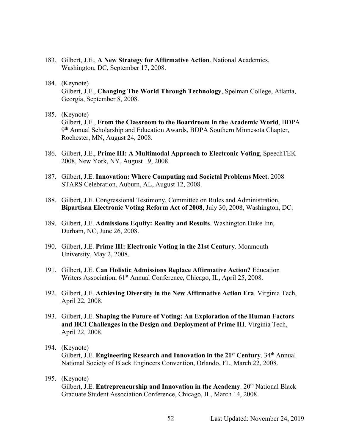- 183. Gilbert, J.E., **A New Strategy for Affirmative Action**. National Academies, Washington, DC, September 17, 2008.
- 184. (Keynote)

Gilbert, J.E., **Changing The World Through Technology**, Spelman College, Atlanta, Georgia, September 8, 2008.

185. (Keynote)

Gilbert, J.E., **From the Classroom to the Boardroom in the Academic World**, BDPA 9th Annual Scholarship and Education Awards, BDPA Southern Minnesota Chapter, Rochester, MN, August 24, 2008.

- 186. Gilbert, J.E., **Prime III: A Multimodal Approach to Electronic Voting**, SpeechTEK 2008, New York, NY, August 19, 2008.
- 187. Gilbert, J.E. **Innovation: Where Computing and Societal Problems Meet.** 2008 STARS Celebration, Auburn, AL, August 12, 2008.
- 188. Gilbert, J.E. Congressional Testimony, Committee on Rules and Administration, **Bipartisan Electronic Voting Reform Act of 2008**, July 30, 2008, Washington, DC.
- 189. Gilbert, J.E. **Admissions Equity: Reality and Results**. Washington Duke Inn, Durham, NC, June 26, 2008.
- 190. Gilbert, J.E. **Prime III: Electronic Voting in the 21st Century**. Monmouth University, May 2, 2008.
- 191. Gilbert, J.E. **Can Holistic Admissions Replace Affirmative Action?** Education Writers Association, 61<sup>st</sup> Annual Conference, Chicago, IL, April 25, 2008.
- 192. Gilbert, J.E. **Achieving Diversity in the New Affirmative Action Era**. Virginia Tech, April 22, 2008.
- 193. Gilbert, J.E. **Shaping the Future of Voting: An Exploration of the Human Factors and HCI Challenges in the Design and Deployment of Prime III**. Virginia Tech, April 22, 2008.
- 194. (Keynote) Gilbert, J.E. **Engineering Research and Innovation in the 21st Century**. 34th Annual National Society of Black Engineers Convention, Orlando, FL, March 22, 2008.
- 195. (Keynote) Gilbert, J.E. **Entrepreneurship and Innovation in the Academy**. 20<sup>th</sup> National Black Graduate Student Association Conference, Chicago, IL, March 14, 2008.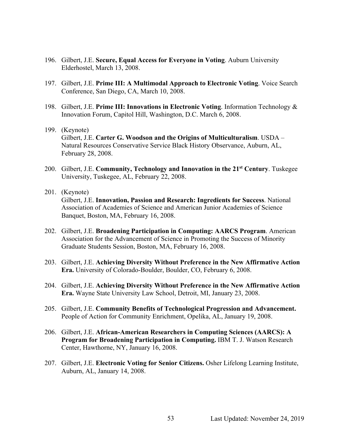- 196. Gilbert, J.E. **Secure, Equal Access for Everyone in Voting**. Auburn University Elderhostel, March 13, 2008.
- 197. Gilbert, J.E. **Prime III: A Multimodal Approach to Electronic Voting**. Voice Search Conference, San Diego, CA, March 10, 2008.
- 198. Gilbert, J.E. **Prime III: Innovations in Electronic Voting**. Information Technology & Innovation Forum, Capitol Hill, Washington, D.C. March 6, 2008.
- 199. (Keynote) Gilbert, J.E. **Carter G. Woodson and the Origins of Multiculturalism**. USDA – Natural Resources Conservative Service Black History Observance, Auburn, AL, February 28, 2008.
- 200. Gilbert, J.E. **Community, Technology and Innovation in the 21st Century**. Tuskegee University, Tuskegee, AL, February 22, 2008.
- 201. (Keynote)

Gilbert, J.E. **Innovation, Passion and Research: Ingredients for Success**. National Association of Academies of Science and American Junior Academies of Science Banquet, Boston, MA, February 16, 2008.

- 202. Gilbert, J.E. **Broadening Participation in Computing: AARCS Program**. American Association for the Advancement of Science in Promoting the Success of Minority Graduate Students Session, Boston, MA, February 16, 2008.
- 203. Gilbert, J.E. **Achieving Diversity Without Preference in the New Affirmative Action Era.** University of Colorado-Boulder, Boulder, CO, February 6, 2008.
- 204. Gilbert, J.E. **Achieving Diversity Without Preference in the New Affirmative Action Era.** Wayne State University Law School, Detroit, MI, January 23, 2008.
- 205. Gilbert, J.E. **Community Benefits of Technological Progression and Advancement.** People of Action for Community Enrichment, Opelika, AL, January 19, 2008.
- 206. Gilbert, J.E. **African-American Researchers in Computing Sciences (AARCS): A Program for Broadening Participation in Computing.** IBM T. J. Watson Research Center, Hawthorne, NY, January 16, 2008.
- 207. Gilbert, J.E. **Electronic Voting for Senior Citizens.** Osher Lifelong Learning Institute, Auburn, AL, January 14, 2008.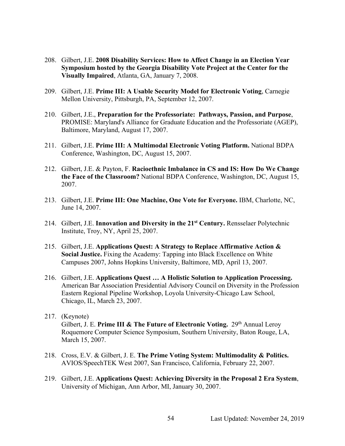- 208. Gilbert, J.E. **2008 Disability Services: How to Affect Change in an Election Year Symposium hosted by the Georgia Disability Vote Project at the Center for the Visually Impaired**, Atlanta, GA, January 7, 2008.
- 209. Gilbert, J.E. **Prime III: A Usable Security Model for Electronic Voting**, Carnegie Mellon University, Pittsburgh, PA, September 12, 2007.
- 210. Gilbert, J.E., **Preparation for the Professoriate: Pathways, Passion, and Purpose**, PROMISE: Maryland's Alliance for Graduate Education and the Professoriate (AGEP), Baltimore, Maryland, August 17, 2007.
- 211. Gilbert, J.E. **Prime III: A Multimodal Electronic Voting Platform.** National BDPA Conference, Washington, DC, August 15, 2007.
- 212. Gilbert, J.E. & Payton, F. **Racioethnic Imbalance in CS and IS: How Do We Change the Face of the Classroom?** National BDPA Conference, Washington, DC, August 15, 2007.
- 213. Gilbert, J.E. **Prime III: One Machine, One Vote for Everyone.** IBM, Charlotte, NC, June 14, 2007.
- 214. Gilbert, J.E. **Innovation and Diversity in the 21st Century.** Rensselaer Polytechnic Institute, Troy, NY, April 25, 2007.
- 215. Gilbert, J.E. **Applications Quest: A Strategy to Replace Affirmative Action & Social Justice.** Fixing the Academy: Tapping into Black Excellence on White Campuses 2007, Johns Hopkins University, Baltimore, MD, April 13, 2007.
- 216. Gilbert, J.E. **Applications Quest … A Holistic Solution to Application Processing.** American Bar Association Presidential Advisory Council on Diversity in the Profession Eastern Regional Pipeline Workshop, Loyola University-Chicago Law School, Chicago, IL, March 23, 2007.
- 217. (Keynote) Gilbert, J. E. **Prime III & The Future of Electronic Voting.** 29<sup>th</sup> Annual Leroy Roquemore Computer Science Symposium, Southern University, Baton Rouge, LA, March 15, 2007.
- 218. Cross, E.V. & Gilbert, J. E. **The Prime Voting System: Multimodality & Politics.** AVIOS/SpeechTEK West 2007, San Francisco, California, February 22, 2007.
- 219. Gilbert, J.E. **Applications Quest: Achieving Diversity in the Proposal 2 Era System**, University of Michigan, Ann Arbor, MI, January 30, 2007.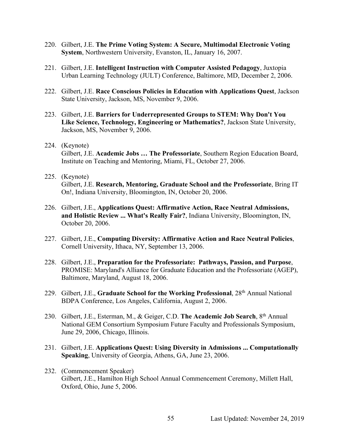- 220. Gilbert, J.E. **The Prime Voting System: A Secure, Multimodal Electronic Voting System**, Northwestern University, Evanston, IL, January 16, 2007.
- 221. Gilbert, J.E. **Intelligent Instruction with Computer Assisted Pedagogy**, Juxtopia Urban Learning Technology (JULT) Conference, Baltimore, MD, December 2, 2006.
- 222. Gilbert, J.E. **Race Conscious Policies in Education with Applications Quest**, Jackson State University, Jackson, MS, November 9, 2006.
- 223. Gilbert, J.E. **Barriers for Underrepresented Groups to STEM: Why Don't You Like Science, Technology, Engineering or Mathematics?**, Jackson State University, Jackson, MS, November 9, 2006.
- 224. (Keynote) Gilbert, J.E. **Academic Jobs … The Professoriate**, Southern Region Education Board, Institute on Teaching and Mentoring, Miami, FL, October 27, 2006.
- 225. (Keynote) Gilbert, J.E. **Research, Mentoring, Graduate School and the Professoriate**, Bring IT On!, Indiana University, Bloomington, IN, October 20, 2006.
- 226. Gilbert, J.E., **Applications Quest: Affirmative Action, Race Neutral Admissions, and Holistic Review ... What's Really Fair?**, Indiana University, Bloomington, IN, October 20, 2006.
- 227. Gilbert, J.E., **Computing Diversity: Affirmative Action and Race Neutral Policies**, Cornell University, Ithaca, NY, September 13, 2006.
- 228. Gilbert, J.E., **Preparation for the Professoriate: Pathways, Passion, and Purpose**, PROMISE: Maryland's Alliance for Graduate Education and the Professoriate (AGEP), Baltimore, Maryland, August 18, 2006.
- 229. Gilbert, J.E., **Graduate School for the Working Professional**, 28th Annual National BDPA Conference, Los Angeles, California, August 2, 2006.
- 230. Gilbert, J.E., Esterman, M., & Geiger, C.D. **The Academic Job Search**, 8th Annual National GEM Consortium Symposium Future Faculty and Professionals Symposium, June 29, 2006, Chicago, Illinois.
- 231. Gilbert, J.E. **Applications Quest: Using Diversity in Admissions ... Computationally Speaking**, University of Georgia, Athens, GA, June 23, 2006.
- 232. (Commencement Speaker) Gilbert, J.E., Hamilton High School Annual Commencement Ceremony, Millett Hall, Oxford, Ohio, June 5, 2006.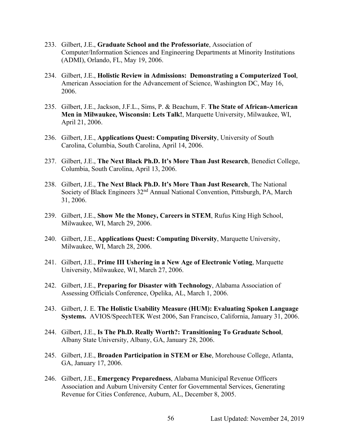- 233. Gilbert, J.E., **Graduate School and the Professoriate**, Association of Computer/Information Sciences and Engineering Departments at Minority Institutions (ADMI), Orlando, FL, May 19, 2006.
- 234. Gilbert, J.E., **Holistic Review in Admissions: Demonstrating a Computerized Tool**, American Association for the Advancement of Science, Washington DC, May 16, 2006.
- 235. Gilbert, J.E., Jackson, J.F.L., Sims, P. & Beachum, F. **The State of African-American Men in Milwaukee, Wisconsin: Lets Talk!**, Marquette University, Milwaukee, WI, April 21, 2006.
- 236. Gilbert, J.E., **Applications Quest: Computing Diversity**, University of South Carolina, Columbia, South Carolina, April 14, 2006.
- 237. Gilbert, J.E., **The Next Black Ph.D. It's More Than Just Research**, Benedict College, Columbia, South Carolina, April 13, 2006.
- 238. Gilbert, J.E., **The Next Black Ph.D. It's More Than Just Research**, The National Society of Black Engineers 32<sup>nd</sup> Annual National Convention, Pittsburgh, PA, March 31, 2006.
- 239. Gilbert, J.E., **Show Me the Money, Careers in STEM**, Rufus King High School, Milwaukee, WI, March 29, 2006.
- 240. Gilbert, J.E., **Applications Quest: Computing Diversity**, Marquette University, Milwaukee, WI, March 28, 2006.
- 241. Gilbert, J.E., **Prime III Ushering in a New Age of Electronic Voting**, Marquette University, Milwaukee, WI, March 27, 2006.
- 242. Gilbert, J.E., **Preparing for Disaster with Technology**, Alabama Association of Assessing Officials Conference, Opelika, AL, March 1, 2006.
- 243. Gilbert, J. E. **The Holistic Usability Measure (HUM): Evaluating Spoken Language Systems.** AVIOS/SpeechTEK West 2006, San Francisco, California, January 31, 2006.
- 244. Gilbert, J.E., **Is The Ph.D. Really Worth?: Transitioning To Graduate School**, Albany State University, Albany, GA, January 28, 2006.
- 245. Gilbert, J.E., **Broaden Participation in STEM or Else**, Morehouse College, Atlanta, GA, January 17, 2006.
- 246. Gilbert, J.E., **Emergency Preparedness**, Alabama Municipal Revenue Officers Association and Auburn University Center for Governmental Services, Generating Revenue for Cities Conference, Auburn, AL, December 8, 2005.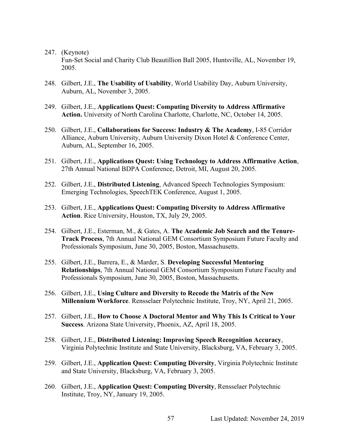Fun-Set Social and Charity Club Beautillion Ball 2005, Huntsville, AL, November 19, 2005.

- 248. Gilbert, J.E., **The Usability of Usability**, World Usability Day, Auburn University, Auburn, AL, November 3, 2005.
- 249. Gilbert, J.E., **Applications Quest: Computing Diversity to Address Affirmative Action.** University of North Carolina Charlotte, Charlotte, NC, October 14, 2005.
- 250. Gilbert, J.E., **Collaborations for Success: Industry & The Academy**, I-85 Corridor Alliance, Auburn University, Auburn University Dixon Hotel & Conference Center, Auburn, AL, September 16, 2005.
- 251. Gilbert, J.E., **Applications Quest: Using Technology to Address Affirmative Action**, 27th Annual National BDPA Conference, Detroit, MI, August 20, 2005.
- 252. Gilbert, J.E., **Distributed Listening**, Advanced Speech Technologies Symposium: Emerging Technologies, SpeechTEK Conference, August 1, 2005.
- 253. Gilbert, J.E., **Applications Quest: Computing Diversity to Address Affirmative Action**. Rice University, Houston, TX, July 29, 2005.
- 254. Gilbert, J.E., Esterman, M., & Gates, A. **The Academic Job Search and the Tenure-Track Process**, 7th Annual National GEM Consortium Symposium Future Faculty and Professionals Symposium, June 30, 2005, Boston, Massachusetts.
- 255. Gilbert, J.E., Barrera, E., & Marder, S. **Developing Successful Mentoring Relationships**, 7th Annual National GEM Consortium Symposium Future Faculty and Professionals Symposium, June 30, 2005, Boston, Massachusetts.
- 256. Gilbert, J.E., **Using Culture and Diversity to Recode the Matrix of the New Millennium Workforce**. Rensselaer Polytechnic Institute, Troy, NY, April 21, 2005.
- 257. Gilbert, J.E., **How to Choose A Doctoral Mentor and Why This Is Critical to Your Success**. Arizona State University, Phoenix, AZ, April 18, 2005.
- 258. Gilbert, J.E., **Distributed Listening: Improving Speech Recognition Accuracy**, Virginia Polytechnic Institute and State University, Blacksburg, VA, February 3, 2005.
- 259. Gilbert, J.E., **Application Quest: Computing Diversity**, Virginia Polytechnic Institute and State University, Blacksburg, VA, February 3, 2005.
- 260. Gilbert, J.E., **Application Quest: Computing Diversity**, Rensselaer Polytechnic Institute, Troy, NY, January 19, 2005.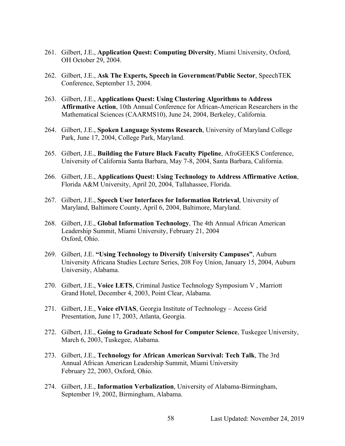- 261. Gilbert, J.E., **Application Quest: Computing Diversity**, Miami University, Oxford, OH October 29, 2004.
- 262. Gilbert, J.E., **Ask The Experts, Speech in Government/Public Sector**, SpeechTEK Conference, September 13, 2004.
- 263. Gilbert, J.E., **Applications Quest: Using Clustering Algorithms to Address Affirmative Action**, 10th Annual Conference for African-American Researchers in the Mathematical Sciences (CAARMS10), June 24, 2004, Berkeley, California.
- 264. Gilbert, J.E., **Spoken Language Systems Research**, University of Maryland College Park, June 17, 2004, College Park, Maryland.
- 265. Gilbert, J.E., **Building the Future Black Faculty Pipeline**, AfroGEEKS Conference, University of California Santa Barbara, May 7-8, 2004, Santa Barbara, California.
- 266. Gilbert, J.E., **Applications Quest: Using Technology to Address Affirmative Action**, Florida A&M University, April 20, 2004, Tallahassee, Florida.
- 267. Gilbert, J.E., **Speech User Interfaces for Information Retrieval**, University of Maryland, Baltimore County, April 6, 2004, Baltimore, Maryland.
- 268. Gilbert, J.E., **Global Information Technology**, The 4th Annual African American Leadership Summit, Miami University, February 21, 2004 Oxford, Ohio.
- 269. Gilbert, J.E. **"Using Technology to Diversify University Campuses"**, Auburn University Africana Studies Lecture Series, 208 Foy Union, January 15, 2004, Auburn University, Alabama.
- 270. Gilbert, J.E., **Voice LETS**, Criminal Justice Technology Symposium V , Marriott Grand Hotel, December 4, 2003, Point Clear, Alabama.
- 271. Gilbert, J.E., **Voice elVIAS**, Georgia Institute of Technology Access Grid Presentation, June 17, 2003, Atlanta, Georgia.
- 272. Gilbert, J.E., **Going to Graduate School for Computer Science**, Tuskegee University, March 6, 2003, Tuskegee, Alabama.
- 273. Gilbert, J.E., **Technology for African American Survival: Tech Talk**, The 3rd Annual African American Leadership Summit, Miami University February 22, 2003, Oxford, Ohio.
- 274. Gilbert, J.E., **Information Verbalization**, University of Alabama-Birmingham, September 19, 2002, Birmingham, Alabama.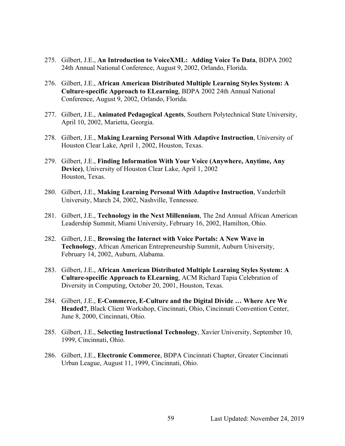- 275. Gilbert, J.E., **An Introduction to VoiceXML: Adding Voice To Data**, BDPA 2002 24th Annual National Conference, August 9, 2002, Orlando, Florida.
- 276. Gilbert, J.E., **African American Distributed Multiple Learning Styles System: A Culture-specific Approach to ELearning**, BDPA 2002 24th Annual National Conference, August 9, 2002, Orlando, Florida.
- 277. Gilbert, J.E., **Animated Pedagogical Agents**, Southern Polytechnical State University, April 10, 2002, Marietta, Georgia.
- 278. Gilbert, J.E., **Making Learning Personal With Adaptive Instruction**, University of Houston Clear Lake, April 1, 2002, Houston, Texas.
- 279. Gilbert, J.E., **Finding Information With Your Voice (Anywhere, Anytime, Any Device)**, University of Houston Clear Lake, April 1, 2002 Houston, Texas.
- 280. Gilbert, J.E., **Making Learning Personal With Adaptive Instruction**, Vanderbilt University, March 24, 2002, Nashville, Tennessee.
- 281. Gilbert, J.E., **Technology in the Next Millennium**, The 2nd Annual African American Leadership Summit, Miami University, February 16, 2002, Hamilton, Ohio.
- 282. Gilbert, J.E., **Browsing the Internet with Voice Portals: A New Wave in Technology**, African American Entrepreneurship Summit, Auburn University, February 14, 2002, Auburn, Alabama.
- 283. Gilbert, J.E., **African American Distributed Multiple Learning Styles System: A Culture-specific Approach to ELearning**, ACM Richard Tapia Celebration of Diversity in Computing, October 20, 2001, Houston, Texas.
- 284. Gilbert, J.E., **E-Commerce, E-Culture and the Digital Divide … Where Are We Headed?**, Black Client Workshop, Cincinnati, Ohio, Cincinnati Convention Center, June 8, 2000, Cincinnati, Ohio.
- 285. Gilbert, J.E., **Selecting Instructional Technology**, Xavier University, September 10, 1999, Cincinnati, Ohio.
- 286. Gilbert, J.E., **Electronic Commerce**, BDPA Cincinnati Chapter, Greater Cincinnati Urban League, August 11, 1999, Cincinnati, Ohio.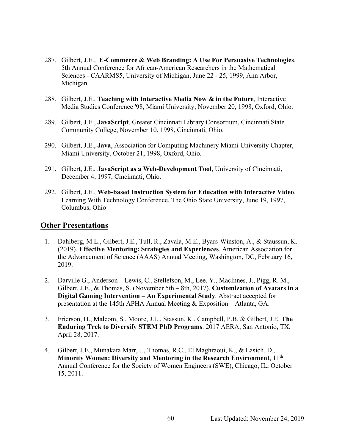- 287. Gilbert, J.E., **E-Commerce & Web Branding: A Use For Persuasive Technologies**, 5th Annual Conference for African-American Researchers in the Mathematical Sciences - CAARMS5, University of Michigan, June 22 - 25, 1999, Ann Arbor, Michigan.
- 288. Gilbert, J.E., **Teaching with Interactive Media Now & in the Future**, Interactive Media Studies Conference '98, Miami University, November 20, 1998, Oxford, Ohio.
- 289. Gilbert, J.E., **JavaScript**, Greater Cincinnati Library Consortium, Cincinnati State Community College, November 10, 1998, Cincinnati, Ohio.
- 290. Gilbert, J.E., **Java**, Association for Computing Machinery Miami University Chapter, Miami University, October 21, 1998, Oxford, Ohio.
- 291. Gilbert, J.E., **JavaScript as a Web-Development Tool**, University of Cincinnati, December 4, 1997, Cincinnati, Ohio.
- 292. Gilbert, J.E., **Web-based Instruction System for Education with Interactive Video**, Learning With Technology Conference, The Ohio State University, June 19, 1997, Columbus, Ohio

### **Other Presentations**

- 1. Dahlberg, M.L., Gilbert, J.E., Tull, R., Zavala, M.E., Byars-Winston, A., & Staussun, K. (2019), **Effective Mentoring: Strategies and Experiences**, American Association for the Advancement of Science (AAAS) Annual Meeting, Washington, DC, February 16, 2019.
- 2. Darville G., Anderson Lewis, C., Stellefson, M., Lee, Y., MacInnes, J., Pigg, R. M., Gilbert, J.E., & Thomas, S. (November 5th – 8th, 2017). **Customization of Avatars in a Digital Gaming Intervention – An Experimental Study**. Abstract accepted for presentation at the 145th APHA Annual Meeting & Exposition – Atlanta, GA.
- 3. Frierson, H., Malcom, S., Moore, J.L., Stassun, K., Campbell, P.B. & Gilbert, J.E. **The Enduring Trek to Diversify STEM PhD Programs**. 2017 AERA, San Antonio, TX, April 28, 2017.
- 4. Gilbert, J.E., Munakata Marr, J., Thomas, R.C., El Maghraoui, K., & Lasich, D., **Minority Women: Diversity and Mentoring in the Research Environment**, 11th Annual Conference for the Society of Women Engineers (SWE), Chicago, IL, October 15, 2011.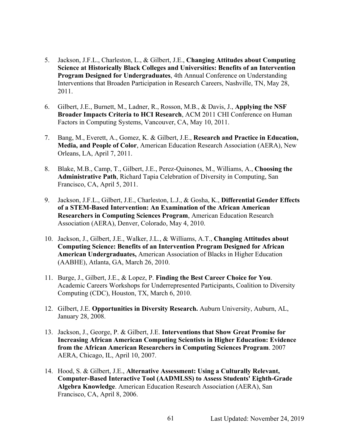- 5. Jackson, J.F.L., Charleston, L., & Gilbert, J.E., **Changing Attitudes about Computing Science at Historically Black Colleges and Universities: Benefits of an Intervention Program Designed for Undergraduates**, 4th Annual Conference on Understanding Interventions that Broaden Participation in Research Careers, Nashville, TN, May 28, 2011.
- 6. Gilbert, J.E., Burnett, M., Ladner, R., Rosson, M.B., & Davis, J., **Applying the NSF Broader Impacts Criteria to HCI Research**, ACM 2011 CHI Conference on Human Factors in Computing Systems, Vancouver, CA, May 10, 2011.
- 7. Bang, M., Everett, A., Gomez, K. & Gilbert, J.E., **Research and Practice in Education, Media, and People of Color**, American Education Research Association (AERA), New Orleans, LA, April 7, 2011.
- 8. Blake, M.B., Camp, T., Gilbert, J.E., Perez-Quinones, M., Williams, A., **Choosing the Administrative Path**, Richard Tapia Celebration of Diversity in Computing, San Francisco, CA, April 5, 2011.
- 9. Jackson, J.F.L., Gilbert, J.E., Charleston, L.J., & Gosha, K., **Differential Gender Effects of a STEM-Based Intervention: An Examination of the African American Researchers in Computing Sciences Program**, American Education Research Association (AERA), Denver, Colorado, May 4, 2010.
- 10. Jackson, J., Gilbert, J.E., Walker, J.L., & Williams, A.T., **Changing Attitudes about Computing Science: Benefits of an Intervention Program Designed for African American Undergraduates,** American Association of Blacks in Higher Education (AABHE), Atlanta, GA, March 26, 2010.
- 11. Burge, J., Gilbert, J.E., & Lopez, P. **Finding the Best Career Choice for You**. Academic Careers Workshops for Underrepresented Participants, Coalition to Diversity Computing (CDC), Houston, TX, March 6, 2010.
- 12. Gilbert, J.E. **Opportunities in Diversity Research.** Auburn University, Auburn, AL, January 28, 2008.
- 13. Jackson, J., George, P. & Gilbert, J.E. **Interventions that Show Great Promise for Increasing African American Computing Scientists in Higher Education: Evidence from the African American Researchers in Computing Sciences Program**. 2007 AERA, Chicago, IL, April 10, 2007.
- 14. Hood, S. & Gilbert, J.E., **Alternative Assessment: Using a Culturally Relevant, Computer-Based Interactive Tool (AADMLSS) to Assess Students' Eighth-Grade Algebra Knowledge**. American Education Research Association (AERA), San Francisco, CA, April 8, 2006.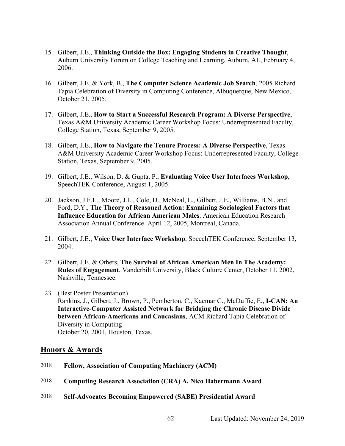- 15. Gilbert, J.E., **Thinking Outside the Box: Engaging Students in Creative Thought**, Auburn University Forum on College Teaching and Learning, Auburn, AL, February 4, 2006.
- 16. Gilbert, J.E. & York, B., **The Computer Science Academic Job Search**, 2005 Richard Tapia Celebration of Diversity in Computing Conference, Albuquerque, New Mexico, October 21, 2005.
- 17. Gilbert, J.E., **How to Start a Successful Research Program: A Diverse Perspective**, Texas A&M University Academic Career Workshop Focus: Underrepresented Faculty, College Station, Texas, September 9, 2005.
- 18. Gilbert, J.E., **How to Navigate the Tenure Process: A Diverse Perspective**, Texas A&M University Academic Career Workshop Focus: Underrepresented Faculty, College Station, Texas, September 9, 2005.
- 19. Gilbert, J.E., Wilson, D. & Gupta, P., **Evaluating Voice User Interfaces Workshop**, SpeechTEK Conference, August 1, 2005.
- 20. Jackson, J.F.L., Moore, J.L., Cole, D., McNeal, L., Gilbert, J.E., Williams, B.N., and Ford, D.Y., **The Theory of Reasoned Action: Examining Sociological Factors that Influence Education for African American Males**. American Education Research Association Annual Conference. April 12, 2005, Montreal, Canada.
- 21. Gilbert, J.E., **Voice User Interface Workshop**, SpeechTEK Conference, September 13, 2004.
- 22. Gilbert, J.E. & Others, **The Survival of African American Men In The Academy: Rules of Engagement**, Vanderbilt University, Black Culture Center, October 11, 2002, Nashville, Tennessee.
- 23. (Best Poster Presentation) Rankins, J., Gilbert, J., Brown, P., Pemberton, C., Kacmar C., McDuffie, E., **I-CAN: An Interactive-Computer Assisted Network for Bridging the Chronic Disease Divide between African-Americans and Caucasians**, ACM Richard Tapia Celebration of Diversity in Computing October 20, 2001, Houston, Texas.

#### **Honors & Awards**

- 2018 **Fellow, Association of Computing Machinery (ACM)**
- 2018 **Computing Research Association (CRA) A. Nico Habermann Award**
- 2018 **Self-Advocates Becoming Empowered (SABE) Presidential Award**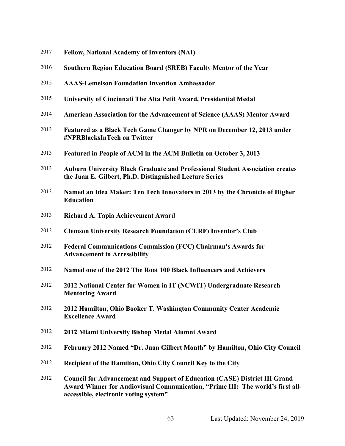- **Fellow, National Academy of Inventors (NAI)**
- **Southern Region Education Board (SREB) Faculty Mentor of the Year**
- **AAAS-Lemelson Foundation Invention Ambassador**
- **University of Cincinnati The Alta Petit Award, Presidential Medal**
- **American Association for the Advancement of Science (AAAS) Mentor Award**
- **Featured as a Black Tech Game Changer by NPR on December 12, 2013 under #NPRBlacksInTech on Twitter**
- **Featured in People of ACM in the ACM Bulletin on October 3, 2013**
- **Auburn University Black Graduate and Professional Student Association creates the Juan E. Gilbert, Ph.D. Distinguished Lecture Series**
- **Named an Idea Maker: Ten Tech Innovators in 2013 by the Chronicle of Higher Education**
- **Richard A. Tapia Achievement Award**
- **Clemson University Research Foundation (CURF) Inventor's Club**
- **Federal Communications Commission (FCC) Chairman's Awards for Advancement in Accessibility**
- **Named one of the 2012 The Root 100 Black Influencers and Achievers**
- **2012 National Center for Women in IT (NCWIT) Undergraduate Research Mentoring Award**
- **2012 Hamilton, Ohio Booker T. Washington Community Center Academic Excellence Award**
- **2012 Miami University Bishop Medal Alumni Award**
- **February 2012 Named "Dr. Juan Gilbert Month" by Hamilton, Ohio City Council**
- **Recipient of the Hamilton, Ohio City Council Key to the City**

 **Council for Advancement and Support of Education (CASE) District III Grand Award Winner for Audiovisual Communication, "Prime III: The world's first allaccessible, electronic voting system"**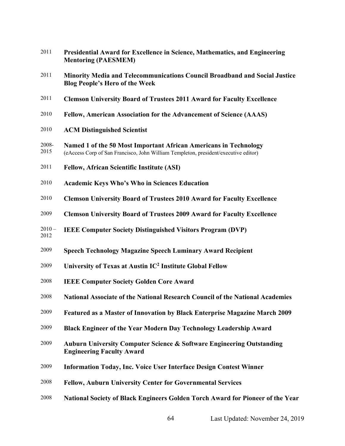| 2011             | Presidential Award for Excellence in Science, Mathematics, and Engineering<br><b>Mentoring (PAESMEM)</b>                                                |
|------------------|---------------------------------------------------------------------------------------------------------------------------------------------------------|
| 2011             | Minority Media and Telecommunications Council Broadband and Social Justice<br><b>Blog People's Hero of the Week</b>                                     |
| 2011             | <b>Clemson University Board of Trustees 2011 Award for Faculty Excellence</b>                                                                           |
| 2010             | Fellow, American Association for the Advancement of Science (AAAS)                                                                                      |
| 2010             | <b>ACM Distinguished Scientist</b>                                                                                                                      |
| 2008-<br>2015    | Named 1 of the 50 Most Important African Americans in Technology<br>(eAccess Corp of San Francisco, John William Templeton, president/executive editor) |
| 2011             | <b>Fellow, African Scientific Institute (ASI)</b>                                                                                                       |
| 2010             | <b>Academic Keys Who's Who in Sciences Education</b>                                                                                                    |
| 2010             | <b>Clemson University Board of Trustees 2010 Award for Faculty Excellence</b>                                                                           |
| 2009             | <b>Clemson University Board of Trustees 2009 Award for Faculty Excellence</b>                                                                           |
| $2010 -$<br>2012 | <b>IEEE Computer Society Distinguished Visitors Program (DVP)</b>                                                                                       |
| 2009             | <b>Speech Technology Magazine Speech Luminary Award Recipient</b>                                                                                       |
| 2009             | University of Texas at Austin IC <sup>2</sup> Institute Global Fellow                                                                                   |
| 2008             | <b>IEEE Computer Society Golden Core Award</b>                                                                                                          |
| 2008             | <b>National Associate of the National Research Council of the National Academies</b>                                                                    |
| 2009             | Featured as a Master of Innovation by Black Enterprise Magazine March 2009                                                                              |
| 2009             | Black Engineer of the Year Modern Day Technology Leadership Award                                                                                       |
| 2009             | <b>Auburn University Computer Science &amp; Software Engineering Outstanding</b><br><b>Engineering Faculty Award</b>                                    |
| 2009             | <b>Information Today, Inc. Voice User Interface Design Contest Winner</b>                                                                               |
| 2008             | <b>Fellow, Auburn University Center for Governmental Services</b>                                                                                       |
| 2008             | National Society of Black Engineers Golden Torch Award for Pioneer of the Year                                                                          |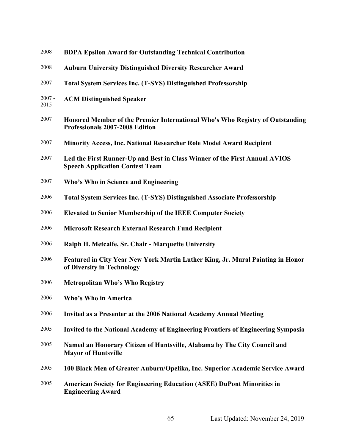| 2008             | <b>BDPA Epsilon Award for Outstanding Technical Contribution</b>                                                     |
|------------------|----------------------------------------------------------------------------------------------------------------------|
| 2008             | <b>Auburn University Distinguished Diversity Researcher Award</b>                                                    |
| 2007             | <b>Total System Services Inc. (T-SYS) Distinguished Professorship</b>                                                |
| $2007 -$<br>2015 | <b>ACM Distinguished Speaker</b>                                                                                     |
| 2007             | Honored Member of the Premier International Who's Who Registry of Outstanding<br>Professionals 2007-2008 Edition     |
| 2007             | <b>Minority Access, Inc. National Researcher Role Model Award Recipient</b>                                          |
| 2007             | Led the First Runner-Up and Best in Class Winner of the First Annual AVIOS<br><b>Speech Application Contest Team</b> |
| 2007             | Who's Who in Science and Engineering                                                                                 |
| 2006             | <b>Total System Services Inc. (T-SYS) Distinguished Associate Professorship</b>                                      |
| 2006             | <b>Elevated to Senior Membership of the IEEE Computer Society</b>                                                    |
| 2006             | <b>Microsoft Research External Research Fund Recipient</b>                                                           |
| 2006             | Ralph H. Metcalfe, Sr. Chair - Marquette University                                                                  |
| 2006             | Featured in City Year New York Martin Luther King, Jr. Mural Painting in Honor<br>of Diversity in Technology         |
| 2006             | <b>Metropolitan Who's Who Registry</b>                                                                               |
| 2006             | Who's Who in America                                                                                                 |
| 2006             | Invited as a Presenter at the 2006 National Academy Annual Meeting                                                   |
| 2005             | <b>Invited to the National Academy of Engineering Frontiers of Engineering Symposia</b>                              |
| 2005             | Named an Honorary Citizen of Huntsville, Alabama by The City Council and<br><b>Mayor of Huntsville</b>               |
| 2005             | 100 Black Men of Greater Auburn/Opelika, Inc. Superior Academic Service Award                                        |
| 2005             | <b>American Society for Engineering Education (ASEE) DuPont Minorities in</b><br><b>Engineering Award</b>            |
|                  |                                                                                                                      |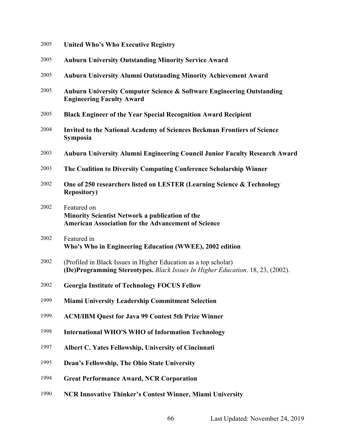- **United Who's Who Executive Registry**
- **Auburn University Outstanding Minority Service Award**
- **Auburn University Alumni Outstanding Minority Achievement Award**
- **Auburn University Computer Science & Software Engineering Outstanding Engineering Faculty Award**
- **Black Engineer of the Year Special Recognition Award Recipient**
- **Invited to the National Academy of Sciences Beckman Frontiers of Science Symposia**
- **Auburn University Alumni Engineering Council Junior Faculty Research Award**
- **The Coalition to Diversity Computing Conference Scholarship Winner**
- **One of 250 researchers listed on LESTER (Learning Science & Technology Repository)**
- Featured on **Minority Scientist Network a publication of the American Association for the Advancement of Science**
- Featured in **Who's Who in Engineering Education (WWEE), 2002 edition**
- (Profiled in Black Issues in Higher Education as a top scholar) **(De)Programming Stereotypes.** *Black Issues In Higher Education*. 18, 23, (2002).
- **Georgia Institute of Technology FOCUS Fellow**
- **Miami University Leadership Commitment Selection**
- **ACM/IBM Quest for Java 99 Contest 5th Prize Winner**
- **International WHO'S WHO of Information Technology**
- **Albert C. Yates Fellowship, University of Cincinnati**
- **Dean's Fellowship, The Ohio State University**
- **Great Performance Award, NCR Corporation**
- **NCR Innovative Thinker's Contest Winner, Miami University**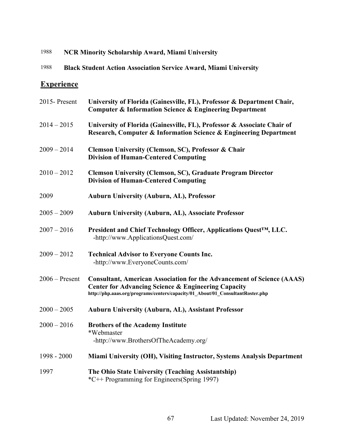## 1988 **NCR Minority Scholarship Award, Miami University**

# 1988 **Black Student Action Association Service Award, Miami University**

# **Experience**

| 2015-Present     | University of Florida (Gainesville, FL), Professor & Department Chair,<br><b>Computer &amp; Information Science &amp; Engineering Department</b>                                                                                  |
|------------------|-----------------------------------------------------------------------------------------------------------------------------------------------------------------------------------------------------------------------------------|
| $2014 - 2015$    | University of Florida (Gainesville, FL), Professor & Associate Chair of<br>Research, Computer & Information Science & Engineering Department                                                                                      |
| $2009 - 2014$    | <b>Clemson University (Clemson, SC), Professor &amp; Chair</b><br><b>Division of Human-Centered Computing</b>                                                                                                                     |
| $2010 - 2012$    | <b>Clemson University (Clemson, SC), Graduate Program Director</b><br><b>Division of Human-Centered Computing</b>                                                                                                                 |
| 2009             | <b>Auburn University (Auburn, AL), Professor</b>                                                                                                                                                                                  |
| $2005 - 2009$    | <b>Auburn University (Auburn, AL), Associate Professor</b>                                                                                                                                                                        |
| $2007 - 2016$    | President and Chief Technology Officer, Applications Quest™, LLC.<br>-http://www.ApplicationsQuest.com/                                                                                                                           |
| $2009 - 2012$    | <b>Technical Advisor to Everyone Counts Inc.</b><br>-http://www.EveryoneCounts.com/                                                                                                                                               |
| $2006 -$ Present | <b>Consultant, American Association for the Advancement of Science (AAAS)</b><br><b>Center for Advancing Science &amp; Engineering Capacity</b><br>http://php.aaas.org/programs/centers/capacity/01_About/01_ConsultantRoster.php |
| $2000 - 2005$    | <b>Auburn University (Auburn, AL), Assistant Professor</b>                                                                                                                                                                        |
| $2000 - 2016$    | <b>Brothers of the Academy Institute</b><br>*Webmaster<br>-http://www.BrothersOfTheAcademy.org/                                                                                                                                   |
| 1998 - 2000      | Miami University (OH), Visiting Instructor, Systems Analysis Department                                                                                                                                                           |
| 1997             | The Ohio State University (Teaching Assistantship)<br>*C++ Programming for Engineers(Spring 1997)                                                                                                                                 |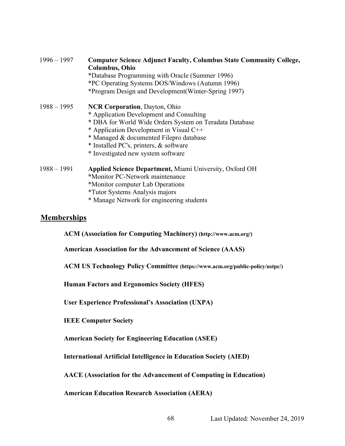| $1996 - 1997$ | <b>Computer Science Adjunct Faculty, Columbus State Community College,</b><br><b>Columbus, Ohio</b> |
|---------------|-----------------------------------------------------------------------------------------------------|
|               | *Database Programming with Oracle (Summer 1996)                                                     |
|               | *PC Operating Systems DOS/Windows (Autumn 1996)                                                     |
|               | *Program Design and Development (Winter-Spring 1997)                                                |
| $1988 - 1995$ | <b>NCR Corporation, Dayton, Ohio</b>                                                                |
|               | * Application Development and Consulting                                                            |
|               | * DBA for World Wide Orders System on Teradata Database                                             |
|               | * Application Development in Visual C++                                                             |
|               | * Managed & documented Filepro database                                                             |
|               | * Installed PC's, printers, & software                                                              |
|               | * Investigated new system software                                                                  |
| $1988 - 1991$ | <b>Applied Science Department, Miami University, Oxford OH</b>                                      |
|               | *Monitor PC-Network maintenance                                                                     |
|               | *Monitor computer Lab Operations                                                                    |
|               | <i>*Tutor Systems Analysis majors</i>                                                               |

\* Manage Network for engineering students

### **Memberships**

**ACM (Association for Computing Machinery) (http://www.acm.org/)**

**American Association for the Advancement of Science (AAAS)**

**ACM US Technology Policy Committee (https://www.acm.org/public-policy/ustpc/)**

**Human Factors and Ergonomics Society (HFES)**

**User Experience Professional's Association (UXPA)**

**IEEE Computer Society** 

**American Society for Engineering Education (ASEE)**

**International Artificial Intelligence in Education Society (AIED)**

**AACE (Association for the Advancement of Computing in Education)**

**American Education Research Association (AERA)**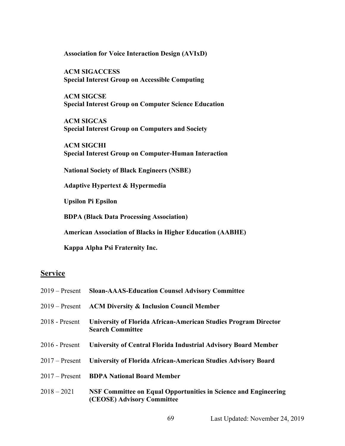**Association for Voice Interaction Design (AVIxD)**

**ACM SIGACCESS Special Interest Group on Accessible Computing**

**ACM SIGCSE Special Interest Group on Computer Science Education**

**ACM SIGCAS Special Interest Group on Computers and Society**

**ACM SIGCHI Special Interest Group on Computer-Human Interaction**

**National Society of Black Engineers (NSBE)**

**Adaptive Hypertext & Hypermedia**

**Upsilon Pi Epsilon** 

**BDPA (Black Data Processing Association)**

**American Association of Blacks in Higher Education (AABHE)**

**Kappa Alpha Psi Fraternity Inc.**

## **Service**

|                  | 2019 – Present Sloan-AAAS-Education Counsel Advisory Committee                                |
|------------------|-----------------------------------------------------------------------------------------------|
| $2019 -$ Present | <b>ACM Diversity &amp; Inclusion Council Member</b>                                           |
| $2018$ - Present | University of Florida African-American Studies Program Director<br><b>Search Committee</b>    |
| $2016$ - Present | University of Central Florida Industrial Advisory Board Member                                |
|                  | 2017 – Present University of Florida African-American Studies Advisory Board                  |
|                  | 2017 – Present BDPA National Board Member                                                     |
| $2018 - 2021$    | NSF Committee on Equal Opportunities in Science and Engineering<br>(CEOSE) Advisory Committee |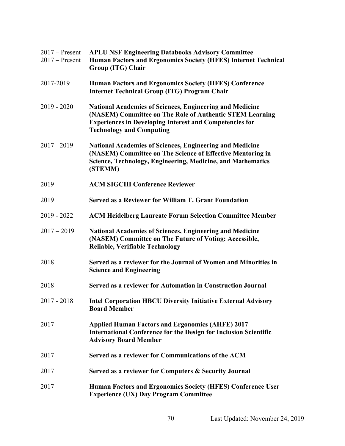| $2017 -$ Present<br>$2017$ – Present | <b>APLU NSF Engineering Databooks Advisory Committee</b><br>Human Factors and Ergonomics Society (HFES) Internet Technical<br>Group (ITG) Chair                                                                                  |
|--------------------------------------|----------------------------------------------------------------------------------------------------------------------------------------------------------------------------------------------------------------------------------|
| 2017-2019                            | <b>Human Factors and Ergonomics Society (HFES) Conference</b><br><b>Internet Technical Group (ITG) Program Chair</b>                                                                                                             |
| $2019 - 2020$                        | <b>National Academies of Sciences, Engineering and Medicine</b><br>(NASEM) Committee on The Role of Authentic STEM Learning<br><b>Experiences in Developing Interest and Competencies for</b><br><b>Technology and Computing</b> |
| $2017 - 2019$                        | National Academies of Sciences, Engineering and Medicine<br>(NASEM) Committee on The Science of Effective Mentoring in<br>Science, Technology, Engineering, Medicine, and Mathematics<br>(STEMM)                                 |
| 2019                                 | <b>ACM SIGCHI Conference Reviewer</b>                                                                                                                                                                                            |
| 2019                                 | <b>Served as a Reviewer for William T. Grant Foundation</b>                                                                                                                                                                      |
| $2019 - 2022$                        | <b>ACM Heidelberg Laureate Forum Selection Committee Member</b>                                                                                                                                                                  |
| $2017 - 2019$                        | <b>National Academies of Sciences, Engineering and Medicine</b><br>(NASEM) Committee on The Future of Voting: Accessible,<br><b>Reliable, Verifiable Technology</b>                                                              |
| 2018                                 | Served as a reviewer for the Journal of Women and Minorities in<br><b>Science and Engineering</b>                                                                                                                                |
| 2018                                 | Served as a reviewer for Automation in Construction Journal                                                                                                                                                                      |
| $2017 - 2018$                        | <b>Intel Corporation HBCU Diversity Initiative External Advisory</b><br><b>Board Member</b>                                                                                                                                      |
| 2017                                 | <b>Applied Human Factors and Ergonomics (AHFE) 2017</b><br><b>International Conference for the Design for Inclusion Scientific</b><br><b>Advisory Board Member</b>                                                               |
| 2017                                 | Served as a reviewer for Communications of the ACM                                                                                                                                                                               |
| 2017                                 | Served as a reviewer for Computers & Security Journal                                                                                                                                                                            |
| 2017                                 | Human Factors and Ergonomics Society (HFES) Conference User<br><b>Experience (UX) Day Program Committee</b>                                                                                                                      |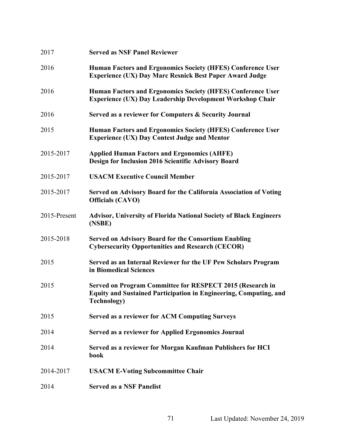| 2017         | <b>Served as NSF Panel Reviewer</b>                                                                                                                         |
|--------------|-------------------------------------------------------------------------------------------------------------------------------------------------------------|
| 2016         | Human Factors and Ergonomics Society (HFES) Conference User<br><b>Experience (UX) Day Marc Resnick Best Paper Award Judge</b>                               |
| 2016         | Human Factors and Ergonomics Society (HFES) Conference User<br><b>Experience (UX) Day Leadership Development Workshop Chair</b>                             |
| 2016         | Served as a reviewer for Computers & Security Journal                                                                                                       |
| 2015         | Human Factors and Ergonomics Society (HFES) Conference User<br><b>Experience (UX) Day Contest Judge and Mentor</b>                                          |
| 2015-2017    | <b>Applied Human Factors and Ergonomics (AHFE)</b><br>Design for Inclusion 2016 Scientific Advisory Board                                                   |
| 2015-2017    | <b>USACM Executive Council Member</b>                                                                                                                       |
| 2015-2017    | Served on Advisory Board for the California Association of Voting<br><b>Officials (CAVO)</b>                                                                |
| 2015-Present | <b>Advisor, University of Florida National Society of Black Engineers</b><br>(NSBE)                                                                         |
| 2015-2018    | <b>Served on Advisory Board for the Consortium Enabling</b><br><b>Cybersecurity Opportunities and Research (CECOR)</b>                                      |
| 2015         | Served as an Internal Reviewer for the UF Pew Scholars Program<br>in Biomedical Sciences                                                                    |
| 2015         | Served on Program Committee for RESPECT 2015 (Research in<br><b>Equity and Sustained Participation in Engineering, Computing, and</b><br><b>Technology)</b> |
| 2015         | <b>Served as a reviewer for ACM Computing Surveys</b>                                                                                                       |
| 2014         | <b>Served as a reviewer for Applied Ergonomics Journal</b>                                                                                                  |
| 2014         | Served as a reviewer for Morgan Kaufman Publishers for HCI<br>book                                                                                          |
| 2014-2017    | <b>USACM E-Voting Subcommittee Chair</b>                                                                                                                    |
| 2014         | <b>Served as a NSF Panelist</b>                                                                                                                             |
|              |                                                                                                                                                             |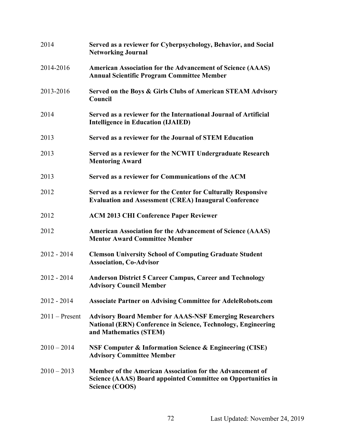| 2014             | Served as a reviewer for Cyberpsychology, Behavior, and Social<br><b>Networking Journal</b>                                                               |
|------------------|-----------------------------------------------------------------------------------------------------------------------------------------------------------|
| 2014-2016        | <b>American Association for the Advancement of Science (AAAS)</b><br><b>Annual Scientific Program Committee Member</b>                                    |
| 2013-2016        | Served on the Boys & Girls Clubs of American STEAM Advisory<br>Council                                                                                    |
| 2014             | Served as a reviewer for the International Journal of Artificial<br><b>Intelligence in Education (IJAIED)</b>                                             |
| 2013             | Served as a reviewer for the Journal of STEM Education                                                                                                    |
| 2013             | Served as a reviewer for the NCWIT Undergraduate Research<br><b>Mentoring Award</b>                                                                       |
| 2013             | Served as a reviewer for Communications of the ACM                                                                                                        |
| 2012             | Served as a reviewer for the Center for Culturally Responsive<br><b>Evaluation and Assessment (CREA) Inaugural Conference</b>                             |
| 2012             | <b>ACM 2013 CHI Conference Paper Reviewer</b>                                                                                                             |
| 2012             | <b>American Association for the Advancement of Science (AAAS)</b><br><b>Mentor Award Committee Member</b>                                                 |
| $2012 - 2014$    | <b>Clemson University School of Computing Graduate Student</b><br><b>Association, Co-Advisor</b>                                                          |
| $2012 - 2014$    | <b>Anderson District 5 Career Campus, Career and Technology</b><br><b>Advisory Council Member</b>                                                         |
| $2012 - 2014$    | <b>Associate Partner on Advising Committee for AdeleRobots.com</b>                                                                                        |
| $2011$ – Present | <b>Advisory Board Member for AAAS-NSF Emerging Researchers</b><br>National (ERN) Conference in Science, Technology, Engineering<br>and Mathematics (STEM) |
| $2010 - 2014$    | <b>NSF Computer &amp; Information Science &amp; Engineering (CISE)</b><br><b>Advisory Committee Member</b>                                                |
| $2010 - 2013$    | Member of the American Association for the Advancement of<br><b>Science (AAAS) Board appointed Committee on Opportunities in</b><br>Science (COOS)        |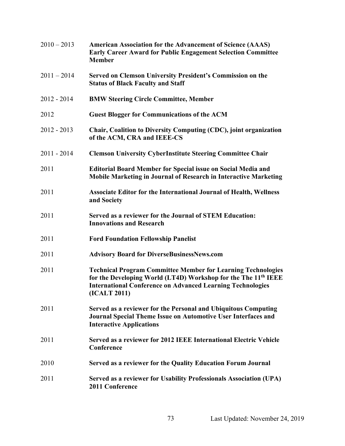| $2010 - 2013$ | <b>American Association for the Advancement of Science (AAAS)</b><br><b>Early Career Award for Public Engagement Selection Committee</b><br><b>Member</b>                                                                              |
|---------------|----------------------------------------------------------------------------------------------------------------------------------------------------------------------------------------------------------------------------------------|
| $2011 - 2014$ | Served on Clemson University President's Commission on the<br><b>Status of Black Faculty and Staff</b>                                                                                                                                 |
| $2012 - 2014$ | <b>BMW Steering Circle Committee, Member</b>                                                                                                                                                                                           |
| 2012          | <b>Guest Blogger for Communications of the ACM</b>                                                                                                                                                                                     |
| $2012 - 2013$ | Chair, Coalition to Diversity Computing (CDC), joint organization<br>of the ACM, CRA and IEEE-CS                                                                                                                                       |
| $2011 - 2014$ | <b>Clemson University CyberInstitute Steering Committee Chair</b>                                                                                                                                                                      |
| 2011          | <b>Editorial Board Member for Special issue on Social Media and</b><br>Mobile Marketing in Journal of Research in Interactive Marketing                                                                                                |
| 2011          | Associate Editor for the International Journal of Health, Wellness<br>and Society                                                                                                                                                      |
| 2011          | Served as a reviewer for the Journal of STEM Education:<br><b>Innovations and Research</b>                                                                                                                                             |
| 2011          | <b>Ford Foundation Fellowship Panelist</b>                                                                                                                                                                                             |
| 2011          | <b>Advisory Board for DiverseBusinessNews.com</b>                                                                                                                                                                                      |
| 2011          | <b>Technical Program Committee Member for Learning Technologies</b><br>for the Developing World (LT4D) Workshop for the The 11 <sup>th</sup> IEEE<br><b>International Conference on Advanced Learning Technologies</b><br>(ICALT 2011) |
| 2011          | Served as a reviewer for the Personal and Ubiquitous Computing<br><b>Journal Special Theme Issue on Automotive User Interfaces and</b><br><b>Interactive Applications</b>                                                              |
| 2011          | Served as a reviewer for 2012 IEEE International Electric Vehicle<br>Conference                                                                                                                                                        |
| 2010          | Served as a reviewer for the Quality Education Forum Journal                                                                                                                                                                           |
| 2011          | Served as a reviewer for Usability Professionals Association (UPA)<br>2011 Conference                                                                                                                                                  |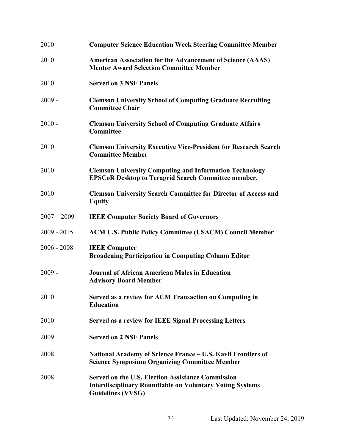| 2010          | <b>Computer Science Education Week Steering Committee Member</b>                                                                                        |
|---------------|---------------------------------------------------------------------------------------------------------------------------------------------------------|
| 2010          | <b>American Association for the Advancement of Science (AAAS)</b><br><b>Mentor Award Selection Committee Member</b>                                     |
| 2010          | <b>Served on 3 NSF Panels</b>                                                                                                                           |
| $2009 -$      | <b>Clemson University School of Computing Graduate Recruiting</b><br><b>Committee Chair</b>                                                             |
| $2010 -$      | <b>Clemson University School of Computing Graduate Affairs</b><br>Committee                                                                             |
| 2010          | <b>Clemson University Executive Vice-President for Research Search</b><br><b>Committee Member</b>                                                       |
| 2010          | <b>Clemson University Computing and Information Technology</b><br><b>EPSCoR Desktop to Teragrid Search Committee member.</b>                            |
| 2010          | <b>Clemson University Search Committee for Director of Access and</b><br><b>Equity</b>                                                                  |
| $2007 - 2009$ | <b>IEEE Computer Society Board of Governors</b>                                                                                                         |
| $2009 - 2015$ | <b>ACM U.S. Public Policy Committee (USACM) Council Member</b>                                                                                          |
| $2006 - 2008$ | <b>IEEE Computer</b><br><b>Broadening Participation in Computing Column Editor</b>                                                                      |
| $2009 -$      | <b>Journal of African American Males in Education</b><br><b>Advisory Board Member</b>                                                                   |
| 2010          | Served as a review for ACM Transaction on Computing in<br><b>Education</b>                                                                              |
| 2010          | <b>Served as a review for IEEE Signal Processing Letters</b>                                                                                            |
| 2009          | <b>Served on 2 NSF Panels</b>                                                                                                                           |
| 2008          | National Academy of Science France – U.S. Kavli Frontiers of<br><b>Science Symposium Organizing Committee Member</b>                                    |
| 2008          | <b>Served on the U.S. Election Assistance Commission</b><br><b>Interdisciplinary Roundtable on Voluntary Voting Systems</b><br><b>Guidelines (VVSG)</b> |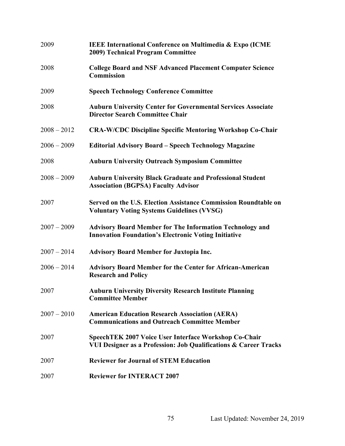| 2009          | <b>IEEE International Conference on Multimedia &amp; Expo (ICME)</b><br>2009) Technical Program Committee                        |
|---------------|----------------------------------------------------------------------------------------------------------------------------------|
| 2008          | <b>College Board and NSF Advanced Placement Computer Science</b><br><b>Commission</b>                                            |
| 2009          | <b>Speech Technology Conference Committee</b>                                                                                    |
| 2008          | <b>Auburn University Center for Governmental Services Associate</b><br><b>Director Search Committee Chair</b>                    |
| $2008 - 2012$ | <b>CRA-W/CDC Discipline Specific Mentoring Workshop Co-Chair</b>                                                                 |
| $2006 - 2009$ | <b>Editorial Advisory Board - Speech Technology Magazine</b>                                                                     |
| 2008          | <b>Auburn University Outreach Symposium Committee</b>                                                                            |
| $2008 - 2009$ | <b>Auburn University Black Graduate and Professional Student</b><br><b>Association (BGPSA) Faculty Advisor</b>                   |
| 2007          | Served on the U.S. Election Assistance Commission Roundtable on<br><b>Voluntary Voting Systems Guidelines (VVSG)</b>             |
| $2007 - 2009$ | <b>Advisory Board Member for The Information Technology and</b><br><b>Innovation Foundation's Electronic Voting Initiative</b>   |
| $2007 - 2014$ | <b>Advisory Board Member for Juxtopia Inc.</b>                                                                                   |
| $2006 - 2014$ | <b>Advisory Board Member for the Center for African-American</b><br><b>Research and Policy</b>                                   |
| 2007          | <b>Auburn University Diversity Research Institute Planning</b><br><b>Committee Member</b>                                        |
| $2007 - 2010$ | <b>American Education Research Association (AERA)</b><br><b>Communications and Outreach Committee Member</b>                     |
| 2007          | <b>SpeechTEK 2007 Voice User Interface Workshop Co-Chair</b><br>VUI Designer as a Profession: Job Qualifications & Career Tracks |
| 2007          | <b>Reviewer for Journal of STEM Education</b>                                                                                    |
| 2007          | <b>Reviewer for INTERACT 2007</b>                                                                                                |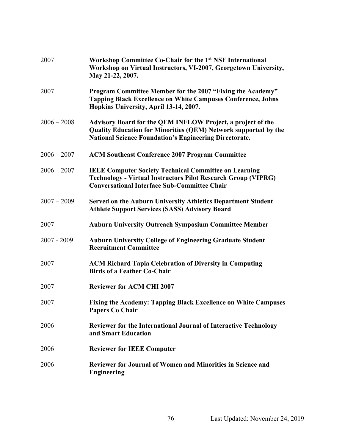| 2007          | Workshop Committee Co-Chair for the 1 <sup>st</sup> NSF International<br>Workshop on Virtual Instructors, VI-2007, Georgetown University,<br>May 21-22, 2007.                                          |
|---------------|--------------------------------------------------------------------------------------------------------------------------------------------------------------------------------------------------------|
| 2007          | Program Committee Member for the 2007 "Fixing the Academy"<br><b>Tapping Black Excellence on White Campuses Conference, Johns</b><br>Hopkins University, April 13-14, 2007.                            |
| $2006 - 2008$ | Advisory Board for the QEM INFLOW Project, a project of the<br><b>Quality Education for Minorities (QEM) Network supported by the</b><br><b>National Science Foundation's Engineering Directorate.</b> |
| $2006 - 2007$ | <b>ACM Southeast Conference 2007 Program Committee</b>                                                                                                                                                 |
| $2006 - 2007$ | <b>IEEE Computer Society Technical Committee on Learning</b><br><b>Technology - Virtual Instructors Pilot Research Group (VIPRG)</b><br><b>Conversational Interface Sub-Committee Chair</b>            |
| $2007 - 2009$ | <b>Served on the Auburn University Athletics Department Student</b><br><b>Athlete Support Services (SASS) Advisory Board</b>                                                                           |
| 2007          | <b>Auburn University Outreach Symposium Committee Member</b>                                                                                                                                           |
| $2007 - 2009$ | <b>Auburn University College of Engineering Graduate Student</b><br><b>Recruitment Committee</b>                                                                                                       |
| 2007          | <b>ACM Richard Tapia Celebration of Diversity in Computing</b><br><b>Birds of a Feather Co-Chair</b>                                                                                                   |
| 2007          | <b>Reviewer for ACM CHI 2007</b>                                                                                                                                                                       |
| 2007          | Fixing the Academy: Tapping Black Excellence on White Campuses<br><b>Papers Co Chair</b>                                                                                                               |
| 2006          | <b>Reviewer for the International Journal of Interactive Technology</b><br>and Smart Education                                                                                                         |
| 2006          | <b>Reviewer for IEEE Computer</b>                                                                                                                                                                      |
| 2006          | <b>Reviewer for Journal of Women and Minorities in Science and</b><br><b>Engineering</b>                                                                                                               |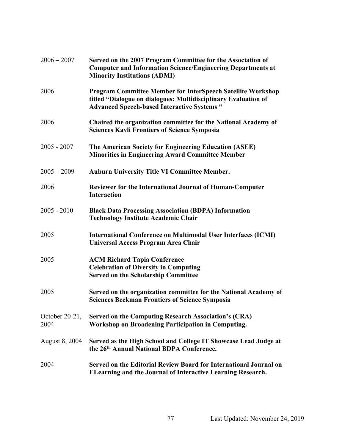| $2006 - 2007$             | Served on the 2007 Program Committee for the Association of<br><b>Computer and Information Science/Engineering Departments at</b><br><b>Minority Institutions (ADMI)</b>                   |
|---------------------------|--------------------------------------------------------------------------------------------------------------------------------------------------------------------------------------------|
| 2006                      | <b>Program Committee Member for InterSpeech Satellite Workshop</b><br>titled "Dialogue on dialogues: Multidisciplinary Evaluation of<br><b>Advanced Speech-based Interactive Systems "</b> |
| 2006                      | Chaired the organization committee for the National Academy of<br><b>Sciences Kavli Frontiers of Science Symposia</b>                                                                      |
| $2005 - 2007$             | The American Society for Engineering Education (ASEE)<br><b>Minorities in Engineering Award Committee Member</b>                                                                           |
| $2005 - 2009$             | <b>Auburn University Title VI Committee Member.</b>                                                                                                                                        |
| 2006                      | <b>Reviewer for the International Journal of Human-Computer</b><br><b>Interaction</b>                                                                                                      |
| $2005 - 2010$             | <b>Black Data Processing Association (BDPA) Information</b><br><b>Technology Institute Academic Chair</b>                                                                                  |
| 2005                      | <b>International Conference on Multimodal User Interfaces (ICMI)</b><br>Universal Access Program Area Chair                                                                                |
| 2005                      | <b>ACM Richard Tapia Conference</b><br><b>Celebration of Diversity in Computing</b><br><b>Served on the Scholarship Committee</b>                                                          |
| 2005                      | Served on the organization committee for the National Academy of<br><b>Sciences Beckman Frontiers of Science Symposia</b>                                                                  |
| October $20-21$ ,<br>2004 | <b>Served on the Computing Research Association's (CRA)</b><br><b>Workshop on Broadening Participation in Computing.</b>                                                                   |
| <b>August 8, 2004</b>     | Served as the High School and College IT Showcase Lead Judge at<br>the 26th Annual National BDPA Conference.                                                                               |
| 2004                      | Served on the Editorial Review Board for International Journal on<br><b>ELearning and the Journal of Interactive Learning Research.</b>                                                    |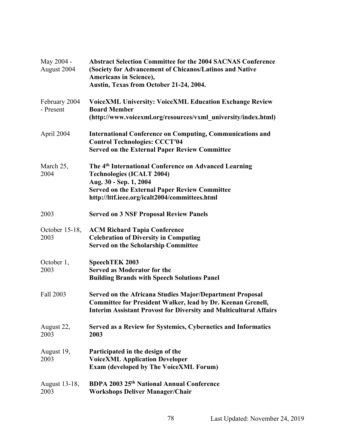| May 2004 -<br>August 2004  | <b>Abstract Selection Committee for the 2004 SACNAS Conference</b><br>(Society for Advancement of Chicanos/Latinos and Native<br><b>Americans in Science),</b><br>Austin, Texas from October 21-24, 2004.                                 |
|----------------------------|-------------------------------------------------------------------------------------------------------------------------------------------------------------------------------------------------------------------------------------------|
| February 2004<br>- Present | <b>VoiceXML University: VoiceXML Education Exchange Review</b><br><b>Board Member</b><br>(http://www.voicexml.org/resources/vxml university/index.html)                                                                                   |
| April 2004                 | <b>International Conference on Computing, Communications and</b><br><b>Control Technologies: CCCT'04</b><br><b>Served on the External Paper Review Committee</b>                                                                          |
| March 25,<br>2004          | The 4 <sup>th</sup> International Conference on Advanced Learning<br><b>Technologies (ICALT 2004)</b><br>Aug. 30 - Sep. 1, 2004<br><b>Served on the External Paper Review Committee</b><br>http://lttf.ieee.org/icalt2004/committees.html |
| 2003                       | <b>Served on 3 NSF Proposal Review Panels</b>                                                                                                                                                                                             |
| October $15-18$ ,<br>2003  | <b>ACM Richard Tapia Conference</b><br><b>Celebration of Diversity in Computing</b><br><b>Served on the Scholarship Committee</b>                                                                                                         |
| October 1,<br>2003         | SpeechTEK 2003<br><b>Served as Moderator for the</b><br><b>Building Brands with Speech Solutions Panel</b>                                                                                                                                |
| Fall 2003                  | <b>Served on the Africana Studies Major/Department Proposal</b><br><b>Committee for President Walker, lead by Dr. Keenan Grenell,</b><br><b>Interim Assistant Provost for Diversity and Multicultural Affairs</b>                         |
| August 22,<br>2003         | Served as a Review for Systemics, Cybernetics and Informatics<br>2003                                                                                                                                                                     |
| August 19,<br>2003         | Participated in the design of the<br><b>VoiceXML Application Developer</b><br><b>Exam (developed by The VoiceXML Forum)</b>                                                                                                               |
| August 13-18,<br>2003      | BDPA 2003 25 <sup>th</sup> National Annual Conference<br><b>Workshops Deliver Manager/Chair</b>                                                                                                                                           |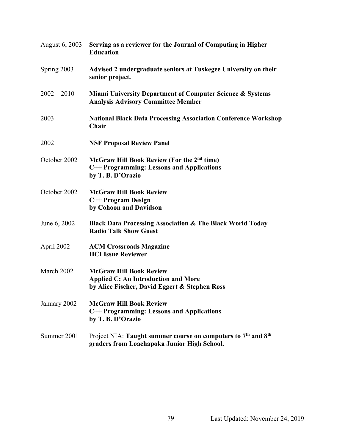| August 6, 2003 | Serving as a reviewer for the Journal of Computing in Higher<br><b>Education</b>                                                     |
|----------------|--------------------------------------------------------------------------------------------------------------------------------------|
| Spring 2003    | Advised 2 undergraduate seniors at Tuskegee University on their<br>senior project.                                                   |
| $2002 - 2010$  | <b>Miami University Department of Computer Science &amp; Systems</b><br><b>Analysis Advisory Committee Member</b>                    |
| 2003           | <b>National Black Data Processing Association Conference Workshop</b><br>Chair                                                       |
| 2002           | <b>NSF Proposal Review Panel</b>                                                                                                     |
| October 2002   | McGraw Hill Book Review (For the 2 <sup>nd</sup> time)<br>C++ Programming: Lessons and Applications<br>by T. B. D'Orazio             |
| October 2002   | <b>McGraw Hill Book Review</b><br>C++ Program Design<br>by Cohoon and Davidson                                                       |
| June 6, 2002   | <b>Black Data Processing Association &amp; The Black World Today</b><br><b>Radio Talk Show Guest</b>                                 |
| April 2002     | <b>ACM Crossroads Magazine</b><br><b>HCI Issue Reviewer</b>                                                                          |
| March 2002     | <b>McGraw Hill Book Review</b><br><b>Applied C: An Introduction and More</b><br>by Alice Fischer, David Eggert & Stephen Ross        |
| January 2002   | <b>McGraw Hill Book Review</b><br>C++ Programming: Lessons and Applications<br>by T. B. D'Orazio                                     |
| Summer 2001    | Project NIA: Taught summer course on computers to 7 <sup>th</sup> and 8 <sup>th</sup><br>graders from Loachapoka Junior High School. |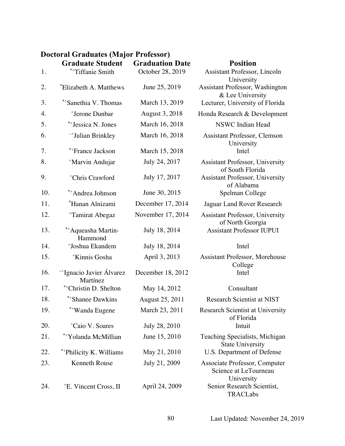## **Doctoral Graduates (Major Professor)**

|     | <b>Graduate Student</b>             | <b>Graduation Date</b> | <b>Position</b>                                                      |
|-----|-------------------------------------|------------------------|----------------------------------------------------------------------|
| 1.  | *+Tiffanie Smith                    | October 28, 2019       | Assistant Professor, Lincoln<br>University                           |
| 2.  | *Elizabeth A. Matthews              | June 25, 2019          | <b>Assistant Professor, Washington</b><br>& Lee University           |
| 3.  | *+Sanethia V. Thomas                | March 13, 2019         | Lecturer, University of Florida                                      |
| 4.  | <sup>+</sup> Jerone Dunbar          | August 3, 2018         | Honda Research & Development                                         |
| 5.  | *+Jessica N. Jones                  | March 16, 2018         | NSWC Indian Head                                                     |
| 6.  | ~+Julian Brinkley                   | March 16, 2018         | <b>Assistant Professor, Clemson</b><br>University                    |
| 7.  | *+France Jackson                    | March 15, 2018         | Intel                                                                |
| 8.  | <sup>+</sup> Marvin Andujar         | July 24, 2017          | <b>Assistant Professor, University</b><br>of South Florida           |
| 9.  | <sup>+</sup> Chris Crawford         | July 17, 2017          | <b>Assistant Professor, University</b><br>of Alabama                 |
| 10. | *+Andrea Johnson                    | June 30, 2015          | Spelman College                                                      |
| 11. | *Hanan Alnizami                     | December 17, 2014      | Jaguar Land Rover Research                                           |
| 12. | <sup>+</sup> Tamirat Abegaz         | November 17, 2014      | <b>Assistant Professor, University</b><br>of North Georgia           |
| 13. | *+Aqueasha Martin-<br>Hammond       | July 18, 2014          | <b>Assistant Professor IUPUI</b>                                     |
| 14. | <sup>+</sup> Joshua Ekandem         | July 18, 2014          | Intel                                                                |
| 15. | <sup>+</sup> Kinnis Gosha           | April 3, 2013          | <b>Assistant Professor, Morehouse</b><br>College                     |
| 16. | ~Hgnacio Javier Álvarez<br>Martínez | December 18, 2012      | Intel                                                                |
| 17. | *+Christin D. Shelton               | May 14, 2012           | Consultant                                                           |
| 18. | **Shanee Dawkins                    | August 25, 2011        | Research Scientist at NIST                                           |
| 19. | **Wanda Eugene                      | March 23, 2011         | Research Scientist at University<br>of Florida                       |
| 20. | <sup>+</sup> Caio V. Soares         | July 28, 2010          | Intuit                                                               |
| 21. | *+Yolanda McMillian                 | June 15, 2010          | Teaching Specialists, Michigan<br><b>State University</b>            |
| 22. | *+Philicity K. Williams             | May 21, 2010           | U.S. Department of Defense                                           |
| 23. | <b>Kenneth Rouse</b>                | July 21, 2009          | Associate Professor, Computer<br>Science at LeTourneau<br>University |
| 24. | <sup>+</sup> E. Vincent Cross, II   | April 24, 2009         | Senior Research Scientist,<br>TRACLabs                               |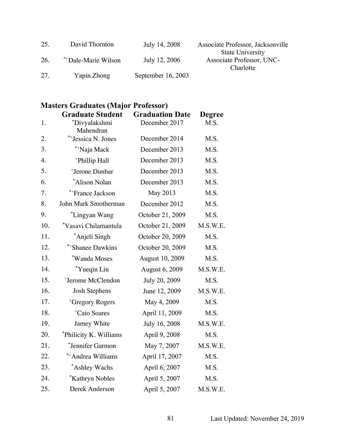| 25. | David Thornton      | July 14, 2008        | Associate Professor, Jacksonville |
|-----|---------------------|----------------------|-----------------------------------|
|     |                     |                      | <b>State University</b>           |
| 26. | **Dale-Marie Wilson | July 12, 2006        | Associate Professor, UNC-         |
|     |                     |                      | Charlotte                         |
| 27. | Yapin Zhong         | September $16, 2003$ |                                   |

## **Masters Graduates (Major Professor)**

|     | <b>Graduate Student</b>       | <b>Graduation Date</b> | <b>Degree</b> |
|-----|-------------------------------|------------------------|---------------|
| 1.  | *Divyalakshmi<br>Mahendran    | December 2017          | M.S.          |
| 2.  | *+ Jessica N. Jones           | December 2014          | M.S.          |
| 3.  | *+Naja Mack                   | December 2013          | M.S.          |
| 4.  | <sup>+</sup> Phillip Hall     | December 2013          | M.S.          |
| 5.  | <sup>+</sup> Jerone Dunbar    | December 2013          | M.S.          |
| 6.  | *Alison Nolan                 | December 2013          | M.S.          |
| 7.  | *+France Jackson              | May 2013               | M.S.          |
| 8.  | John Mark Smotherman          | December 2012          | M.S.          |
| 9.  | *Lingyan Wang                 | October 21, 2009       | M.S.          |
| 10. | *Vasavi Chilamantula          | October 21, 2009       | M.S.W.E.      |
| 11. | *Anjeli Singh                 | October 20, 2009       | M.S.          |
| 12. | *+Shanee Dawkins              | October 20, 2009       | M.S.          |
| 13. | *Wanda Moses                  | August 10, 2009        | M.S.          |
| 14. | *Yueqin Lin                   | August 6, 2009         | M.S.W.E.      |
| 15. | <sup>+</sup> Jerome McClendon | July 20, 2009          | M.S.          |
| 16. | <b>Josh Stephens</b>          | June 12, 2009          | M.S.W.E.      |
| 17. | <sup>+</sup> Gregory Rogers   | May 4, 2009            | M.S.          |
| 18. | <sup>+</sup> Caio Soares      | April 11, 2009         | M.S.          |
| 19. | Jamey White                   | July 16, 2008          | M.S.W.E.      |
| 20. | *Philicity K. Williams        | April 9, 2008          | M.S.          |
| 21. | *Jennifer Garmon              | May 7, 2007            | M.S.W.E.      |
| 22. | *+Andrea Williams             | April 17, 2007         | M.S.          |
| 23. | *Ashley Wachs                 | April 6, 2007          | M.S.          |
| 24. | *Kathryn Nobles               | April 5, 2007          | M.S.          |
| 25. | Derek Anderson                | April 5, 2007          | M.S.W.E.      |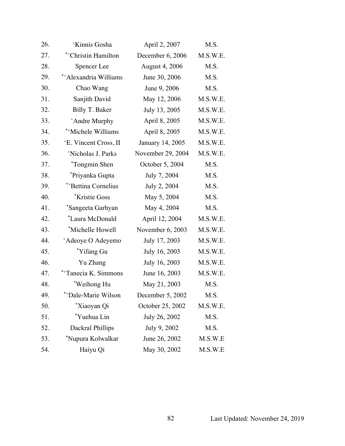| 26. | <sup>+</sup> Kinnis Gosha         | April 2, 2007         | M.S.     |
|-----|-----------------------------------|-----------------------|----------|
| 27. | *+Christin Hamilton               | December 6, 2006      | M.S.W.E. |
| 28. | Spencer Lee                       | <b>August 4, 2006</b> | M.S.     |
| 29. | *+Alexandria Williams             | June 30, 2006         | M.S.     |
| 30. | Chao Wang                         | June 9, 2006          | M.S.     |
| 31. | Sanjith David                     | May 12, 2006          | M.S.W.E. |
| 32. | Billy T. Baker                    | July 13, 2005         | M.S.W.E. |
| 33. | <sup>+</sup> Andre Murphy         | April 8, 2005         | M.S.W.E. |
| 34. | *+Michele Williams                | April 8, 2005         | M.S.W.E. |
| 35. | <sup>+</sup> E. Vincent Cross, II | January 14, 2005      | M.S.W.E. |
| 36. | <sup>+</sup> Nicholas J. Parks    | November 29, 2004     | M.S.W.E. |
| 37. | <i>*Tongmin Shen</i>              | October 5, 2004       | M.S.     |
| 38. | *Priyanka Gupta                   | July 7, 2004          | M.S.     |
| 39. | *+Bettina Cornelius               | July 2, 2004          | M.S.     |
| 40. | <i><b>*Kristie Goss</b></i>       | May 5, 2004           | M.S.     |
| 41. | *Sangeeta Garhyan                 | May 4, 2004           | M.S.     |
| 42. | *Laura McDonald                   | April 12, 2004        | M.S.W.E. |
| 43. | *Michelle Howell                  | November 6, 2003      | M.S.W.E. |
| 44. | <sup>+</sup> Adeoye O Adeyemo     | July 17, 2003         | M.S.W.E. |
| 45. | *Yifang Gu                        | July 16, 2003         | M.S.W.E. |
| 46. | Yu Zhang                          | July 16, 2003         | M.S.W.E. |
| 47. | *+Tanecia K. Simmons              | June 16, 2003         | M.S.W.E. |
| 48. | *Weihong Hu                       | May 21, 2003          | M.S.     |
| 49. | *+Dale-Marie Wilson               | December 5, 2002      | M.S.     |
| 50. | *Xiaoyan Qi                       | October 25, 2002      | M.S.W.E. |
| 51. | *Yuehua Lin                       | July 26, 2002         | M.S.     |
| 52. | Dackral Phillips                  | July 9, 2002          | M.S.     |
| 53. | *Nupura Kolwalkar                 | June 26, 2002         | M.S.W.E  |
| 54. | Haiyu Qi                          | May 30, 2002          | M.S.W.E  |